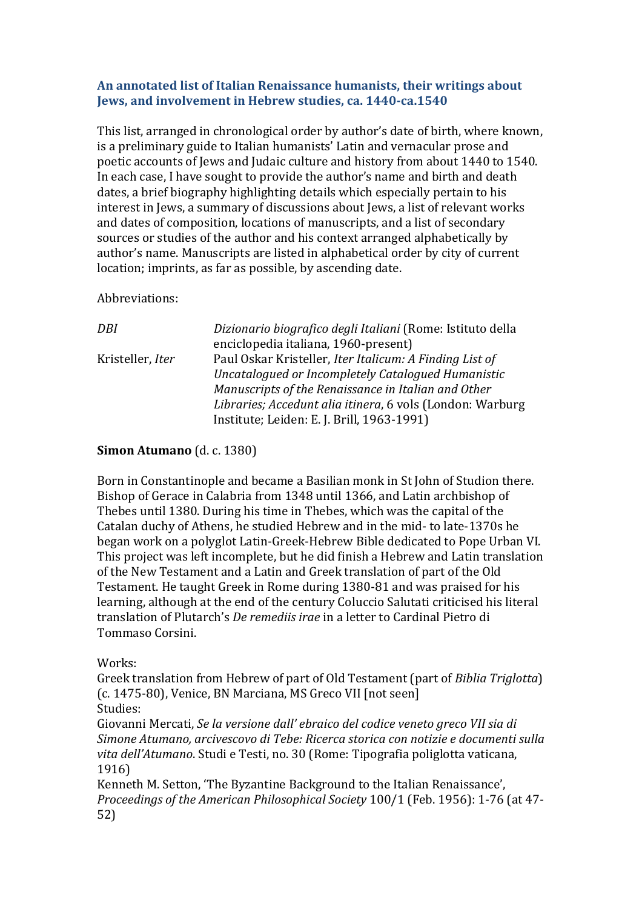### **An annotated list of Italian Renaissance humanists, their writings about Jews, and involvement in Hebrew studies, ca. 1440-ca.1540**

This list, arranged in chronological order by author's date of birth, where known, is a preliminary guide to Italian humanists' Latin and vernacular prose and poetic accounts of Jews and Judaic culture and history from about 1440 to 1540. In each case, I have sought to provide the author's name and birth and death dates, a brief biography highlighting details which especially pertain to his interest in Jews, a summary of discussions about Jews, a list of relevant works and dates of composition, locations of manuscripts, and a list of secondary sources or studies of the author and his context arranged alphabetically by author's name. Manuscripts are listed in alphabetical order by city of current location; imprints, as far as possible, by ascending date.

Abbreviations:

| DBI              | Dizionario biografico degli Italiani (Rome: Istituto della |
|------------------|------------------------------------------------------------|
|                  | enciclopedia italiana, 1960-present)                       |
| Kristeller, Iter | Paul Oskar Kristeller, Iter Italicum: A Finding List of    |
|                  | Uncatalogued or Incompletely Catalogued Humanistic         |
|                  | Manuscripts of the Renaissance in Italian and Other        |
|                  | Libraries; Accedunt alia itinera, 6 vols (London: Warburg  |
|                  | Institute; Leiden: E. J. Brill, 1963-1991)                 |

### **Simon Atumano** (d. c. 1380)

Born in Constantinople and became a Basilian monk in St John of Studion there. Bishop of Gerace in Calabria from 1348 until 1366, and Latin archbishop of Thebes until 1380. During his time in Thebes, which was the capital of the Catalan duchy of Athens, he studied Hebrew and in the mid- to late-1370s he began work on a polyglot Latin-Greek-Hebrew Bible dedicated to Pope Urban VI. This project was left incomplete, but he did finish a Hebrew and Latin translation of the New Testament and a Latin and Greek translation of part of the Old Testament. He taught Greek in Rome during 1380-81 and was praised for his learning, although at the end of the century Coluccio Salutati criticised his literal translation of Plutarch's *De remediis irae* in a letter to Cardinal Pietro di Tommaso Corsini.

## Works:

Greek translation from Hebrew of part of Old Testament (part of *Biblia Triglotta*) (c. 1475-80), Venice, BN Marciana, MS Greco VII [not seen] Studies:

Giovanni Mercati, *Se la versione dall' ebraico del codice veneto greco VII sia di Simone Atumano, arcivescovo di Tebe: Ricerca storica con notizie e documenti sulla vita dell'Atumano*. Studi e Testi, no. 30 (Rome: Tipografia poliglotta vaticana, 1916)

Kenneth M. Setton, 'The Byzantine Background to the Italian Renaissance', *Proceedings of the American Philosophical Society* 100/1 (Feb. 1956): 1-76 (at 47- 52)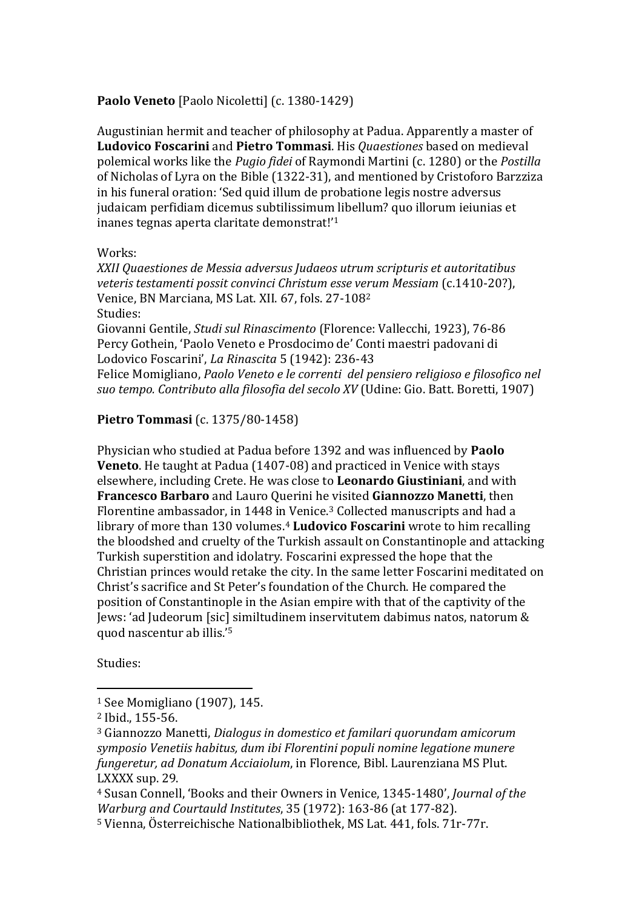### Paolo Veneto [Paolo Nicoletti] (c. 1380-1429)

Augustinian hermit and teacher of philosophy at Padua. Apparently a master of **Ludovico Foscarini** and **Pietro Tommasi**. His *Quaestiones* based on medieval polemical works like the *Pugio fidei* of Raymondi Martini (c. 1280) or the *Postilla* of Nicholas of Lyra on the Bible (1322-31), and mentioned by Cristoforo Barzziza in his funeral oration: 'Sed quid illum de probatione legis nostre adversus judaicam perfidiam dicemus subtilissimum libellum? quo illorum ieiunias et inanes tegnas aperta claritate demonstrat!'<sup>1</sup>

#### Works:

*XXII Quaestiones de Messia adversus Judaeos utrum scripturis et autoritatibus veteris testamenti possit convinci Christum esse verum Messiam* (c.1410-20?), Venice, BN Marciana, MS Lat. XII. 67, fols. 27-108<sup>2</sup> Studies: Giovanni Gentile, *Studi sul Rinascimento* (Florence: Vallecchi, 1923), 76-86 Percy Gothein, 'Paolo Veneto e Prosdocimo de' Conti maestri padovani di

Lodovico Foscarini', *La Rinascita* 5 (1942): 236-43

Felice Momigliano, *Paolo Veneto e le correnti del pensiero religioso e filosofico nel suo tempo. Contributo alla filosofia del secolo XV* (Udine: Gio. Batt. Boretti, 1907)

## **Pietro Tommasi** (c. 1375/80-1458)

Physician who studied at Padua before 1392 and was influenced by **Paolo Veneto**. He taught at Padua (1407-08) and practiced in Venice with stays elsewhere, including Crete. He was close to **Leonardo Giustiniani**, and with **Francesco Barbaro** and Lauro Querini he visited **Giannozzo Manetti**, then Florentine ambassador, in 1448 in Venice.<sup>3</sup> Collected manuscripts and had a library of more than 130 volumes.<sup>4</sup> **Ludovico Foscarini** wrote to him recalling the bloodshed and cruelty of the Turkish assault on Constantinople and attacking Turkish superstition and idolatry. Foscarini expressed the hope that the Christian princes would retake the city. In the same letter Foscarini meditated on Christ's sacrifice and St Peter's foundation of the Church. He compared the position of Constantinople in the Asian empire with that of the captivity of the Jews: 'ad Judeorum [sic] similtudinem inservitutem dabimus natos, natorum & quod nascentur ab illis.'<sup>5</sup>

Studies:

<sup>1</sup> See Momigliano (1907), 145.

<sup>2</sup> Ibid., 155-56.

<sup>3</sup> Giannozzo Manetti, *Dialogus in domestico et familari quorundam amicorum symposio Venetiis habitus, dum ibi Florentini populi nomine legatione munere fungeretur, ad Donatum Acciaiolum*, in Florence, Bibl. Laurenziana MS Plut. LXXXX sup. 29.

<sup>4</sup> Susan Connell, 'Books and their Owners in Venice, 1345-1480', *Journal of the Warburg and Courtauld Institutes*, 35 (1972): 163-86 (at 177-82).

<sup>5</sup> Vienna, Österreichische Nationalbibliothek, MS Lat. 441, fols. 71r-77r.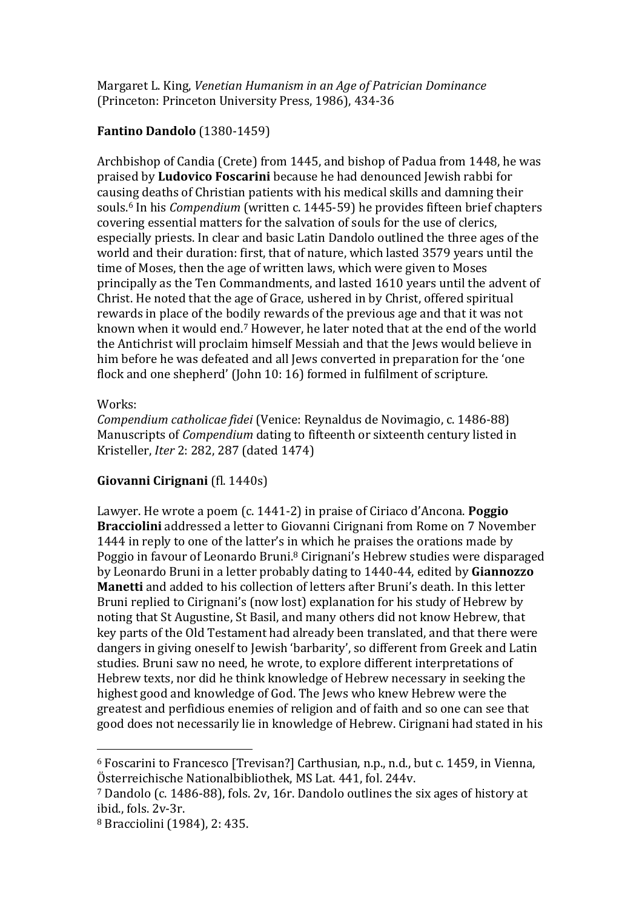Margaret L. King, *Venetian Humanism in an Age of Patrician Dominance* (Princeton: Princeton University Press, 1986), 434-36

## **Fantino Dandolo** (1380-1459)

Archbishop of Candia (Crete) from 1445, and bishop of Padua from 1448, he was praised by **Ludovico Foscarini** because he had denounced Jewish rabbi for causing deaths of Christian patients with his medical skills and damning their souls. <sup>6</sup> In his *Compendium* (written c. 1445-59) he provides fifteen brief chapters covering essential matters for the salvation of souls for the use of clerics, especially priests. In clear and basic Latin Dandolo outlined the three ages of the world and their duration: first, that of nature, which lasted 3579 years until the time of Moses, then the age of written laws, which were given to Moses principally as the Ten Commandments, and lasted 1610 years until the advent of Christ. He noted that the age of Grace, ushered in by Christ, offered spiritual rewards in place of the bodily rewards of the previous age and that it was not known when it would end.<sup>7</sup> However, he later noted that at the end of the world the Antichrist will proclaim himself Messiah and that the Jews would believe in him before he was defeated and all Jews converted in preparation for the 'one flock and one shepherd' (John 10: 16) formed in fulfilment of scripture.

## Works:

 $\overline{a}$ 

*Compendium catholicae fidei* (Venice: Reynaldus de Novimagio, c. 1486-88) Manuscripts of *Compendium* dating to fifteenth or sixteenth century listed in Kristeller, *Iter* 2: 282, 287 (dated 1474)

## **Giovanni Cirignani** (fl. 1440s)

Lawyer. He wrote a poem (c. 1441-2) in praise of Ciriaco d'Ancona. **Poggio Bracciolini** addressed a letter to Giovanni Cirignani from Rome on 7 November 1444 in reply to one of the latter's in which he praises the orations made by Poggio in favour of Leonardo Bruni.<sup>8</sup> Cirignani's Hebrew studies were disparaged by Leonardo Bruni in a letter probably dating to 1440-44, edited by **Giannozzo Manetti** and added to his collection of letters after Bruni's death. In this letter Bruni replied to Cirignani's (now lost) explanation for his study of Hebrew by noting that St Augustine, St Basil, and many others did not know Hebrew, that key parts of the Old Testament had already been translated, and that there were dangers in giving oneself to Jewish 'barbarity', so different from Greek and Latin studies. Bruni saw no need, he wrote, to explore different interpretations of Hebrew texts, nor did he think knowledge of Hebrew necessary in seeking the highest good and knowledge of God. The Jews who knew Hebrew were the greatest and perfidious enemies of religion and of faith and so one can see that good does not necessarily lie in knowledge of Hebrew. Cirignani had stated in his

<sup>6</sup> Foscarini to Francesco [Trevisan?] Carthusian, n.p., n.d., but c. 1459, in Vienna, Österreichische Nationalbibliothek, MS Lat. 441, fol. 244v.

<sup>7</sup> Dandolo (c. 1486-88), fols. 2v, 16r. Dandolo outlines the six ages of history at ibid., fols. 2v-3r.

<sup>8</sup> Bracciolini (1984), 2: 435.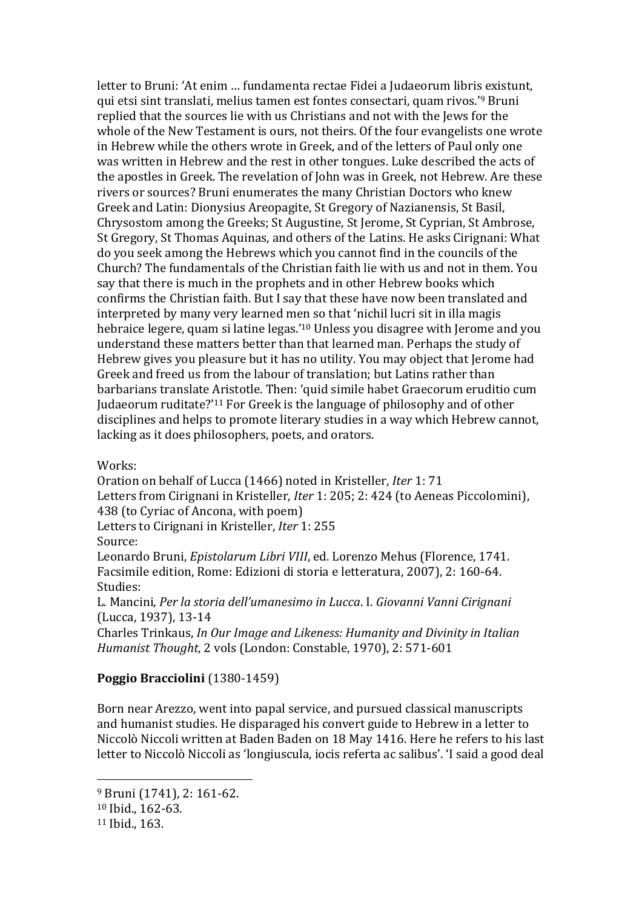letter to Bruni: 'At enim … fundamenta rectae Fidei a Judaeorum libris existunt, qui etsi sint translati, melius tamen est fontes consectari, quam rivos.'<sup>9</sup> Bruni replied that the sources lie with us Christians and not with the Jews for the whole of the New Testament is ours, not theirs. Of the four evangelists one wrote in Hebrew while the others wrote in Greek, and of the letters of Paul only one was written in Hebrew and the rest in other tongues. Luke described the acts of the apostles in Greek. The revelation of John was in Greek, not Hebrew. Are these rivers or sources? Bruni enumerates the many Christian Doctors who knew Greek and Latin: Dionysius Areopagite, St Gregory of Nazianensis, St Basil, Chrysostom among the Greeks; St Augustine, St Jerome, St Cyprian, St Ambrose, St Gregory, St Thomas Aquinas, and others of the Latins. He asks Cirignani: What do you seek among the Hebrews which you cannot find in the councils of the Church? The fundamentals of the Christian faith lie with us and not in them. You say that there is much in the prophets and in other Hebrew books which confirms the Christian faith. But I say that these have now been translated and interpreted by many very learned men so that 'nichil lucri sit in illa magis hebraice legere, quam si latine legas.'<sup>10</sup> Unless you disagree with Jerome and you understand these matters better than that learned man. Perhaps the study of Hebrew gives you pleasure but it has no utility. You may object that Jerome had Greek and freed us from the labour of translation; but Latins rather than barbarians translate Aristotle. Then: 'quid simile habet Graecorum eruditio cum Judaeorum ruditate?'<sup>11</sup> For Greek is the language of philosophy and of other disciplines and helps to promote literary studies in a way which Hebrew cannot, lacking as it does philosophers, poets, and orators.

Works:

Oration on behalf of Lucca (1466) noted in Kristeller, *Iter* 1: 71 Letters from Cirignani in Kristeller, *Iter* 1: 205; 2: 424 (to Aeneas Piccolomini), 438 (to Cyriac of Ancona, with poem) Letters to Cirignani in Kristeller, *Iter* 1: 255

Source:

Leonardo Bruni, *Epistolarum Libri VIII*, ed. Lorenzo Mehus (Florence, 1741. Facsimile edition, Rome: Edizioni di storia e letteratura, 2007), 2: 160-64. Studies:

L. Mancini, *Per la storia dell'umanesimo in Lucca*. I. *Giovanni Vanni Cirignani*  (Lucca, 1937), 13-14

Charles Trinkaus, *In Our Image and Likeness: Humanity and Divinity in Italian Humanist Thought*, 2 vols (London: Constable, 1970), 2: 571-601

### **Poggio Bracciolini** (1380-1459)

Born near Arezzo, went into papal service, and pursued classical manuscripts and humanist studies. He disparaged his convert guide to Hebrew in a letter to Niccolò Niccoli written at Baden Baden on 18 May 1416. Here he refers to his last letter to Niccolò Niccoli as 'longiuscula, iocis referta ac salibus'. 'I said a good deal

<sup>9</sup> Bruni (1741), 2: 161-62.

<sup>10</sup> Ibid., 162-63.

<sup>11</sup> Ibid., 163.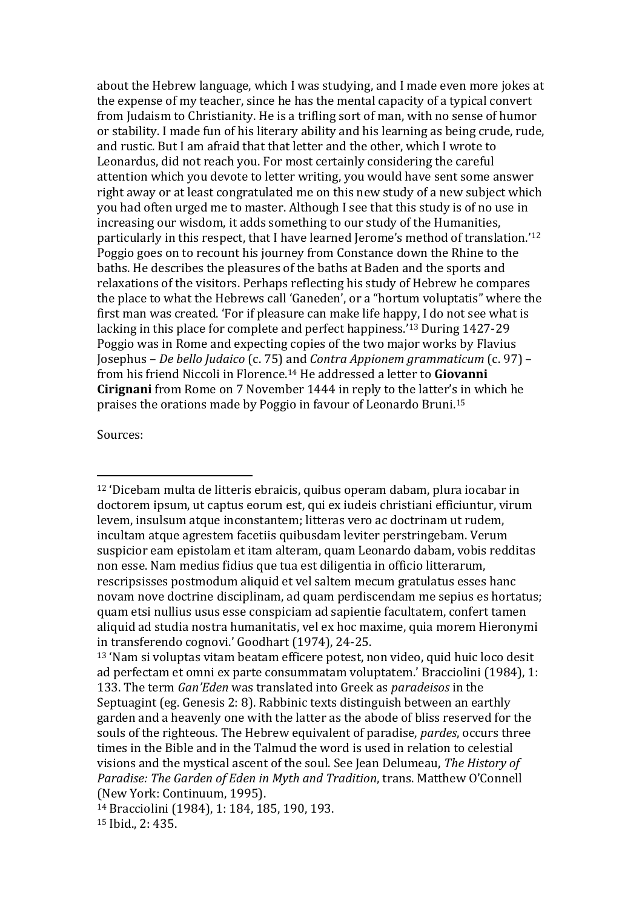about the Hebrew language, which I was studying, and I made even more jokes at the expense of my teacher, since he has the mental capacity of a typical convert from Judaism to Christianity. He is a trifling sort of man, with no sense of humor or stability. I made fun of his literary ability and his learning as being crude, rude, and rustic. But I am afraid that that letter and the other, which I wrote to Leonardus, did not reach you. For most certainly considering the careful attention which you devote to letter writing, you would have sent some answer right away or at least congratulated me on this new study of a new subject which you had often urged me to master. Although I see that this study is of no use in increasing our wisdom, it adds something to our study of the Humanities, particularly in this respect, that I have learned Jerome's method of translation.'<sup>12</sup> Poggio goes on to recount his journey from Constance down the Rhine to the baths. He describes the pleasures of the baths at Baden and the sports and relaxations of the visitors. Perhaps reflecting his study of Hebrew he compares the place to what the Hebrews call 'Ganeden', or a "hortum voluptatis" where the first man was created. 'For if pleasure can make life happy, I do not see what is lacking in this place for complete and perfect happiness.'<sup>13</sup> During 1427-29 Poggio was in Rome and expecting copies of the two major works by Flavius Josephus – *De bello Judaico* (c. 75) and *Contra Appionem grammaticum* (c. 97) – from his friend Niccoli in Florence.<sup>14</sup> He addressed a letter to **Giovanni Cirignani** from Rome on 7 November 1444 in reply to the latter's in which he praises the orations made by Poggio in favour of Leonardo Bruni.<sup>15</sup>

Sources:

<sup>12</sup> 'Dicebam multa de litteris ebraicis, quibus operam dabam, plura iocabar in doctorem ipsum, ut captus eorum est, qui ex iudeis christiani efficiuntur, virum levem, insulsum atque inconstantem; litteras vero ac doctrinam ut rudem, incultam atque agrestem facetiis quibusdam leviter perstringebam. Verum suspicior eam epistolam et itam alteram, quam Leonardo dabam, vobis redditas non esse. Nam medius fidius que tua est diligentia in officio litterarum, rescripsisses postmodum aliquid et vel saltem mecum gratulatus esses hanc novam nove doctrine disciplinam, ad quam perdiscendam me sepius es hortatus; quam etsi nullius usus esse conspiciam ad sapientie facultatem, confert tamen aliquid ad studia nostra humanitatis, vel ex hoc maxime, quia morem Hieronymi in transferendo cognovi.' Goodhart (1974), 24-25.

<sup>13</sup> 'Nam si voluptas vitam beatam efficere potest, non video, quid huic loco desit ad perfectam et omni ex parte consummatam voluptatem.' Bracciolini (1984), 1: 133. The term *Gan'Eden* was translated into Greek as *paradeisos* in the Septuagint (eg. Genesis 2: 8). Rabbinic texts distinguish between an earthly garden and a heavenly one with the latter as the abode of bliss reserved for the souls of the righteous. The Hebrew equivalent of paradise, *pardes*, occurs three times in the Bible and in the Talmud the word is used in relation to celestial visions and the mystical ascent of the soul. See Jean Delumeau, *The History of Paradise: The Garden of Eden in Myth and Tradition*, trans. Matthew O'Connell (New York: Continuum, 1995).

<sup>14</sup> Bracciolini (1984), 1: 184, 185, 190, 193. <sup>15</sup> Ibid., 2: 435.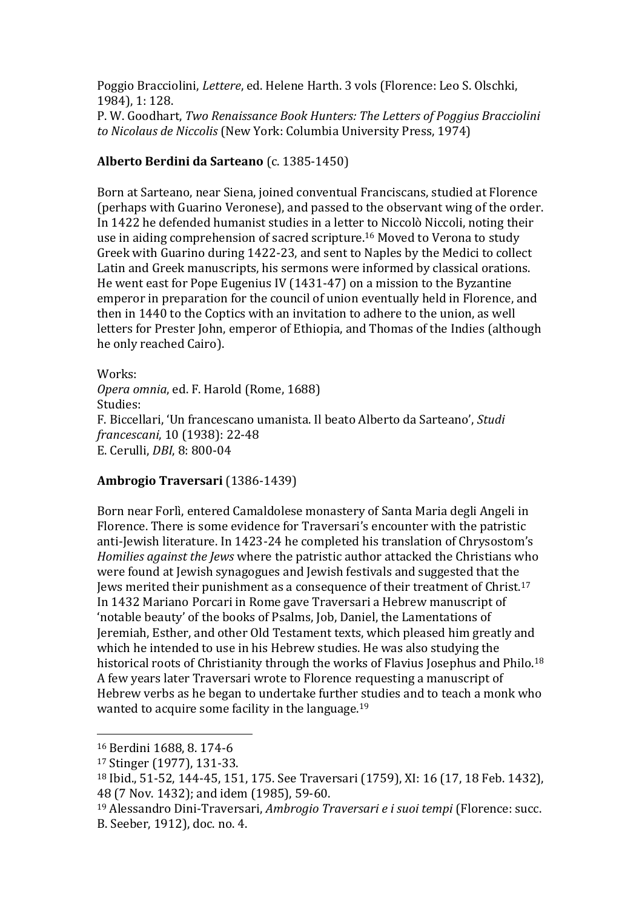Poggio Bracciolini, *Lettere*, ed. Helene Harth. 3 vols (Florence: Leo S. Olschki, 1984), 1: 128.

P. W. Goodhart, *Two Renaissance Book Hunters: The Letters of Poggius Bracciolini to Nicolaus de Niccolis* (New York: Columbia University Press, 1974)

## **Alberto Berdini da Sarteano** (c. 1385-1450)

Born at Sarteano, near Siena, joined conventual Franciscans, studied at Florence (perhaps with Guarino Veronese), and passed to the observant wing of the order. In 1422 he defended humanist studies in a letter to Niccolò Niccoli, noting their use in aiding comprehension of sacred scripture. <sup>16</sup> Moved to Verona to study Greek with Guarino during 1422-23, and sent to Naples by the Medici to collect Latin and Greek manuscripts, his sermons were informed by classical orations. He went east for Pope Eugenius IV (1431-47) on a mission to the Byzantine emperor in preparation for the council of union eventually held in Florence, and then in 1440 to the Coptics with an invitation to adhere to the union, as well letters for Prester John, emperor of Ethiopia, and Thomas of the Indies (although he only reached Cairo).

Works: *Opera omnia*, ed. F. Harold (Rome, 1688) Studies: F. Biccellari, 'Un francescano umanista. Il beato Alberto da Sarteano', *Studi francescani*, 10 (1938): 22-48 E. Cerulli, *DBI*, 8: 800-04

## **Ambrogio Traversari** (1386-1439)

Born near Forlì, entered Camaldolese monastery of Santa Maria degli Angeli in Florence. There is some evidence for Traversari's encounter with the patristic anti-Jewish literature. In 1423-24 he completed his translation of Chrysostom's *Homilies against the Jews* where the patristic author attacked the Christians who were found at Jewish synagogues and Jewish festivals and suggested that the Jews merited their punishment as a consequence of their treatment of Christ.<sup>17</sup> In 1432 Mariano Porcari in Rome gave Traversari a Hebrew manuscript of 'notable beauty' of the books of Psalms, Job, Daniel, the Lamentations of Jeremiah, Esther, and other Old Testament texts, which pleased him greatly and which he intended to use in his Hebrew studies. He was also studying the historical roots of Christianity through the works of Flavius Josephus and Philo.<sup>18</sup> A few years later Traversari wrote to Florence requesting a manuscript of Hebrew verbs as he began to undertake further studies and to teach a monk who wanted to acquire some facility in the language.<sup>19</sup>

<sup>16</sup> Berdini 1688, 8. 174-6

<sup>17</sup> Stinger (1977), 131-33.

<sup>18</sup> Ibid., 51-52, 144-45, 151, 175. See Traversari (1759), XI: 16 (17, 18 Feb. 1432), 48 (7 Nov. 1432); and idem (1985), 59-60.

<sup>19</sup> Alessandro Dini-Traversari, *Ambrogio Traversari e i suoi tempi* (Florence: succ. B. Seeber, 1912), doc. no. 4.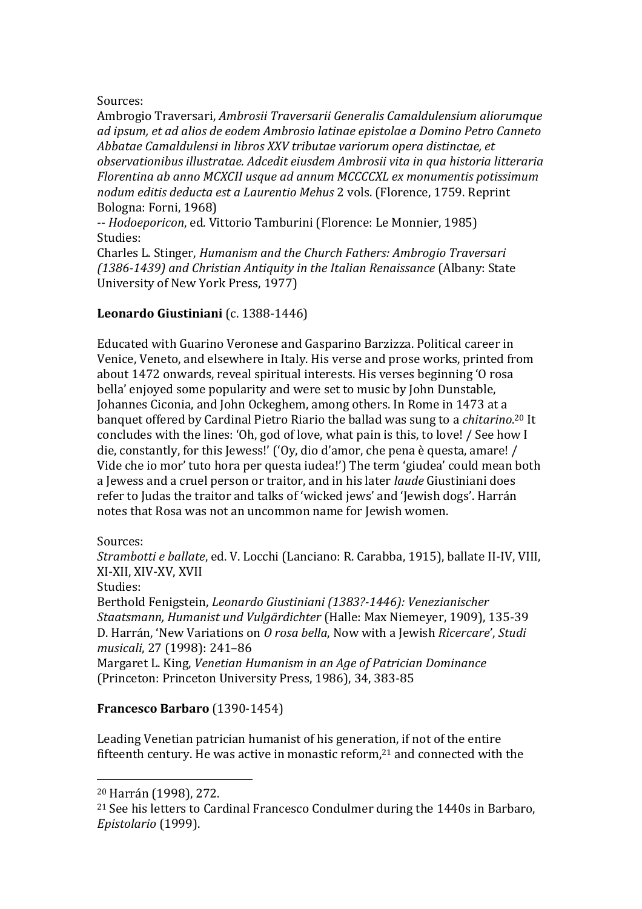### Sources:

Ambrogio Traversari, *Ambrosii Traversarii Generalis Camaldulensium aliorumque ad ipsum, et ad alios de eodem Ambrosio latinae epistolae a Domino Petro Canneto Abbatae Camaldulensi in libros XXV tributae variorum opera distinctae, et observationibus illustratae. Adcedit eiusdem Ambrosii vita in qua historia litteraria Florentina ab anno MCXCII usque ad annum MCCCCXL ex monumentis potissimum nodum editis deducta est a Laurentio Mehus* 2 vols. (Florence, 1759. Reprint Bologna: Forni, 1968)

-- *Hodoeporicon*, ed. Vittorio Tamburini (Florence: Le Monnier, 1985) Studies:

Charles L. Stinger, *Humanism and the Church Fathers: Ambrogio Traversari (1386-1439) and Christian Antiquity in the Italian Renaissance* (Albany: State University of New York Press, 1977)

## **Leonardo Giustiniani** (c. 1388-1446)

Educated with Guarino Veronese and Gasparino Barzizza. Political career in Venice, Veneto, and elsewhere in Italy. His verse and prose works, printed from about 1472 onwards, reveal spiritual interests. His verses beginning 'O rosa bella' enjoyed some popularity and were set to music by John Dunstable, Johannes Ciconia, and John Ockeghem, among others. In Rome in 1473 at a banquet offered by Cardinal Pietro Riario the ballad was sung to a *chitarino*. <sup>20</sup> It concludes with the lines: 'Oh, god of love, what pain is this, to love! / See how I die, constantly, for this Jewess!' ('Oy, dio d'amor, che pena è questa, amare! / Vide che io mor' tuto hora per questa iudea!') The term 'giudea' could mean both a Jewess and a cruel person or traitor, and in his later *laude* Giustiniani does refer to Judas the traitor and talks of 'wicked jews' and 'Jewish dogs'. Harrán notes that Rosa was not an uncommon name for Jewish women.

Sources:

*Strambotti e ballate*, ed. V. Locchi (Lanciano: R. Carabba, 1915), ballate II-IV, VIII, XI-XII, XIV-XV, XVII

Studies:

 $\overline{a}$ 

Berthold Fenigstein, *[Leonardo Giustiniani \(1383?-1446\):](http://copac.ac.uk/search?ti=Leonardo%20Giustiniani%20%281383?-1446%29) Venezianischer Staatsmann, Humanist und Vulgärdichter* (Halle: Max Niemeyer, 1909), 135-39 D. Harrán, 'New Variations on *O rosa bella*, Now with a Jewish *Ricercare*', *Studi musicali*, 27 (1998): 241–86

Margaret L. King, *Venetian Humanism in an Age of Patrician Dominance* (Princeton: Princeton University Press, 1986), 34, 383-85

## **Francesco Barbaro** (1390-1454)

Leading Venetian patrician humanist of his generation, if not of the entire fifteenth century. He was active in monastic reform, $21$  and connected with the

<sup>20</sup> Harrán (1998), 272.

<sup>21</sup> See his letters to Cardinal Francesco Condulmer during the 1440s in Barbaro, *Epistolario* (1999).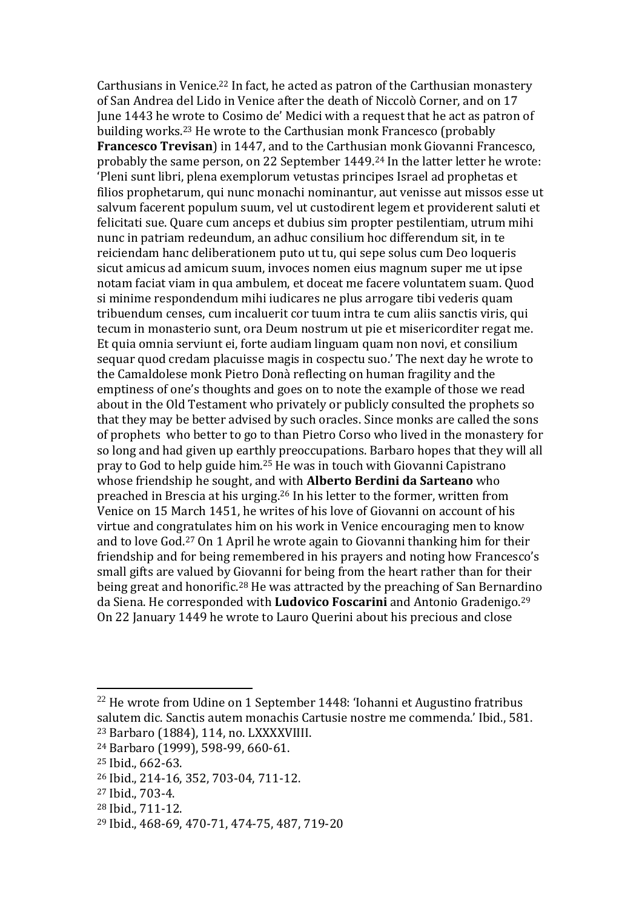Carthusians in Venice. <sup>22</sup> In fact, he acted as patron of the Carthusian monastery of San Andrea del Lido in Venice after the death of Niccolò Corner, and on 17 June 1443 he wrote to Cosimo de' Medici with a request that he act as patron of building works. <sup>23</sup> He wrote to the Carthusian monk Francesco (probably **Francesco Trevisan**) in 1447, and to the Carthusian monk Giovanni Francesco, probably the same person, on 22 September 1449.<sup>24</sup> In the latter letter he wrote: 'Pleni sunt libri, plena exemplorum vetustas principes Israel ad prophetas et filios prophetarum, qui nunc monachi nominantur, aut venisse aut missos esse ut salvum facerent populum suum, vel ut custodirent legem et providerent saluti et felicitati sue. Quare cum anceps et dubius sim propter pestilentiam, utrum mihi nunc in patriam redeundum, an adhuc consilium hoc differendum sit, in te reiciendam hanc deliberationem puto ut tu, qui sepe solus cum Deo loqueris sicut amicus ad amicum suum, invoces nomen eius magnum super me ut ipse notam faciat viam in qua ambulem, et doceat me facere voluntatem suam. Quod si minime respondendum mihi iudicares ne plus arrogare tibi vederis quam tribuendum censes, cum incaluerit cor tuum intra te cum aliis sanctis viris, qui tecum in monasterio sunt, ora Deum nostrum ut pie et misericorditer regat me. Et quia omnia serviunt ei, forte audiam linguam quam non novi, et consilium sequar quod credam placuisse magis in cospectu suo.' The next day he wrote to the Camaldolese monk Pietro Donà reflecting on human fragility and the emptiness of one's thoughts and goes on to note the example of those we read about in the Old Testament who privately or publicly consulted the prophets so that they may be better advised by such oracles. Since monks are called the sons of prophets who better to go to than Pietro Corso who lived in the monastery for so long and had given up earthly preoccupations. Barbaro hopes that they will all pray to God to help guide him.<sup>25</sup> He was in touch with Giovanni Capistrano whose friendship he sought, and with **Alberto Berdini da Sarteano** who preached in Brescia at his urging.<sup>26</sup> In his letter to the former, written from Venice on 15 March 1451, he writes of his love of Giovanni on account of his virtue and congratulates him on his work in Venice encouraging men to know and to love God.<sup>27</sup> On 1 April he wrote again to Giovanni thanking him for their friendship and for being remembered in his prayers and noting how Francesco's small gifts are valued by Giovanni for being from the heart rather than for their being great and honorific.<sup>28</sup> He was attracted by the preaching of San Bernardino da Siena. He corresponded with **Ludovico Foscarini** and Antonio Gradenigo.<sup>29</sup> On 22 January 1449 he wrote to Lauro Querini about his precious and close

 $\overline{a}$ 

<sup>27</sup> Ibid., 703-4.

<sup>&</sup>lt;sup>22</sup> He wrote from Udine on 1 September 1448: 'Iohanni et Augustino fratribus salutem dic. Sanctis autem monachis Cartusie nostre me commenda.' Ibid., 581. <sup>23</sup> Barbaro (1884), 114, no. LXXXXVIIII.

<sup>24</sup> Barbaro (1999), 598-99, 660-61.

<sup>25</sup> Ibid., 662-63.

<sup>26</sup> Ibid., 214-16, 352, 703-04, 711-12.

<sup>28</sup> Ibid., 711-12.

<sup>29</sup> Ibid., 468-69, 470-71, 474-75, 487, 719-20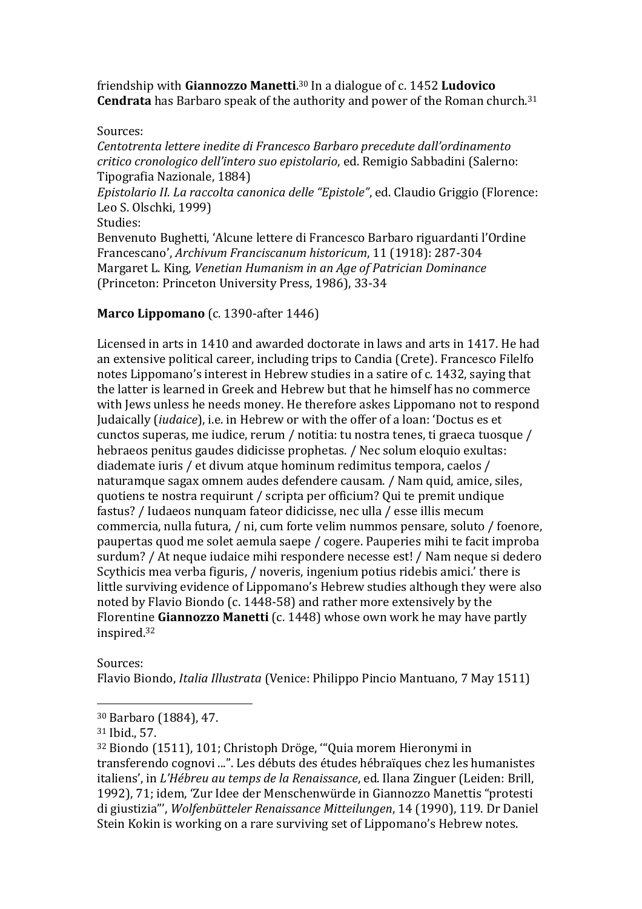friendship with **Giannozzo Manetti**. <sup>30</sup> In a dialogue of c. 1452 **Ludovico Cendrata** has Barbaro speak of the authority and power of the Roman church.<sup>31</sup>

### Sources:

*Centotrenta lettere inedite di Francesco Barbaro precedute dall'ordinamento critico cronologico dell'intero suo epistolario*, ed. Remigio Sabbadini (Salerno: Tipografia Nazionale, 1884)

*Epistolario II. La raccolta canonica delle "Epistole"*, ed. Claudio Griggio (Florence: Leo S. Olschki, 1999)

Studies:

Benvenuto Bughetti, 'Alcune lettere di Francesco Barbaro riguardanti l'Ordine Francescano', *Archivum Franciscanum historicum*, 11 (1918): 287-304 Margaret L. King, *Venetian Humanism in an Age of Patrician Dominance* (Princeton: Princeton University Press, 1986), 33-34

## **Marco Lippomano** (c. 1390-after 1446)

Licensed in arts in 1410 and awarded doctorate in laws and arts in 1417. He had an extensive political career, including trips to Candia (Crete). Francesco Filelfo notes Lippomano's interest in Hebrew studies in a satire of c. 1432, saying that the latter is learned in Greek and Hebrew but that he himself has no commerce with Jews unless he needs money. He therefore askes Lippomano not to respond Judaically (*iudaice*), i.e. in Hebrew or with the offer of a loan: 'Doctus es et cunctos superas, me iudice, rerum / notitia: tu nostra tenes, ti graeca tuosque / hebraeos penitus gaudes didicisse prophetas. / Nec solum eloquio exultas: diademate iuris / et divum atque hominum redimitus tempora, caelos / naturamque sagax omnem audes defendere causam. / Nam quid, amice, siles, quotiens te nostra requirunt / scripta per officium? Qui te premit undique fastus? / Iudaeos nunquam fateor didicisse, nec ulla / esse illis mecum commercia, nulla futura, / ni, cum forte velim nummos pensare, soluto / foenore, paupertas quod me solet aemula saepe / cogere. Pauperies mihi te facit improba surdum? / At neque iudaice mihi respondere necesse est! / Nam neque si dedero Scythicis mea verba figuris, / noveris, ingenium potius ridebis amici.' there is little surviving evidence of Lippomano's Hebrew studies although they were also noted by Flavio Biondo (c. 1448-58) and rather more extensively by the Florentine **Giannozzo Manetti** (c. 1448) whose own work he may have partly inspired.<sup>32</sup>

Sources:

 $\overline{a}$ 

Flavio Biondo, *Italia Illustrata* (Venice: Philippo Pincio Mantuano, 7 May 1511)

<sup>30</sup> Barbaro (1884), 47.

<sup>31</sup> Ibid., 57.

<sup>32</sup> Biondo (1511), 101; Christoph Dröge, '"Quia morem Hieronymi in transferendo cognovi ...". Les débuts des études hébraïques chez les humanistes italiens', in *L'Hébreu au temps de la Renaissance*, ed. Ilana Zinguer (Leiden: Brill, 1992), 71; idem, 'Zur Idee der Menschenwürde in Giannozzo Manettis "protesti di giustizia"', *Wolfenbütteler Renaissance Mitteilungen*, 14 (1990), 119. Dr Daniel Stein Kokin is working on a rare surviving set of Lippomano's Hebrew notes.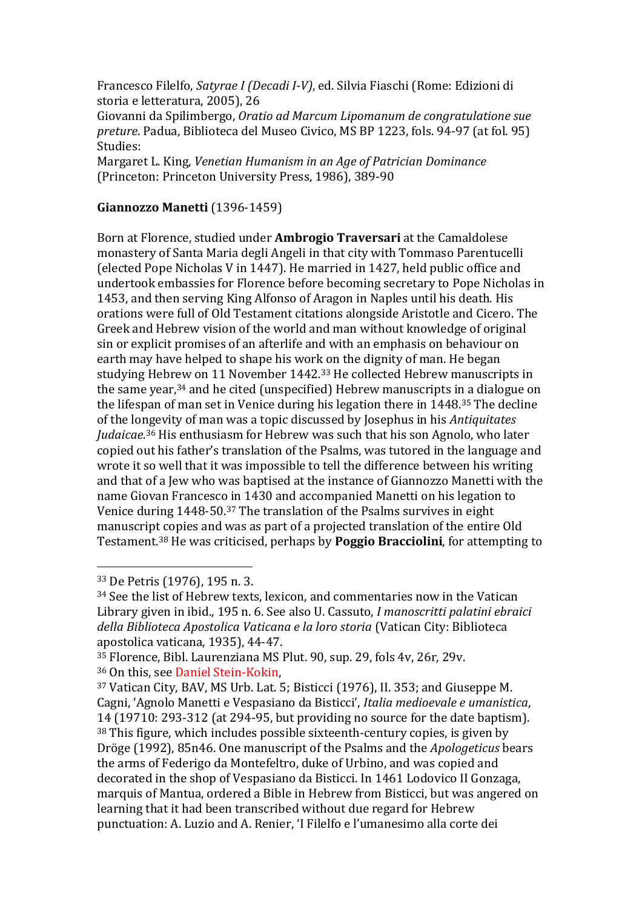Francesco Filelfo, *Satyrae I (Decadi I-V)*, ed. Silvia Fiaschi (Rome: Edizioni di storia e letteratura, 2005), 26

Giovanni da Spilimbergo, *Oratio ad Marcum Lipomanum de congratulatione sue preture*. Padua, Biblioteca del Museo Civico, MS BP 1223, fols. 94-97 (at fol. 95) Studies:

Margaret L. King, *Venetian Humanism in an Age of Patrician Dominance* (Princeton: Princeton University Press, 1986), 389-90

### **Giannozzo Manetti** (1396-1459)

Born at Florence, studied under **Ambrogio Traversari** at the Camaldolese monastery of Santa Maria degli Angeli in that city with Tommaso Parentucelli (elected Pope Nicholas V in 1447). He married in 1427, held public office and undertook embassies for Florence before becoming secretary to Pope Nicholas in 1453, and then serving King Alfonso of Aragon in Naples until his death. His orations were full of Old Testament citations alongside Aristotle and Cicero. The Greek and Hebrew vision of the world and man without knowledge of original sin or explicit promises of an afterlife and with an emphasis on behaviour on earth may have helped to shape his work on the dignity of man. He began studying Hebrew on 11 November 1442.<sup>33</sup> He collected Hebrew manuscripts in the same year,<sup>34</sup> and he cited (unspecified) Hebrew manuscripts in a dialogue on the lifespan of man set in Venice during his legation there in 1448. <sup>35</sup> The decline of the longevity of man was a topic discussed by Josephus in his *Antiquitates Judaicae*. <sup>36</sup> His enthusiasm for Hebrew was such that his son Agnolo, who later copied out his father's translation of the Psalms, was tutored in the language and wrote it so well that it was impossible to tell the difference between his writing and that of a Jew who was baptised at the instance of Giannozzo Manetti with the name Giovan Francesco in 1430 and accompanied Manetti on his legation to Venice during 1448-50. <sup>37</sup> The translation of the Psalms survives in eight manuscript copies and was as part of a projected translation of the entire Old Testament.<sup>38</sup> He was criticised, perhaps by **Poggio Bracciolini**, for attempting to

<sup>33</sup> De Petris (1976), 195 n. 3.

<sup>34</sup> See the list of Hebrew texts, lexicon, and commentaries now in the Vatican Library given in ibid., 195 n. 6. See also U. Cassuto, *I manoscritti palatini ebraici della Biblioteca Apostolica Vaticana e la loro storia* (Vatican City: Biblioteca apostolica vaticana, 1935), 44-47.

<sup>35</sup> Florence, Bibl. Laurenziana MS Plut. 90, sup. 29, fols 4v, 26r, 29v. <sup>36</sup> On this, see Daniel Stein-Kokin,

<sup>37</sup> Vatican City, BAV, MS Urb. Lat. 5; Bisticci (1976), II. 353; and Giuseppe M. Cagni, 'Agnolo Manetti e Vespasiano da Bisticci', *Italia medioevale e umanistica*, 14 (19710: 293-312 (at 294-95, but providing no source for the date baptism). <sup>38</sup> This figure, which includes possible sixteenth-century copies, is given by Dröge (1992), 85n46. One manuscript of the Psalms and the *Apologeticus* bears the arms of Federigo da Montefeltro, duke of Urbino, and was copied and decorated in the shop of Vespasiano da Bisticci. In 1461 Lodovico II Gonzaga, marquis of Mantua, ordered a Bible in Hebrew from Bisticci, but was angered on learning that it had been transcribed without due regard for Hebrew punctuation: A. Luzio and A. Renier, 'I Filelfo e l'umanesimo alla corte dei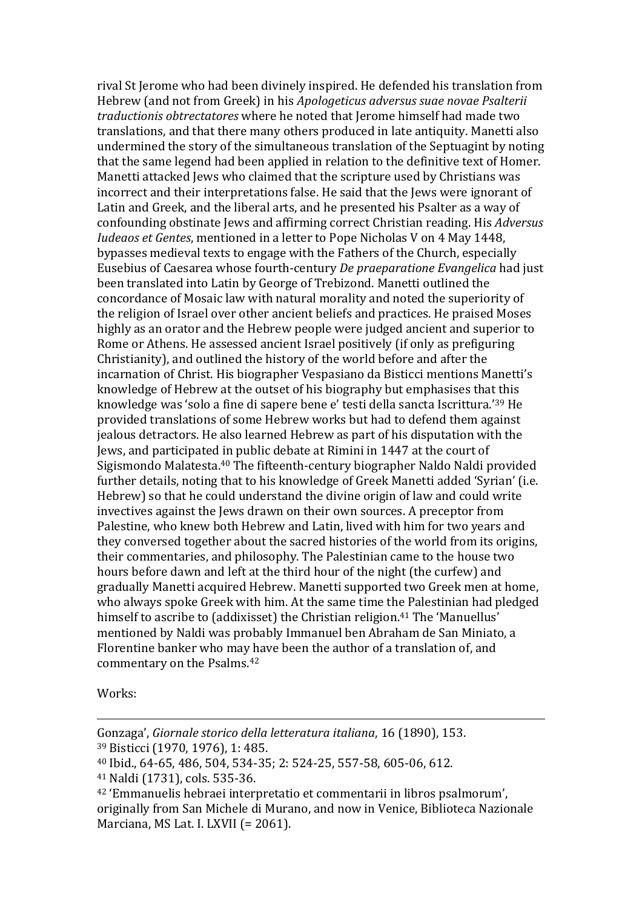rival St Jerome who had been divinely inspired. He defended his translation from Hebrew (and not from Greek) in his *Apologeticus adversus suae novae Psalterii traductionis obtrectatores* where he noted that Jerome himself had made two translations, and that there many others produced in late antiquity. Manetti also undermined the story of the simultaneous translation of the Septuagint by noting that the same legend had been applied in relation to the definitive text of Homer. Manetti attacked Jews who claimed that the scripture used by Christians was incorrect and their interpretations false. He said that the Jews were ignorant of Latin and Greek, and the liberal arts, and he presented his Psalter as a way of confounding obstinate Jews and affirming correct Christian reading. His *Adversus Iudeaos et Gentes*, mentioned in a letter to Pope Nicholas V on 4 May 1448, bypasses medieval texts to engage with the Fathers of the Church, especially Eusebius of Caesarea whose fourth-century *De praeparatione Evangelica* had just been translated into Latin by George of Trebizond. Manetti outlined the concordance of Mosaic law with natural morality and noted the superiority of the religion of Israel over other ancient beliefs and practices. He praised Moses highly as an orator and the Hebrew people were judged ancient and superior to Rome or Athens. He assessed ancient Israel positively (if only as prefiguring Christianity), and outlined the history of the world before and after the incarnation of Christ. His biographer Vespasiano da Bisticci mentions Manetti's knowledge of Hebrew at the outset of his biography but emphasises that this knowledge was 'solo a fine di sapere bene e' testi della sancta Iscrittura.'<sup>39</sup> He provided translations of some Hebrew works but had to defend them against jealous detractors. He also learned Hebrew as part of his disputation with the Jews, and participated in public debate at Rimini in 1447 at the court of Sigismondo Malatesta.<sup>40</sup> The fifteenth-century biographer Naldo Naldi provided further details, noting that to his knowledge of Greek Manetti added 'Syrian' (i.e. Hebrew) so that he could understand the divine origin of law and could write invectives against the Jews drawn on their own sources. A preceptor from Palestine, who knew both Hebrew and Latin, lived with him for two years and they conversed together about the sacred histories of the world from its origins, their commentaries, and philosophy. The Palestinian came to the house two hours before dawn and left at the third hour of the night (the curfew) and gradually Manetti acquired Hebrew. Manetti supported two Greek men at home, who always spoke Greek with him. At the same time the Palestinian had pledged himself to ascribe to (addixisset) the Christian religion.<sup>41</sup> The 'Manuellus' mentioned by Naldi was probably Immanuel ben Abraham de San Miniato, a Florentine banker who may have been the author of a translation of, and commentary on the Psalms.<sup>42</sup>

Works:

Gonzaga', *Giornale storico della letteratura italiana*, 16 (1890), 153. <sup>39</sup> Bisticci (1970, 1976), 1: 485.

<sup>40</sup> Ibid., 64-65, 486, 504, 534-35; 2: 524-25, 557-58, 605-06, 612.

<sup>41</sup> Naldi (1731), cols. 535-36.

<sup>42</sup> 'Emmanuelis hebraei interpretatio et commentarii in libros psalmorum', originally from San Michele di Murano, and now in Venice, Biblioteca Nazionale Marciana, MS Lat. I. LXVII (= 2061).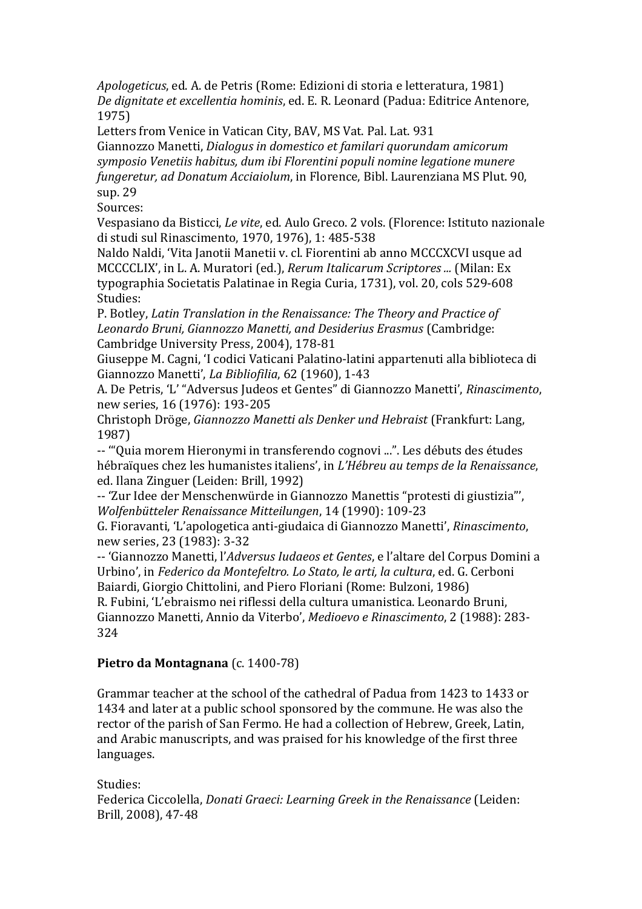*Apologeticus*, ed. A. de Petris (Rome: Edizioni di storia e letteratura, 1981) *De dignitate et excellentia hominis*, ed. E. R. Leonard (Padua: Editrice Antenore, 1975)

Letters from Venice in Vatican City, BAV, MS Vat. Pal. Lat. 931 Giannozzo Manetti, *Dialogus in domestico et familari quorundam amicorum symposio Venetiis habitus, dum ibi Florentini populi nomine legatione munere fungeretur, ad Donatum Acciaiolum*, in Florence, Bibl. Laurenziana MS Plut. 90, sup. 29

Sources:

Vespasiano da Bisticci, *Le vite*, ed. Aulo Greco. 2 vols. (Florence: Istituto nazionale di studi sul Rinascimento, 1970, 1976), 1: 485-538

Naldo Naldi, 'Vita Janotii Manetii v. cl. Fiorentini ab anno MCCCXCVI usque ad MCCCCLIX', in L. A. Muratori (ed.), *Rerum Italicarum Scriptores ...* (Milan: Ex typographia Societatis Palatinae in Regia Curia, 1731), vol. 20, cols 529-608 Studies:

P. Botley, *Latin Translation in the Renaissance: The Theory and Practice of Leonardo Bruni, Giannozzo Manetti, and Desiderius Erasmus* (Cambridge: Cambridge University Press, 2004), 178-81

Giuseppe M. Cagni, 'I codici Vaticani Palatino-latini appartenuti alla biblioteca di Giannozzo Manetti', *La Bibliofilia*, 62 (1960), 1-43

A. De Petris, 'L' "Adversus Judeos et Gentes" di Giannozzo Manetti', *Rinascimento*, new series, 16 (1976): 193-205

Christoph Dröge, *Giannozzo Manetti als Denker und Hebraist* (Frankfurt: Lang, 1987)

-- '"Quia morem Hieronymi in transferendo cognovi ...". Les débuts des études hébraïques chez les humanistes italiens', in *L'Hébreu au temps de la Renaissance*, ed. Ilana Zinguer (Leiden: Brill, 1992)

-- 'Zur Idee der Menschenwürde in Giannozzo Manettis "protesti di giustizia"', *Wolfenbütteler Renaissance Mitteilungen*, 14 (1990): 109-23

G. Fioravanti, 'L'apologetica anti-giudaica di Giannozzo Manetti', *Rinascimento*, new series, 23 (1983): 3-32

-- 'Giannozzo Manetti, l'*Adversus Iudaeos et Gentes*, e l'altare del Corpus Domini a Urbino', in *Federico da Montefeltro. Lo Stato, le arti, la cultura*, ed. G. Cerboni Baiardi, Giorgio Chittolini, and Piero Floriani (Rome: Bulzoni, 1986)

R. Fubini, 'L'ebraismo nei riflessi della cultura umanistica. Leonardo Bruni, Giannozzo Manetti, Annio da Viterbo', *Medioevo e Rinascimento*, 2 (1988): 283- 324

## **Pietro da Montagnana** (c. 1400-78)

Grammar teacher at the school of the cathedral of Padua from 1423 to 1433 or 1434 and later at a public school sponsored by the commune. He was also the rector of the parish of San Fermo. He had a collection of Hebrew, Greek, Latin, and Arabic manuscripts, and was praised for his knowledge of the first three languages.

Studies:

Federica Ciccolella, *Donati Graeci: Learning Greek in the Renaissance* (Leiden: Brill, 2008), 47-48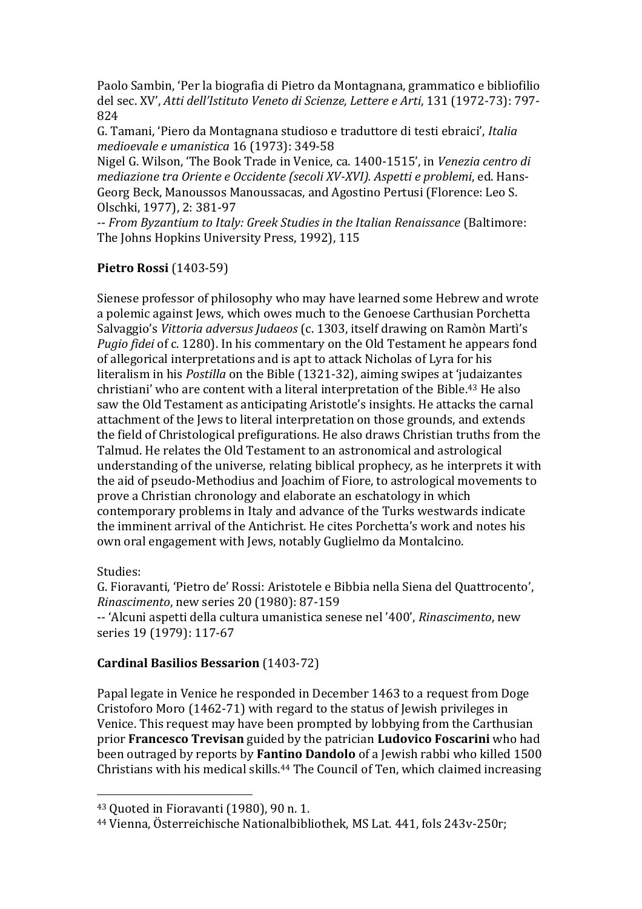Paolo Sambin, 'Per la biografia di Pietro da Montagnana, grammatico e bibliofilio del sec. XV', *Atti dell'Istituto Veneto di Scienze, Lettere e Arti*, 131 (1972-73): 797- 824

G. Tamani, 'Piero da Montagnana studioso e traduttore di testi ebraici', *Italia medioevale e umanistica* 16 (1973): 349-58

Nigel G. Wilson, 'The Book Trade in Venice, ca. 1400-1515', in *Venezia centro di mediazione tra Oriente e Occidente (secoli XV-XVI). Aspetti e problemi*, ed. Hans-Georg Beck, Manoussos Manoussacas, and Agostino Pertusi (Florence: Leo S. Olschki, 1977), 2: 381-97

-- *From Byzantium to Italy: Greek Studies in the Italian Renaissance* (Baltimore: The Johns Hopkins University Press, 1992), 115

### **Pietro Rossi** (1403-59)

Sienese professor of philosophy who may have learned some Hebrew and wrote a polemic against Jews, which owes much to the Genoese Carthusian Porchetta Salvaggio's *Vittoria adversus Judaeos* (c. 1303, itself drawing on Ramòn Martì's *Pugio fidei* of c. 1280). In his commentary on the Old Testament he appears fond of allegorical interpretations and is apt to attack Nicholas of Lyra for his literalism in his *Postilla* on the Bible (1321-32), aiming swipes at 'judaizantes christiani' who are content with a literal interpretation of the Bible.<sup>43</sup> He also saw the Old Testament as anticipating Aristotle's insights. He attacks the carnal attachment of the Jews to literal interpretation on those grounds, and extends the field of Christological prefigurations. He also draws Christian truths from the Talmud. He relates the Old Testament to an astronomical and astrological understanding of the universe, relating biblical prophecy, as he interprets it with the aid of pseudo-Methodius and Joachim of Fiore, to astrological movements to prove a Christian chronology and elaborate an eschatology in which contemporary problems in Italy and advance of the Turks westwards indicate the imminent arrival of the Antichrist. He cites Porchetta's work and notes his own oral engagement with Jews, notably Guglielmo da Montalcino.

### Studies:

 $\overline{a}$ 

G. Fioravanti, 'Pietro de' Rossi: Aristotele e Bibbia nella Siena del Quattrocento', *Rinascimento*, new series 20 (1980): 87-159

-- 'Alcuni aspetti della cultura umanistica senese nel '400', *Rinascimento*, new series 19 (1979): 117-67

## **Cardinal Basilios Bessarion** (1403-72)

Papal legate in Venice he responded in December 1463 to a request from Doge Cristoforo Moro (1462-71) with regard to the status of Jewish privileges in Venice. This request may have been prompted by lobbying from the Carthusian prior **Francesco Trevisan** guided by the patrician **Ludovico Foscarini** who had been outraged by reports by **Fantino Dandolo** of a Jewish rabbi who killed 1500 Christians with his medical skills.<sup>44</sup> The Council of Ten, which claimed increasing

<sup>43</sup> Quoted in Fioravanti (1980), 90 n. 1.

<sup>44</sup> Vienna, Österreichische Nationalbibliothek, MS Lat. 441, fols 243v-250r;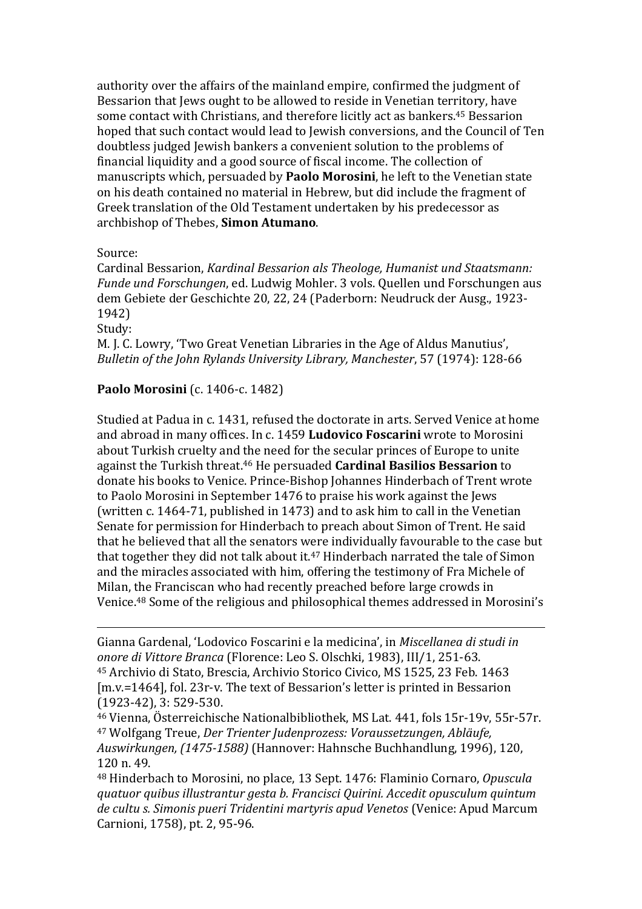authority over the affairs of the mainland empire, confirmed the judgment of Bessarion that Jews ought to be allowed to reside in Venetian territory, have some contact with Christians, and therefore licitly act as bankers.<sup>45</sup> Bessarion hoped that such contact would lead to Jewish conversions, and the Council of Ten doubtless judged Jewish bankers a convenient solution to the problems of financial liquidity and a good source of fiscal income. The collection of manuscripts which, persuaded by **Paolo Morosini**, he left to the Venetian state on his death contained no material in Hebrew, but did include the fragment of Greek translation of the Old Testament undertaken by his predecessor as archbishop of Thebes, **Simon Atumano**.

Source:

Cardinal Bessarion, *Kardinal Bessarion als Theologe, Humanist und Staatsmann: Funde und Forschungen*, ed. Ludwig Mohler. 3 vols. Quellen und Forschungen aus dem Gebiete der Geschichte 20, 22, 24 (Paderborn: Neudruck der Ausg., 1923- 1942)

Study:

 $\overline{a}$ 

M. J. C. Lowry, 'Two Great Venetian Libraries in the Age of Aldus Manutius', *Bulletin of the John Rylands University Library, Manchester*, 57 (1974): 128-66

## **Paolo Morosini** (c. 1406-c. 1482)

Studied at Padua in c. 1431, refused the doctorate in arts. Served Venice at home and abroad in many offices. In c. 1459 **Ludovico Foscarini** wrote to Morosini about Turkish cruelty and the need for the secular princes of Europe to unite against the Turkish threat.<sup>46</sup> He persuaded **Cardinal Basilios Bessarion** to donate his books to Venice. Prince-Bishop Johannes Hinderbach of Trent wrote to Paolo Morosini in September 1476 to praise his work against the Jews (written c. 1464-71, published in 1473) and to ask him to call in the Venetian Senate for permission for Hinderbach to preach about Simon of Trent. He said that he believed that all the senators were individually favourable to the case but that together they did not talk about it. <sup>47</sup> Hinderbach narrated the tale of Simon and the miracles associated with him, offering the testimony of Fra Michele of Milan, the Franciscan who had recently preached before large crowds in Venice.<sup>48</sup> Some of the religious and philosophical themes addressed in Morosini's

<sup>48</sup> Hinderbach to Morosini, no place, 13 Sept. 1476: Flaminio Cornaro, *Opuscula quatuor quibus illustrantur gesta b. Francisci Quirini. Accedit opusculum quintum de cultu s. Simonis pueri Tridentini martyris apud Venetos* (Venice: Apud Marcum Carnioni, 1758), pt. 2, 95-96.

Gianna Gardenal, 'Lodovico Foscarini e la medicina', in *Miscellanea di studi in onore di Vittore Branca* (Florence: Leo S. Olschki, 1983), III/1, 251-63. <sup>45</sup> Archivio di Stato, Brescia, Archivio Storico Civico, MS 1525, 23 Feb. 1463 [m.v.=1464], fol. 23r-v. The text of Bessarion's letter is printed in Bessarion (1923-42), 3: 529-530.

<sup>46</sup> Vienna, Österreichische Nationalbibliothek, MS Lat. 441, fols 15r-19v, 55r-57r. <sup>47</sup> Wolfgang Treue, *Der Trienter Judenprozess: Voraussetzungen, Abläufe, Auswirkungen, (1475-1588)* (Hannover: Hahnsche Buchhandlung, 1996), 120, 120 n. 49.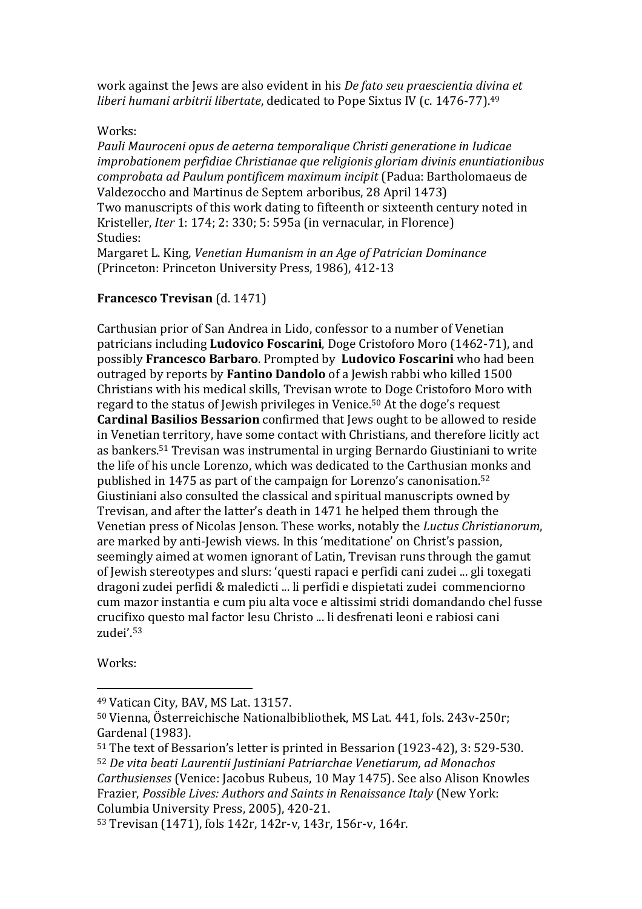work against the Jews are also evident in his *De fato seu praescientia divina et liberi humani arbitrii libertate*, dedicated to Pope Sixtus IV (c. 1476-77).<sup>49</sup>

#### Works:

*Pauli Mauroceni opus de aeterna temporalique Christi generatione in Iudicae improbationem perfidiae Christianae que religionis gloriam divinis enuntiationibus comprobata ad Paulum pontificem maximum incipit* (Padua: Bartholomaeus de Valdezoccho and Martinus de Septem arboribus, 28 April 1473) Two manuscripts of this work dating to fifteenth or sixteenth century noted in Kristeller, *Iter* 1: 174; 2: 330; 5: 595a (in vernacular, in Florence) Studies: Margaret L. King, *Venetian Humanism in an Age of Patrician Dominance*

(Princeton: Princeton University Press, 1986), 412-13

## **Francesco Trevisan** (d. 1471)

Carthusian prior of San Andrea in Lido, confessor to a number of Venetian patricians including **Ludovico Foscarini**, Doge Cristoforo Moro (1462-71), and possibly **Francesco Barbaro**. Prompted by **Ludovico Foscarini** who had been outraged by reports by **Fantino Dandolo** of a Jewish rabbi who killed 1500 Christians with his medical skills, Trevisan wrote to Doge Cristoforo Moro with regard to the status of Jewish privileges in Venice.<sup>50</sup> At the doge's request **Cardinal Basilios Bessarion** confirmed that Jews ought to be allowed to reside in Venetian territory, have some contact with Christians, and therefore licitly act as bankers.<sup>51</sup> Trevisan was instrumental in urging Bernardo Giustiniani to write the life of his uncle Lorenzo, which was dedicated to the Carthusian monks and published in 1475 as part of the campaign for Lorenzo's canonisation.<sup>52</sup> Giustiniani also consulted the classical and spiritual manuscripts owned by Trevisan, and after the latter's death in 1471 he helped them through the Venetian press of Nicolas Jenson. These works, notably the *Luctus Christianorum*, are marked by anti-Jewish views. In this 'meditatione' on Christ's passion, seemingly aimed at women ignorant of Latin, Trevisan runs through the gamut of Jewish stereotypes and slurs: 'questi rapaci e perfidi cani zudei ... gli toxegati dragoni zudei perfidi & maledicti ... li perfidi e dispietati zudei commenciorno cum mazor instantia e cum piu alta voce e altissimi stridi domandando chel fusse crucifixo questo mal factor Iesu Christo ... li desfrenati leoni e rabiosi cani zudei'.<sup>53</sup>

Works:

<sup>49</sup> Vatican City, BAV, MS Lat. 13157.

<sup>50</sup> Vienna, Österreichische Nationalbibliothek, MS Lat. 441, fols. 243v-250r; Gardenal (1983).

<sup>51</sup> The text of Bessarion's letter is printed in Bessarion (1923-42), 3: 529-530. <sup>52</sup> *De vita beati Laurentii Justiniani Patriarchae Venetiarum, ad Monachos Carthusienses* (Venice: Jacobus Rubeus, 10 May 1475). See also Alison Knowles Frazier, *Possible Lives: Authors and Saints in Renaissance Italy* (New York: Columbia University Press, 2005), 420-21.

<sup>53</sup> Trevisan (1471), fols 142r, 142r-v, 143r, 156r-v, 164r.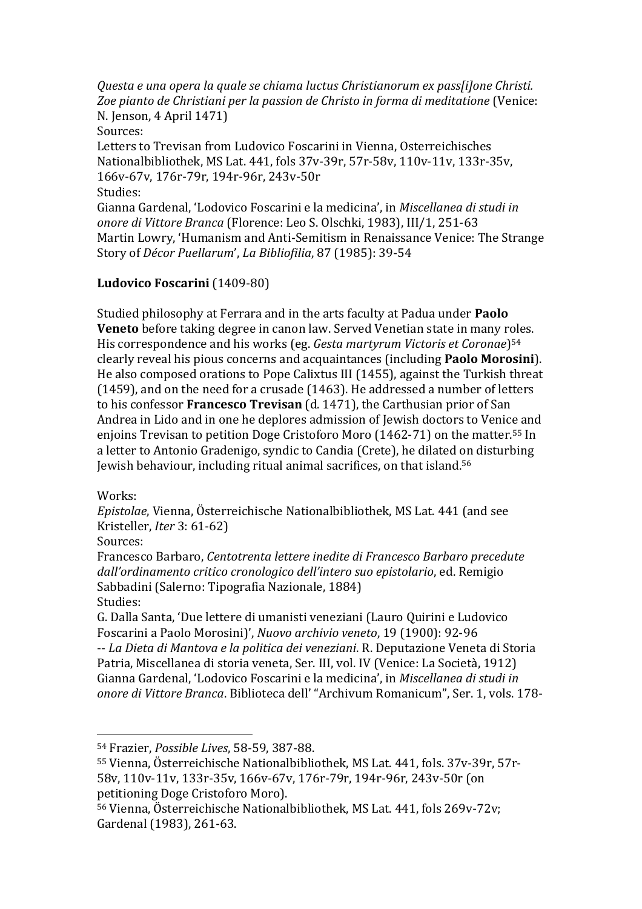*Questa e una opera la quale se chiama luctus Christianorum ex pass[i]one Christi. Zoe pianto de Christiani per la passion de Christo in forma di meditatione* (Venice: N. Jenson, 4 April 1471) Sources: Letters to Trevisan from Ludovico Foscarini in Vienna, Osterreichisches Nationalbibliothek, MS Lat. 441, fols 37v-39r, 57r-58v, 110v-11v, 133r-35v, 166v-67v, 176r-79r, 194r-96r, 243v-50r Studies: Gianna Gardenal, 'Lodovico Foscarini e la medicina', in *Miscellanea di studi in onore di Vittore Branca* (Florence: Leo S. Olschki, 1983), III/1, 251-63 Martin Lowry, 'Humanism and Anti-Semitism in Renaissance Venice: The Strange Story of *Décor Puellarum*', *La Bibliofilia*, 87 (1985): 39-54

## **Ludovico Foscarini** (1409-80)

Studied philosophy at Ferrara and in the arts faculty at Padua under **Paolo Veneto** before taking degree in canon law. Served Venetian state in many roles. His correspondence and his works (eg. *Gesta martyrum Victoris et Coronae*) 54 clearly reveal his pious concerns and acquaintances (including **Paolo Morosini**). He also composed orations to Pope Calixtus III (1455), against the Turkish threat (1459), and on the need for a crusade (1463). He addressed a number of letters to his confessor **Francesco Trevisan** (d. 1471), the Carthusian prior of San Andrea in Lido and in one he deplores admission of Jewish doctors to Venice and enjoins Trevisan to petition Doge Cristoforo Moro (1462-71) on the matter.<sup>55</sup> In a letter to Antonio Gradenigo, syndic to Candia (Crete), he dilated on disturbing Jewish behaviour, including ritual animal sacrifices, on that island.<sup>56</sup>

#### Works:

*Epistolae*, Vienna, Österreichische Nationalbibliothek, MS Lat. 441 (and see Kristeller, *Iter* 3: 61-62)

Sources:

 $\overline{a}$ 

Francesco Barbaro, *Centotrenta lettere inedite di Francesco Barbaro precedute dall'ordinamento critico cronologico dell'intero suo epistolario*, ed. Remigio Sabbadini (Salerno: Tipografia Nazionale, 1884) Studies:

G. Dalla Santa, 'Due lettere di umanisti veneziani (Lauro Quirini e Ludovico Foscarini a Paolo Morosini)', *Nuovo archivio veneto*, 19 (1900): 92-96 -- *La Dieta di Mantova e la politica dei veneziani*. R. Deputazione Veneta di Storia Patria, Miscellanea di storia veneta, Ser. III, vol. IV (Venice: La Società, 1912) Gianna Gardenal, 'Lodovico Foscarini e la medicina', in *Miscellanea di studi in onore di Vittore Branca*. Biblioteca dell' "Archivum Romanicum", Ser. 1, vols. 178-

<sup>54</sup> Frazier, *Possible Lives*, 58-59, 387-88.

<sup>55</sup> Vienna, Österreichische Nationalbibliothek, MS Lat. 441, fols. 37v-39r, 57r-58v, 110v-11v, 133r-35v, 166v-67v, 176r-79r, 194r-96r, 243v-50r (on petitioning Doge Cristoforo Moro).

<sup>56</sup> Vienna, Österreichische Nationalbibliothek, MS Lat. 441, fols 269v-72v; Gardenal (1983), 261-63.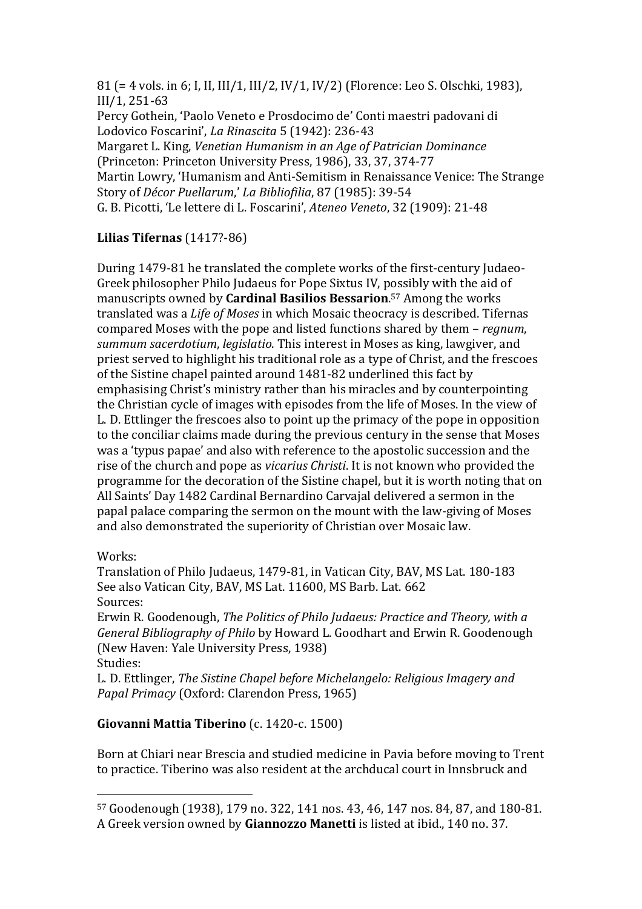81 (= 4 vols. in 6; I, II, III/1, III/2, IV/1, IV/2) (Florence: Leo S. Olschki, 1983), III/1, 251-63

Percy Gothein, 'Paolo Veneto e Prosdocimo de' Conti maestri padovani di Lodovico Foscarini', *La Rinascita* 5 (1942): 236-43 Margaret L. King, *Venetian Humanism in an Age of Patrician Dominance* (Princeton: Princeton University Press, 1986), 33, 37, 374-77 Martin Lowry, 'Humanism and Anti-Semitism in Renaissance Venice: The Strange Story of *Décor Puellarum*,' *La Bibliofilia*, 87 (1985): 39-54 G. B. Picotti, 'Le lettere di L. Foscarini', *Ateneo Veneto*, 32 (1909): 21-48

# **Lilias Tifernas** (1417?-86)

During 1479-81 he translated the complete works of the first-century Judaeo-Greek philosopher Philo Judaeus for Pope Sixtus IV, possibly with the aid of manuscripts owned by **Cardinal Basilios Bessarion**. <sup>57</sup> Among the works translated was a *Life of Moses* in which Mosaic theocracy is described. Tifernas compared Moses with the pope and listed functions shared by them – *regnum*, *summum sacerdotium*, *legislatio*. This interest in Moses as king, lawgiver, and priest served to highlight his traditional role as a type of Christ, and the frescoes of the Sistine chapel painted around 1481-82 underlined this fact by emphasising Christ's ministry rather than his miracles and by counterpointing the Christian cycle of images with episodes from the life of Moses. In the view of L. D. Ettlinger the frescoes also to point up the primacy of the pope in opposition to the conciliar claims made during the previous century in the sense that Moses was a 'typus papae' and also with reference to the apostolic succession and the rise of the church and pope as *vicarius Christi*. It is not known who provided the programme for the decoration of the Sistine chapel, but it is worth noting that on All Saints' Day 1482 Cardinal Bernardino Carvajal delivered a sermon in the papal palace comparing the sermon on the mount with the law-giving of Moses and also demonstrated the superiority of Christian over Mosaic law.

Works:

 $\overline{a}$ 

Translation of Philo Judaeus, 1479-81, in Vatican City, BAV, MS Lat. 180-183 See also Vatican City, BAV, MS Lat. 11600, MS Barb. Lat. 662 Sources:

Erwin R. Goodenough, *The Politics of Philo Judaeus: Practice and Theory, with a General Bibliography of Philo* by Howard L. Goodhart and Erwin R. Goodenough (New Haven: Yale University Press, 1938) Studies:

L. D. Ettlinger, *The Sistine Chapel before Michelangelo: Religious Imagery and Papal Primacy* (Oxford: Clarendon Press, 1965)

# **Giovanni Mattia Tiberino** (c. 1420-c. 1500)

Born at Chiari near Brescia and studied medicine in Pavia before moving to Trent to practice. Tiberino was also resident at the archducal court in Innsbruck and

<sup>57</sup> Goodenough (1938), 179 no. 322, 141 nos. 43, 46, 147 nos. 84, 87, and 180-81. A Greek version owned by **Giannozzo Manetti** is listed at ibid., 140 no. 37.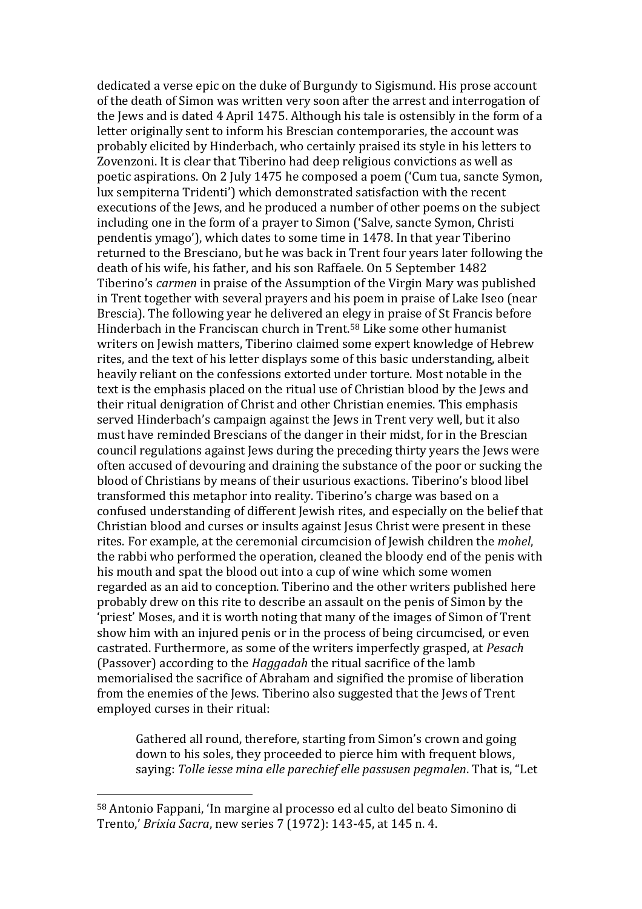dedicated a verse epic on the duke of Burgundy to Sigismund. His prose account of the death of Simon was written very soon after the arrest and interrogation of the Jews and is dated 4 April 1475. Although his tale is ostensibly in the form of a letter originally sent to inform his Brescian contemporaries, the account was probably elicited by Hinderbach, who certainly praised its style in his letters to Zovenzoni. It is clear that Tiberino had deep religious convictions as well as poetic aspirations. On 2 July 1475 he composed a poem ('Cum tua, sancte Symon, lux sempiterna Tridenti') which demonstrated satisfaction with the recent executions of the Jews, and he produced a number of other poems on the subject including one in the form of a prayer to Simon ('Salve, sancte Symon, Christi pendentis ymago'), which dates to some time in 1478. In that year Tiberino returned to the Bresciano, but he was back in Trent four years later following the death of his wife, his father, and his son Raffaele. On 5 September 1482 Tiberino's *carmen* in praise of the Assumption of the Virgin Mary was published in Trent together with several prayers and his poem in praise of Lake Iseo (near Brescia). The following year he delivered an elegy in praise of St Francis before Hinderbach in the Franciscan church in Trent.<sup>58</sup> Like some other humanist writers on Jewish matters, Tiberino claimed some expert knowledge of Hebrew rites, and the text of his letter displays some of this basic understanding, albeit heavily reliant on the confessions extorted under torture. Most notable in the text is the emphasis placed on the ritual use of Christian blood by the Jews and their ritual denigration of Christ and other Christian enemies. This emphasis served Hinderbach's campaign against the Jews in Trent very well, but it also must have reminded Brescians of the danger in their midst, for in the Brescian council regulations against Jews during the preceding thirty years the Jews were often accused of devouring and draining the substance of the poor or sucking the blood of Christians by means of their usurious exactions. Tiberino's blood libel transformed this metaphor into reality. Tiberino's charge was based on a confused understanding of different Jewish rites, and especially on the belief that Christian blood and curses or insults against Jesus Christ were present in these rites. For example, at the ceremonial circumcision of Jewish children the *mohel*, the rabbi who performed the operation, cleaned the bloody end of the penis with his mouth and spat the blood out into a cup of wine which some women regarded as an aid to conception. Tiberino and the other writers published here probably drew on this rite to describe an assault on the penis of Simon by the 'priest' Moses, and it is worth noting that many of the images of Simon of Trent show him with an injured penis or in the process of being circumcised, or even castrated. Furthermore, as some of the writers imperfectly grasped, at *Pesach* (Passover) according to the *Haggadah* the ritual sacrifice of the lamb memorialised the sacrifice of Abraham and signified the promise of liberation from the enemies of the Jews. Tiberino also suggested that the Jews of Trent employed curses in their ritual:

Gathered all round, therefore, starting from Simon's crown and going down to his soles, they proceeded to pierce him with frequent blows, saying: *Tolle iesse mina elle parechief elle passusen pegmalen*. That is, "Let

<sup>58</sup> Antonio Fappani, 'In margine al processo ed al culto del beato Simonino di Trento,' *Brixia Sacra*, new series 7 (1972): 143-45, at 145 n. 4.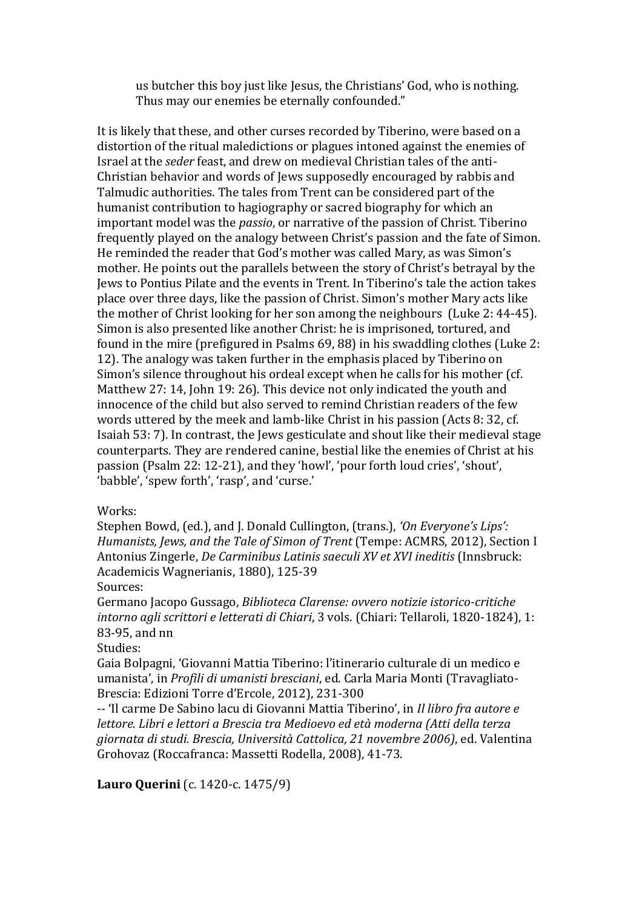us butcher this boy just like Jesus, the Christians' God, who is nothing. Thus may our enemies be eternally confounded."

It is likely that these, and other curses recorded by Tiberino, were based on a distortion of the ritual maledictions or plagues intoned against the enemies of Israel at the *seder* feast, and drew on medieval Christian tales of the anti-Christian behavior and words of Jews supposedly encouraged by rabbis and Talmudic authorities. The tales from Trent can be considered part of the humanist contribution to hagiography or sacred biography for which an important model was the *passio*, or narrative of the passion of Christ. Tiberino frequently played on the analogy between Christ's passion and the fate of Simon. He reminded the reader that God's mother was called Mary, as was Simon's mother. He points out the parallels between the story of Christ's betrayal by the Jews to Pontius Pilate and the events in Trent. In Tiberino's tale the action takes place over three days, like the passion of Christ. Simon's mother Mary acts like the mother of Christ looking for her son among the neighbours (Luke 2: 44-45). Simon is also presented like another Christ: he is imprisoned, tortured, and found in the mire (prefigured in Psalms 69, 88) in his swaddling clothes (Luke 2: 12). The analogy was taken further in the emphasis placed by Tiberino on Simon's silence throughout his ordeal except when he calls for his mother (cf. Matthew 27: 14, John 19: 26). This device not only indicated the youth and innocence of the child but also served to remind Christian readers of the few words uttered by the meek and lamb-like Christ in his passion (Acts 8: 32, cf. Isaiah 53: 7). In contrast, the Jews gesticulate and shout like their medieval stage counterparts. They are rendered canine, bestial like the enemies of Christ at his passion (Psalm 22: 12-21), and they 'howl', 'pour forth loud cries', 'shout', 'babble', 'spew forth', 'rasp', and 'curse.'

Works:

Stephen Bowd, (ed.), and J. Donald Cullington, (trans.), *'On Everyone's Lips': Humanists, Jews, and the Tale of Simon of Trent* (Tempe: ACMRS, 2012), Section I Antonius Zingerle, *De Carminibus Latinis saeculi XV et XVI ineditis* (Innsbruck: Academicis Wagnerianis, 1880), 125-39

Sources:

Germano Jacopo Gussago, *Biblioteca Clarense: ovvero notizie istorico-critiche intorno agli scrittori e letterati di Chiari*, 3 vols. (Chiari: Tellaroli, 1820-1824), 1: 83-95, and nn

Studies:

Gaia Bolpagni, 'Giovanni Mattia Tiberino: l'itinerario culturale di un medico e umanista', in *Profili di umanisti bresciani*, ed. Carla Maria Monti (Travagliato-Brescia: Edizioni Torre d'Ercole, 2012), 231-300

-- 'Il carme De Sabino lacu di Giovanni Mattia Tiberino', in *Il libro fra autore e lettore. Libri e lettori a Brescia tra Medioevo ed età moderna (Atti della terza giornata di studi. Brescia, Università Cattolica, 21 novembre 2006)*, ed. Valentina Grohovaz (Roccafranca: Massetti Rodella, 2008), 41-73.

**Lauro Querini** (c. 1420-c. 1475/9)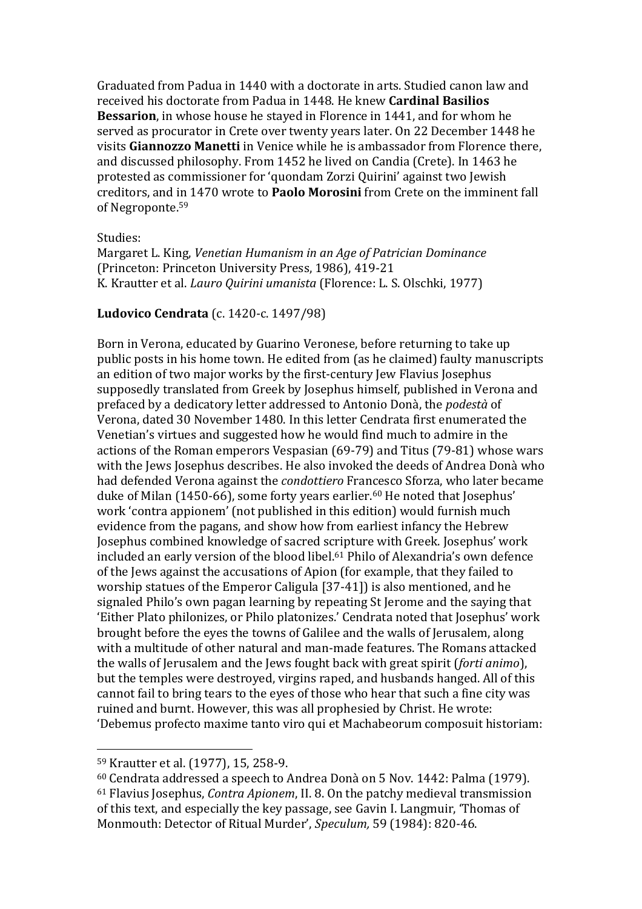Graduated from Padua in 1440 with a doctorate in arts. Studied canon law and received his doctorate from Padua in 1448. He knew **Cardinal Basilios Bessarion**, in whose house he stayed in Florence in 1441, and for whom he served as procurator in Crete over twenty years later. On 22 December 1448 he visits **Giannozzo Manetti** in Venice while he is ambassador from Florence there, and discussed philosophy. From 1452 he lived on Candia (Crete). In 1463 he protested as commissioner for 'quondam Zorzi Quirini' against two Jewish creditors, and in 1470 wrote to **Paolo Morosini** from Crete on the imminent fall of Negroponte. 59

#### Studies:

Margaret L. King, *Venetian Humanism in an Age of Patrician Dominance* (Princeton: Princeton University Press, 1986), 419-21 K. Krautter et al. *Lauro Quirini umanista* (Florence: L. S. Olschki, 1977)

#### **Ludovico Cendrata** (c. 1420-c. 1497/98)

Born in Verona, educated by Guarino Veronese, before returning to take up public posts in his home town. He edited from (as he claimed) faulty manuscripts an edition of two major works by the first-century Jew Flavius Josephus supposedly translated from Greek by Josephus himself, published in Verona and prefaced by a dedicatory letter addressed to Antonio Donà, the *podestà* of Verona, dated 30 November 1480. In this letter Cendrata first enumerated the Venetian's virtues and suggested how he would find much to admire in the actions of the Roman emperors Vespasian (69-79) and Titus (79-81) whose wars with the Jews Josephus describes. He also invoked the deeds of Andrea Donà who had defended Verona against the *condottiero* Francesco Sforza, who later became duke of Milan (1450-66), some forty years earlier.<sup>60</sup> He noted that Josephus' work 'contra appionem' (not published in this edition) would furnish much evidence from the pagans, and show how from earliest infancy the Hebrew Josephus combined knowledge of sacred scripture with Greek. Josephus' work included an early version of the blood libel. <sup>61</sup> Philo of Alexandria's own defence of the Jews against the accusations of Apion (for example, that they failed to worship statues of the Emperor Caligula [37-41]) is also mentioned, and he signaled Philo's own pagan learning by repeating St Jerome and the saying that 'Either Plato philonizes, or Philo platonizes.' Cendrata noted that Josephus' work brought before the eyes the towns of Galilee and the walls of Jerusalem, along with a multitude of other natural and man-made features. The Romans attacked the walls of Jerusalem and the Jews fought back with great spirit (*forti animo*), but the temples were destroyed, virgins raped, and husbands hanged. All of this cannot fail to bring tears to the eyes of those who hear that such a fine city was ruined and burnt. However, this was all prophesied by Christ. He wrote: 'Debemus profecto maxime tanto viro qui et Machabeorum composuit historiam:

<sup>59</sup> Krautter et al. (1977), 15, 258-9.

<sup>60</sup> Cendrata addressed a speech to Andrea Donà on 5 Nov. 1442: Palma (1979). <sup>61</sup> Flavius Josephus, *Contra Apionem*, II. 8. On the patchy medieval transmission of this text, and especially the key passage, see Gavin I. Langmuir, 'Thomas of Monmouth: Detector of Ritual Murder', *Speculum,* 59 (1984): 820-46.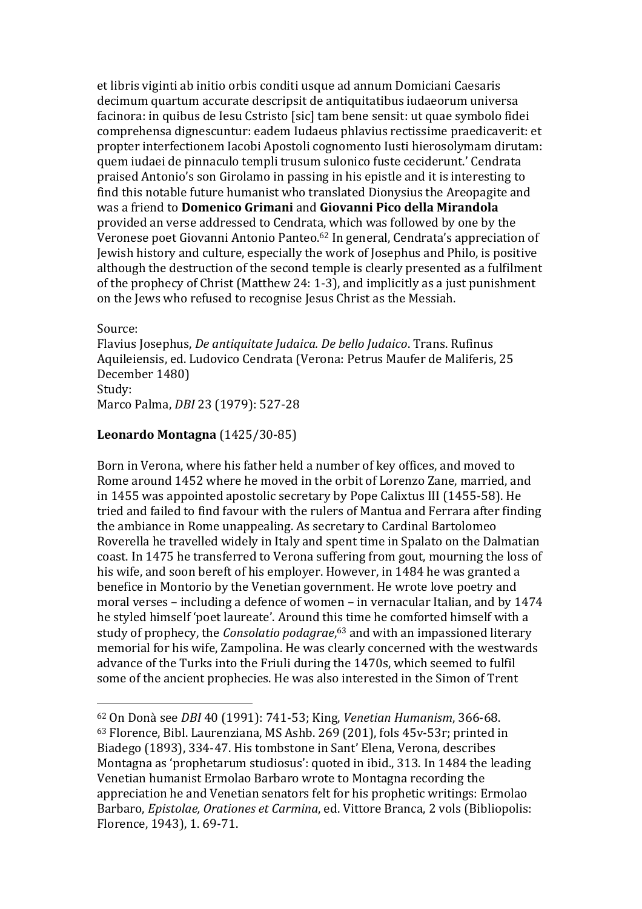et libris viginti ab initio orbis conditi usque ad annum Domiciani Caesaris decimum quartum accurate descripsit de antiquitatibus iudaeorum universa facinora: in quibus de Iesu Cstristo [sic] tam bene sensit: ut quae symbolo fidei comprehensa dignescuntur: eadem Iudaeus phlavius rectissime praedicaverit: et propter interfectionem Iacobi Apostoli cognomento Iusti hierosolymam dirutam: quem iudaei de pinnaculo templi trusum sulonico fuste ceciderunt.' Cendrata praised Antonio's son Girolamo in passing in his epistle and it is interesting to find this notable future humanist who translated Dionysius the Areopagite and was a friend to **Domenico Grimani** and **Giovanni Pico della Mirandola** provided an verse addressed to Cendrata, which was followed by one by the Veronese poet Giovanni Antonio Panteo.<sup>62</sup> In general, Cendrata's appreciation of Jewish history and culture, especially the work of Josephus and Philo, is positive although the destruction of the second temple is clearly presented as a fulfilment of the prophecy of Christ (Matthew 24: 1-3), and implicitly as a just punishment on the Jews who refused to recognise Jesus Christ as the Messiah.

Source:

 $\overline{a}$ 

Flavius Josephus, *De antiquitate Judaica. De bello Judaico*. Trans. Rufinus Aquileiensis, ed. Ludovico Cendrata (Verona: Petrus Maufer de Maliferis, 25 December 1480) Study: Marco Palma, *DBI* 23 (1979): 527-28

### **Leonardo Montagna** (1425/30-85)

Born in Verona, where his father held a number of key offices, and moved to Rome around 1452 where he moved in the orbit of Lorenzo Zane, married, and in 1455 was appointed apostolic secretary by Pope Calixtus III (1455-58). He tried and failed to find favour with the rulers of Mantua and Ferrara after finding the ambiance in Rome unappealing. As secretary to Cardinal Bartolomeo Roverella he travelled widely in Italy and spent time in Spalato on the Dalmatian coast. In 1475 he transferred to Verona suffering from gout, mourning the loss of his wife, and soon bereft of his employer. However, in 1484 he was granted a benefice in Montorio by the Venetian government. He wrote love poetry and moral verses – including a defence of women – in vernacular Italian, and by 1474 he styled himself 'poet laureate'. Around this time he comforted himself with a study of prophecy, the *Consolatio podagrae*, <sup>63</sup> and with an impassioned literary memorial for his wife, Zampolina. He was clearly concerned with the westwards advance of the Turks into the Friuli during the 1470s, which seemed to fulfil some of the ancient prophecies. He was also interested in the Simon of Trent

<sup>62</sup> On Donà see *DBI* 40 (1991): 741-53; King, *Venetian Humanism*, 366-68. <sup>63</sup> Florence, Bibl. Laurenziana, MS Ashb. 269 (201), fols 45v-53r; printed in Biadego (1893), 334-47. His tombstone in Sant' Elena, Verona, describes Montagna as 'prophetarum studiosus': quoted in ibid., 313. In 1484 the leading Venetian humanist Ermolao Barbaro wrote to Montagna recording the appreciation he and Venetian senators felt for his prophetic writings: Ermolao Barbaro, *Epistolae, Orationes et Carmina*, ed. Vittore Branca, 2 vols (Bibliopolis: Florence, 1943), 1. 69-71.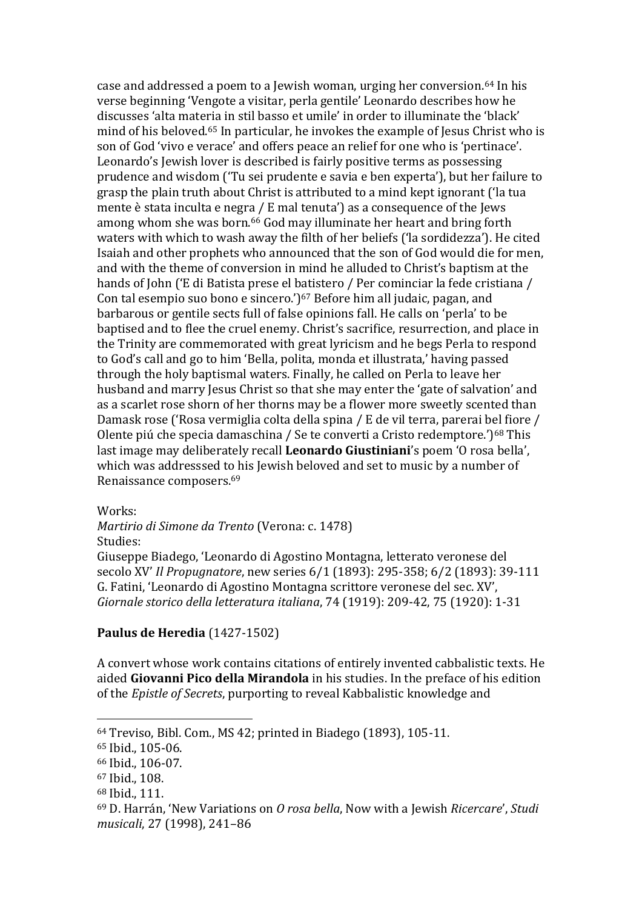case and addressed a poem to a Jewish woman, urging her conversion.<sup>64</sup> In his verse beginning 'Vengote a visitar, perla gentile' Leonardo describes how he discusses 'alta materia in stil basso et umile' in order to illuminate the 'black' mind of his beloved.<sup>65</sup> In particular, he invokes the example of Jesus Christ who is son of God 'vivo e verace' and offers peace an relief for one who is 'pertinace'. Leonardo's Jewish lover is described is fairly positive terms as possessing prudence and wisdom ('Tu sei prudente e savia e ben experta'), but her failure to grasp the plain truth about Christ is attributed to a mind kept ignorant ('la tua mente è stata inculta e negra / E mal tenuta') as a consequence of the Jews among whom she was born.<sup>66</sup> God may illuminate her heart and bring forth waters with which to wash away the filth of her beliefs ('la sordidezza'). He cited Isaiah and other prophets who announced that the son of God would die for men, and with the theme of conversion in mind he alluded to Christ's baptism at the hands of John ('E di Batista prese el batistero / Per cominciar la fede cristiana / Con tal esempio suo bono e sincero.')<sup>67</sup> Before him all judaic, pagan, and barbarous or gentile sects full of false opinions fall. He calls on 'perla' to be baptised and to flee the cruel enemy. Christ's sacrifice, resurrection, and place in the Trinity are commemorated with great lyricism and he begs Perla to respond to God's call and go to him 'Bella, polita, monda et illustrata,' having passed through the holy baptismal waters. Finally, he called on Perla to leave her husband and marry Jesus Christ so that she may enter the 'gate of salvation' and as a scarlet rose shorn of her thorns may be a flower more sweetly scented than Damask rose ('Rosa vermiglia colta della spina / E de vil terra, parerai bel fiore / Olente piú che specia damaschina / Se te converti a Cristo redemptore.')<sup>68</sup> This last image may deliberately recall **Leonardo Giustiniani**'s poem 'O rosa bella', which was addresssed to his Jewish beloved and set to music by a number of Renaissance composers.<sup>69</sup>

Works:

*Martirio di Simone da Trento* (Verona: c. 1478)

Studies:

Giuseppe Biadego, 'Leonardo di Agostino Montagna, letterato veronese del secolo XV' *Il Propugnatore*, new series 6/1 (1893): 295-358; 6/2 (1893): 39-111 G. Fatini, 'Leonardo di Agostino Montagna scrittore veronese del sec. XV', *Giornale storico della letteratura italiana*, 74 (1919): 209-42, 75 (1920): 1-31

## **Paulus de Heredia** (1427-1502)

A convert whose work contains citations of entirely invented cabbalistic texts. He aided **Giovanni Pico della Mirandola** in his studies. In the preface of his edition of the *Epistle of Secrets*, purporting to reveal Kabbalistic knowledge and

<sup>64</sup> Treviso, Bibl. Com., MS 42; printed in Biadego (1893), 105-11.

<sup>65</sup> Ibid., 105-06.

<sup>66</sup> Ibid., 106-07.

<sup>67</sup> Ibid., 108.

<sup>68</sup> Ibid., 111.

<sup>69</sup> D. Harrán, 'New Variations on *O rosa bella*, Now with a Jewish *Ricercare*', *Studi musicali*, 27 (1998), 241–86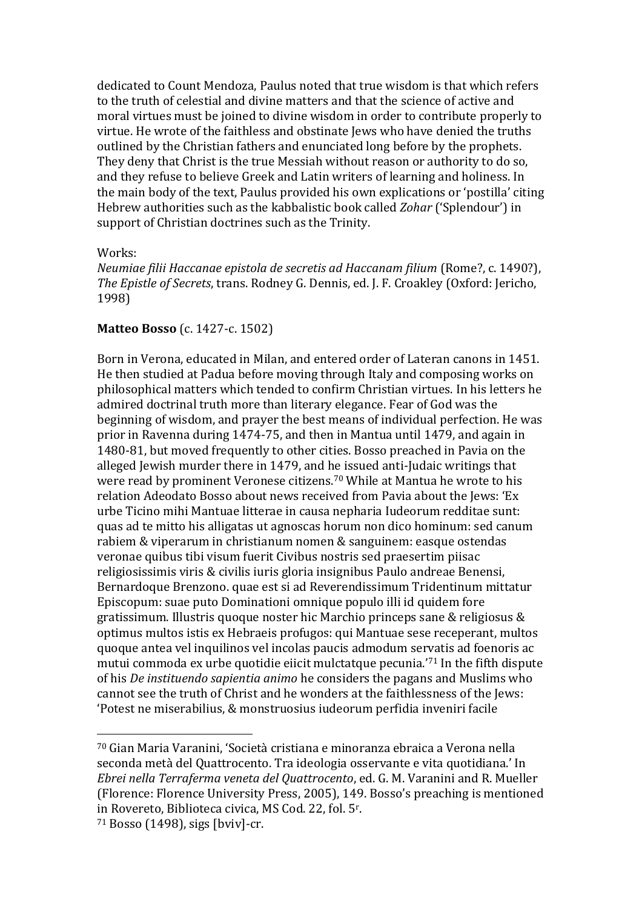dedicated to Count Mendoza, Paulus noted that true wisdom is that which refers to the truth of celestial and divine matters and that the science of active and moral virtues must be joined to divine wisdom in order to contribute properly to virtue. He wrote of the faithless and obstinate Jews who have denied the truths outlined by the Christian fathers and enunciated long before by the prophets. They deny that Christ is the true Messiah without reason or authority to do so, and they refuse to believe Greek and Latin writers of learning and holiness. In the main body of the text, Paulus provided his own explications or 'postilla' citing Hebrew authorities such as the kabbalistic book called *Zohar* ('Splendour') in support of Christian doctrines such as the Trinity.

#### Works:

*Neumiae filii Haccanae epistola de secretis ad Haccanam filium* (Rome?, c. 1490?), *The Epistle of Secrets*, trans. Rodney G. Dennis, ed. J. F. Croakley (Oxford: Jericho, 1998)

#### **Matteo Bosso** (c. 1427-c. 1502)

Born in Verona, educated in Milan, and entered order of Lateran canons in 1451. He then studied at Padua before moving through Italy and composing works on philosophical matters which tended to confirm Christian virtues. In his letters he admired doctrinal truth more than literary elegance. Fear of God was the beginning of wisdom, and prayer the best means of individual perfection. He was prior in Ravenna during 1474-75, and then in Mantua until 1479, and again in 1480-81, but moved frequently to other cities. Bosso preached in Pavia on the alleged Jewish murder there in 1479, and he issued anti-Judaic writings that were read by prominent Veronese citizens.<sup>70</sup> While at Mantua he wrote to his relation Adeodato Bosso about news received from Pavia about the Jews: 'Ex urbe Ticino mihi Mantuae litterae in causa nepharia Iudeorum redditae sunt: quas ad te mitto his alligatas ut agnoscas horum non dico hominum: sed canum rabiem & viperarum in christianum nomen & sanguinem: easque ostendas veronae quibus tibi visum fuerit Civibus nostris sed praesertim piisac religiosissimis viris & civilis iuris gloria insignibus Paulo andreae Benensi, Bernardoque Brenzono. quae est si ad Reverendissimum Tridentinum mittatur Episcopum: suae puto Dominationi omnique populo illi id quidem fore gratissimum. Illustris quoque noster hic Marchio princeps sane & religiosus & optimus multos istis ex Hebraeis profugos: qui Mantuae sese receperant, multos quoque antea vel inquilinos vel incolas paucis admodum servatis ad foenoris ac mutui commoda ex urbe quotidie eiicit mulctatque pecunia.'<sup>71</sup> In the fifth dispute of his *De instituendo sapientia animo* he considers the pagans and Muslims who cannot see the truth of Christ and he wonders at the faithlessness of the Jews: 'Potest ne miserabilius, & monstruosius iudeorum perfidia inveniri facile

<sup>70</sup> Gian Maria Varanini, 'Società cristiana e minoranza ebraica a Verona nella seconda metà del Quattrocento. Tra ideologia osservante e vita quotidiana.' In *Ebrei nella Terraferma veneta del Quattrocento*, ed. G. M. Varanini and R. Mueller (Florence: Florence University Press, 2005), 149. Bosso's preaching is mentioned in Rovereto, Biblioteca civica, MS Cod. 22, fol. 5<sup>r</sup> .

<sup>71</sup> Bosso (1498), sigs [bviv]-cr.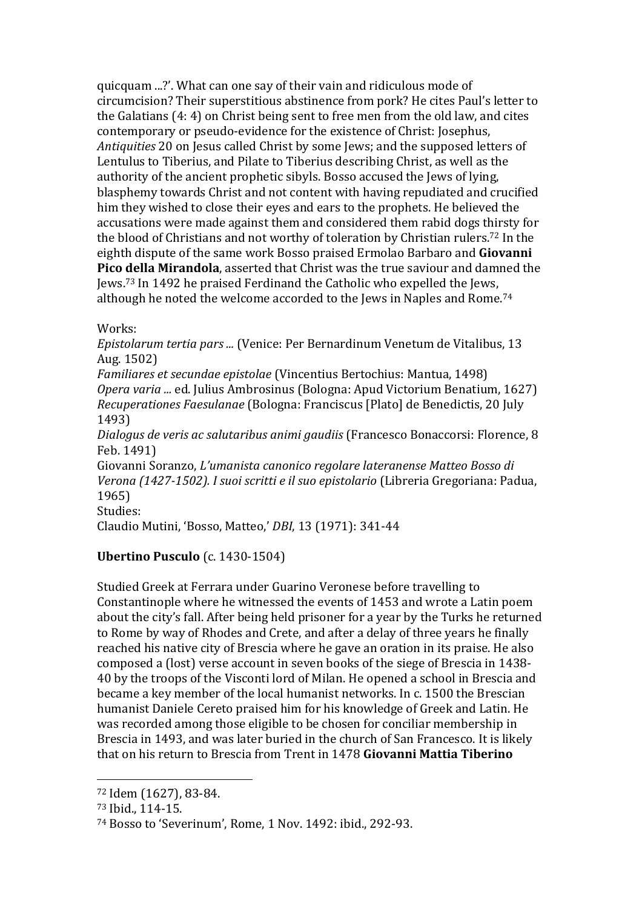quicquam ...?'. What can one say of their vain and ridiculous mode of circumcision? Their superstitious abstinence from pork? He cites Paul's letter to the Galatians (4: 4) on Christ being sent to free men from the old law, and cites contemporary or pseudo-evidence for the existence of Christ: Josephus, *Antiquities* 20 on Jesus called Christ by some Jews; and the supposed letters of Lentulus to Tiberius, and Pilate to Tiberius describing Christ, as well as the authority of the ancient prophetic sibyls. Bosso accused the Jews of lying, blasphemy towards Christ and not content with having repudiated and crucified him they wished to close their eyes and ears to the prophets. He believed the accusations were made against them and considered them rabid dogs thirsty for the blood of Christians and not worthy of toleration by Christian rulers.<sup>72</sup> In the eighth dispute of the same work Bosso praised Ermolao Barbaro and **Giovanni Pico della Mirandola**, asserted that Christ was the true saviour and damned the Jews.<sup>73</sup> In 1492 he praised Ferdinand the Catholic who expelled the Jews, although he noted the welcome accorded to the Jews in Naples and Rome.<sup>74</sup>

Works:

*Epistolarum tertia pars ...* (Venice: Per Bernardinum Venetum de Vitalibus, 13 Aug. 1502)

*Familiares et secundae epistolae* (Vincentius Bertochius: Mantua, 1498) *Opera varia ...* ed. Julius Ambrosinus (Bologna: Apud Victorium Benatium, 1627) *Recuperationes Faesulanae* (Bologna: Franciscus [Plato] de Benedictis, 20 July 1493)

*Dialogus de veris ac salutaribus animi gaudiis* (Francesco Bonaccorsi: Florence, 8 Feb. 1491)

Giovanni Soranzo, *L'umanista canonico regolare lateranense Matteo Bosso di Verona (1427-1502). I suoi scritti e il suo epistolario* (Libreria Gregoriana: Padua, 1965)

Studies:

Claudio Mutini, 'Bosso, Matteo,' *DBI*, 13 (1971): 341-44

### **Ubertino Pusculo** (c. 1430-1504)

Studied Greek at Ferrara under Guarino Veronese before travelling to Constantinople where he witnessed the events of 1453 and wrote a Latin poem about the city's fall. After being held prisoner for a year by the Turks he returned to Rome by way of Rhodes and Crete, and after a delay of three years he finally reached his native city of Brescia where he gave an oration in its praise. He also composed a (lost) verse account in seven books of the siege of Brescia in 1438- 40 by the troops of the Visconti lord of Milan. He opened a school in Brescia and became a key member of the local humanist networks. In c. 1500 the Brescian humanist Daniele Cereto praised him for his knowledge of Greek and Latin. He was recorded among those eligible to be chosen for conciliar membership in Brescia in 1493, and was later buried in the church of San Francesco. It is likely that on his return to Brescia from Trent in 1478 **Giovanni Mattia Tiberino**

<sup>72</sup> Idem (1627), 83-84.

<sup>73</sup> Ibid., 114-15.

<sup>74</sup> Bosso to 'Severinum', Rome, 1 Nov. 1492: ibid., 292-93.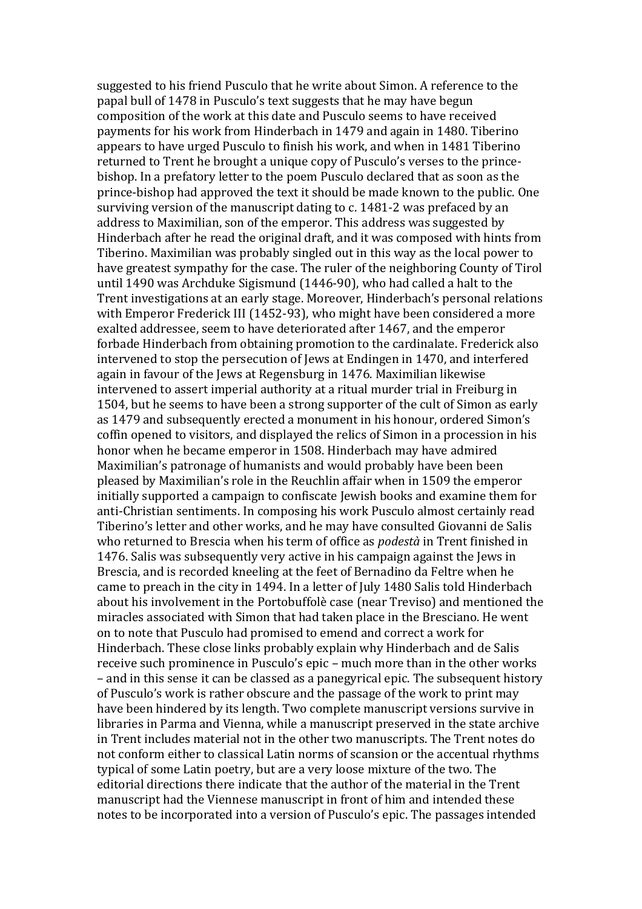suggested to his friend Pusculo that he write about Simon. A reference to the papal bull of 1478 in Pusculo's text suggests that he may have begun composition of the work at this date and Pusculo seems to have received payments for his work from Hinderbach in 1479 and again in 1480. Tiberino appears to have urged Pusculo to finish his work, and when in 1481 Tiberino returned to Trent he brought a unique copy of Pusculo's verses to the princebishop. In a prefatory letter to the poem Pusculo declared that as soon as the prince-bishop had approved the text it should be made known to the public. One surviving version of the manuscript dating to c. 1481-2 was prefaced by an address to Maximilian, son of the emperor. This address was suggested by Hinderbach after he read the original draft, and it was composed with hints from Tiberino. Maximilian was probably singled out in this way as the local power to have greatest sympathy for the case. The ruler of the neighboring County of Tirol until 1490 was Archduke Sigismund (1446-90), who had called a halt to the Trent investigations at an early stage. Moreover, Hinderbach's personal relations with Emperor Frederick III (1452-93), who might have been considered a more exalted addressee, seem to have deteriorated after 1467, and the emperor forbade Hinderbach from obtaining promotion to the cardinalate. Frederick also intervened to stop the persecution of Jews at Endingen in 1470, and interfered again in favour of the Jews at Regensburg in 1476. Maximilian likewise intervened to assert imperial authority at a ritual murder trial in Freiburg in 1504, but he seems to have been a strong supporter of the cult of Simon as early as 1479 and subsequently erected a monument in his honour, ordered Simon's coffin opened to visitors, and displayed the relics of Simon in a procession in his honor when he became emperor in 1508. Hinderbach may have admired Maximilian's patronage of humanists and would probably have been been pleased by Maximilian's role in the Reuchlin affair when in 1509 the emperor initially supported a campaign to confiscate Jewish books and examine them for anti-Christian sentiments. In composing his work Pusculo almost certainly read Tiberino's letter and other works, and he may have consulted Giovanni de Salis who returned to Brescia when his term of office as *podestà* in Trent finished in 1476. Salis was subsequently very active in his campaign against the Jews in Brescia, and is recorded kneeling at the feet of Bernadino da Feltre when he came to preach in the city in 1494. In a letter of July 1480 Salis told Hinderbach about his involvement in the Portobuffolè case (near Treviso) and mentioned the miracles associated with Simon that had taken place in the Bresciano. He went on to note that Pusculo had promised to emend and correct a work for Hinderbach. These close links probably explain why Hinderbach and de Salis receive such prominence in Pusculo's epic – much more than in the other works – and in this sense it can be classed as a panegyrical epic. The subsequent history of Pusculo's work is rather obscure and the passage of the work to print may have been hindered by its length. Two complete manuscript versions survive in libraries in Parma and Vienna, while a manuscript preserved in the state archive in Trent includes material not in the other two manuscripts. The Trent notes do not conform either to classical Latin norms of scansion or the accentual rhythms typical of some Latin poetry, but are a very loose mixture of the two. The editorial directions there indicate that the author of the material in the Trent manuscript had the Viennese manuscript in front of him and intended these notes to be incorporated into a version of Pusculo's epic. The passages intended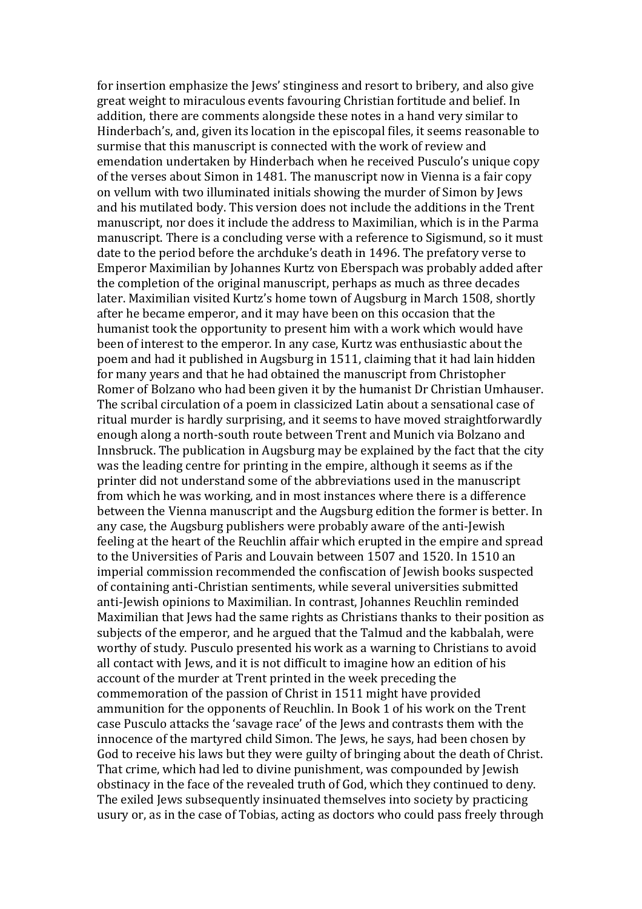for insertion emphasize the Jews' stinginess and resort to bribery, and also give great weight to miraculous events favouring Christian fortitude and belief. In addition, there are comments alongside these notes in a hand very similar to Hinderbach's, and, given its location in the episcopal files, it seems reasonable to surmise that this manuscript is connected with the work of review and emendation undertaken by Hinderbach when he received Pusculo's unique copy of the verses about Simon in 1481. The manuscript now in Vienna is a fair copy on vellum with two illuminated initials showing the murder of Simon by Jews and his mutilated body. This version does not include the additions in the Trent manuscript, nor does it include the address to Maximilian, which is in the Parma manuscript. There is a concluding verse with a reference to Sigismund, so it must date to the period before the archduke's death in 1496. The prefatory verse to Emperor Maximilian by Johannes Kurtz von Eberspach was probably added after the completion of the original manuscript, perhaps as much as three decades later. Maximilian visited Kurtz's home town of Augsburg in March 1508, shortly after he became emperor, and it may have been on this occasion that the humanist took the opportunity to present him with a work which would have been of interest to the emperor. In any case, Kurtz was enthusiastic about the poem and had it published in Augsburg in 1511, claiming that it had lain hidden for many years and that he had obtained the manuscript from Christopher Romer of Bolzano who had been given it by the humanist Dr Christian Umhauser. The scribal circulation of a poem in classicized Latin about a sensational case of ritual murder is hardly surprising, and it seems to have moved straightforwardly enough along a north-south route between Trent and Munich via Bolzano and Innsbruck. The publication in Augsburg may be explained by the fact that the city was the leading centre for printing in the empire, although it seems as if the printer did not understand some of the abbreviations used in the manuscript from which he was working, and in most instances where there is a difference between the Vienna manuscript and the Augsburg edition the former is better. In any case, the Augsburg publishers were probably aware of the anti-Jewish feeling at the heart of the Reuchlin affair which erupted in the empire and spread to the Universities of Paris and Louvain between 1507 and 1520. In 1510 an imperial commission recommended the confiscation of Jewish books suspected of containing anti-Christian sentiments, while several universities submitted anti-Jewish opinions to Maximilian. In contrast, Johannes Reuchlin reminded Maximilian that Jews had the same rights as Christians thanks to their position as subjects of the emperor, and he argued that the Talmud and the kabbalah, were worthy of study. Pusculo presented his work as a warning to Christians to avoid all contact with Jews, and it is not difficult to imagine how an edition of his account of the murder at Trent printed in the week preceding the commemoration of the passion of Christ in 1511 might have provided ammunition for the opponents of Reuchlin. In Book 1 of his work on the Trent case Pusculo attacks the 'savage race' of the Jews and contrasts them with the innocence of the martyred child Simon. The Jews, he says, had been chosen by God to receive his laws but they were guilty of bringing about the death of Christ. That crime, which had led to divine punishment, was compounded by Jewish obstinacy in the face of the revealed truth of God, which they continued to deny. The exiled Jews subsequently insinuated themselves into society by practicing usury or, as in the case of Tobias, acting as doctors who could pass freely through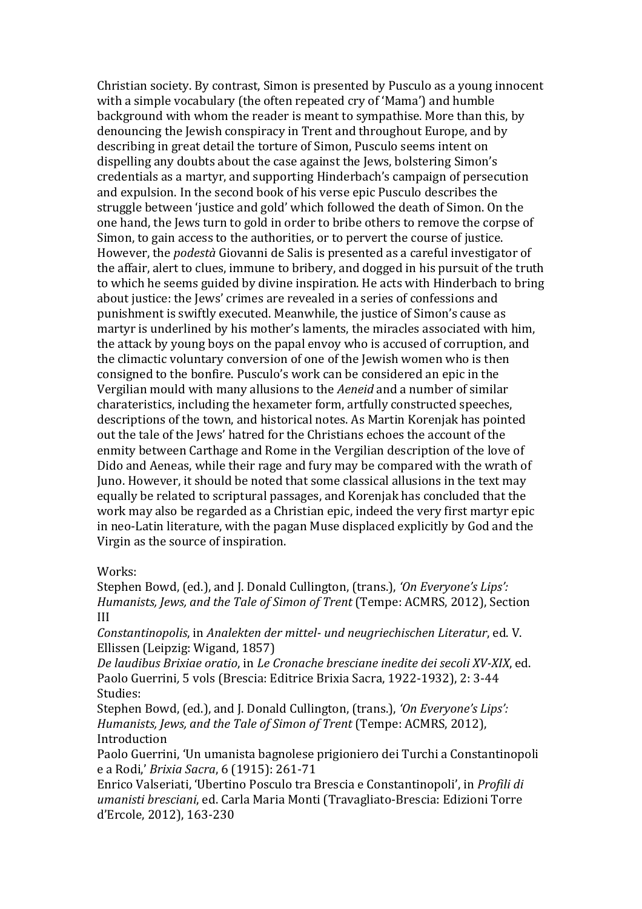Christian society. By contrast, Simon is presented by Pusculo as a young innocent with a simple vocabulary (the often repeated cry of 'Mama') and humble background with whom the reader is meant to sympathise. More than this, by denouncing the Jewish conspiracy in Trent and throughout Europe, and by describing in great detail the torture of Simon, Pusculo seems intent on dispelling any doubts about the case against the Jews, bolstering Simon's credentials as a martyr, and supporting Hinderbach's campaign of persecution and expulsion. In the second book of his verse epic Pusculo describes the struggle between 'justice and gold' which followed the death of Simon. On the one hand, the Jews turn to gold in order to bribe others to remove the corpse of Simon, to gain access to the authorities, or to pervert the course of justice. However, the *podestà* Giovanni de Salis is presented as a careful investigator of the affair, alert to clues, immune to bribery, and dogged in his pursuit of the truth to which he seems guided by divine inspiration. He acts with Hinderbach to bring about justice: the Jews' crimes are revealed in a series of confessions and punishment is swiftly executed. Meanwhile, the justice of Simon's cause as martyr is underlined by his mother's laments, the miracles associated with him, the attack by young boys on the papal envoy who is accused of corruption, and the climactic voluntary conversion of one of the Jewish women who is then consigned to the bonfire. Pusculo's work can be considered an epic in the Vergilian mould with many allusions to the *Aeneid* and a number of similar charateristics, including the hexameter form, artfully constructed speeches, descriptions of the town, and historical notes. As Martin Korenjak has pointed out the tale of the Jews' hatred for the Christians echoes the account of the enmity between Carthage and Rome in the Vergilian description of the love of Dido and Aeneas, while their rage and fury may be compared with the wrath of Juno. However, it should be noted that some classical allusions in the text may equally be related to scriptural passages, and Korenjak has concluded that the work may also be regarded as a Christian epic, indeed the very first martyr epic in neo-Latin literature, with the pagan Muse displaced explicitly by God and the Virgin as the source of inspiration.

#### Works:

Stephen Bowd, (ed.), and J. Donald Cullington, (trans.), *'On Everyone's Lips': Humanists, Jews, and the Tale of Simon of Trent* (Tempe: ACMRS, 2012), Section III

*Constantinopolis*, in *Analekten der mittel- und neugriechischen Literatur*, ed. V. Ellissen (Leipzig: Wigand, 1857)

*De laudibus Brixiae oratio*, in *Le Cronache bresciane inedite dei secoli XV-XIX*, ed. Paolo Guerrini*,* 5 vols (Brescia: Editrice Brixia Sacra, 1922-1932), 2: 3-44 Studies:

Stephen Bowd, (ed.), and J. Donald Cullington, (trans.), *'On Everyone's Lips': Humanists, Jews, and the Tale of Simon of Trent* (Tempe: ACMRS, 2012), Introduction

Paolo Guerrini, 'Un umanista bagnolese prigioniero dei Turchi a Constantinopoli e a Rodi,' *Brixia Sacra*, 6 (1915): 261-71

Enrico Valseriati, 'Ubertino Posculo tra Brescia e Constantinopoli', in *Profili di umanisti bresciani*, ed. Carla Maria Monti (Travagliato-Brescia: Edizioni Torre d'Ercole, 2012), 163-230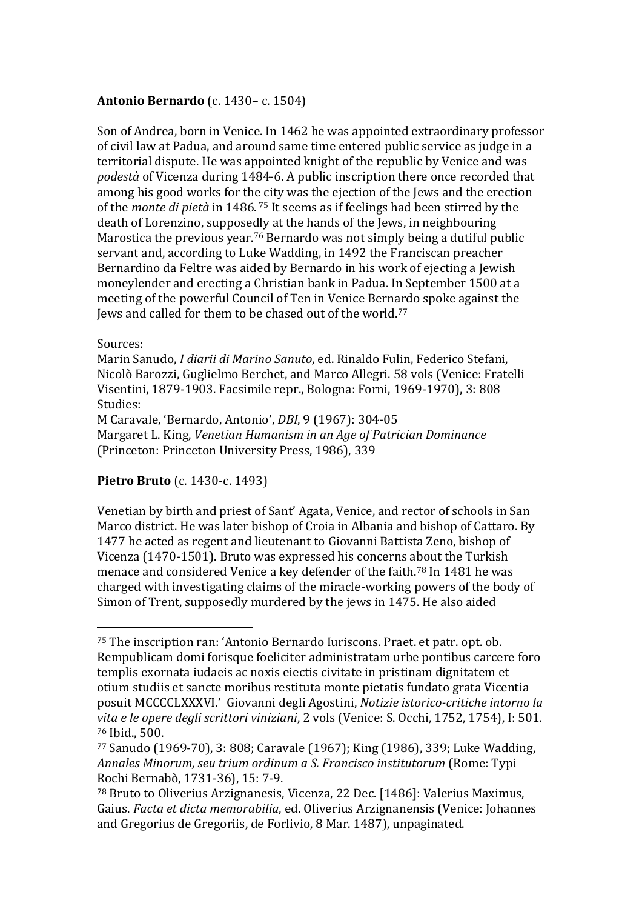## **Antonio Bernardo** (c. 1430– c. 1504)

Son of Andrea, born in Venice. In 1462 he was appointed extraordinary professor of civil law at Padua, and around same time entered public service as judge in a territorial dispute. He was appointed knight of the republic by Venice and was *podestà* of Vicenza during 1484-6. A public inscription there once recorded that among his good works for the city was the ejection of the Jews and the erection of the *monte di pietà* in 1486. <sup>75</sup> It seems as if feelings had been stirred by the death of Lorenzino, supposedly at the hands of the Jews, in neighbouring Marostica the previous year.<sup>76</sup> Bernardo was not simply being a dutiful public servant and, according to Luke Wadding, in 1492 the Franciscan preacher Bernardino da Feltre was aided by Bernardo in his work of ejecting a Jewish moneylender and erecting a Christian bank in Padua. In September 1500 at a meeting of the powerful Council of Ten in Venice Bernardo spoke against the Jews and called for them to be chased out of the world.<sup>77</sup>

#### Sources:

 $\overline{a}$ 

Marin Sanudo, *I diarii di Marino Sanuto*, ed. Rinaldo Fulin, Federico Stefani, Nicolò Barozzi, Guglielmo Berchet, and Marco Allegri. 58 vols (Venice: Fratelli Visentini, 1879-1903. Facsimile repr., Bologna: Forni, 1969-1970), 3: 808 Studies: M Caravale, 'Bernardo, Antonio', *DBI*, 9 (1967): 304-05

Margaret L. King, *Venetian Humanism in an Age of Patrician Dominance* (Princeton: Princeton University Press, 1986), 339

## **Pietro Bruto** (c. 1430-c. 1493)

Venetian by birth and priest of Sant' Agata, Venice, and rector of schools in San Marco district. He was later bishop of Croia in Albania and bishop of Cattaro. By 1477 he acted as regent and lieutenant to Giovanni Battista Zeno, bishop of Vicenza (1470-1501). Bruto was expressed his concerns about the Turkish menace and considered Venice a key defender of the faith.<sup>78</sup> In 1481 he was charged with investigating claims of the miracle-working powers of the body of Simon of Trent, supposedly murdered by the jews in 1475. He also aided

<sup>75</sup> The inscription ran: 'Antonio Bernardo Iuriscons. Praet. et patr. opt. ob. Rempublicam domi forisque foeliciter administratam urbe pontibus carcere foro templis exornata iudaeis ac noxis eiectis civitate in pristinam dignitatem et otium studiis et sancte moribus restituta monte pietatis fundato grata Vicentia posuit MCCCCLXXXVI.' Giovanni degli Agostini, *Notizie istorico-critiche intorno la vita e le opere degli scrittori viniziani*, 2 vols (Venice: S. Occhi, 1752, 1754), I: 501. <sup>76</sup> Ibid., 500.

<sup>77</sup> Sanudo (1969-70), 3: 808; Caravale (1967); King (1986), 339; Luke Wadding, *Annales Minorum, seu trium ordinum a S. Francisco institutorum* (Rome: Typi Rochi Bernabò, 1731-36), 15: 7-9.

<sup>78</sup> Bruto to Oliverius Arzignanesis, Vicenza, 22 Dec. [1486]: Valerius Maximus, Gaius. *Facta et dicta memorabilia*, ed. Oliverius Arzignanensis (Venice: Johannes and Gregorius de Gregoriis, de Forlivio, 8 Mar. 1487), unpaginated.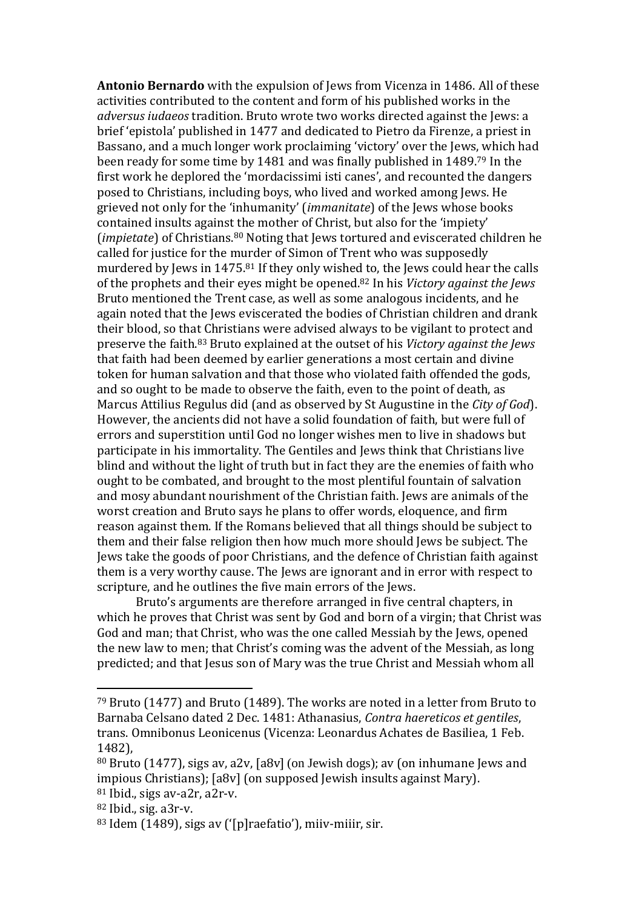**Antonio Bernardo** with the expulsion of Jews from Vicenza in 1486. All of these activities contributed to the content and form of his published works in the *adversus iudaeos* tradition. Bruto wrote two works directed against the Jews: a brief 'epistola' published in 1477 and dedicated to Pietro da Firenze, a priest in Bassano, and a much longer work proclaiming 'victory' over the Jews, which had been ready for some time by 1481 and was finally published in 1489.<sup>79</sup> In the first work he deplored the 'mordacissimi isti canes', and recounted the dangers posed to Christians, including boys, who lived and worked among Jews. He grieved not only for the 'inhumanity' (*immanitate*) of the Jews whose books contained insults against the mother of Christ, but also for the 'impiety' (*impietate*) of Christians.<sup>80</sup> Noting that Jews tortured and eviscerated children he called for justice for the murder of Simon of Trent who was supposedly murdered by Jews in 1475.<sup>81</sup> If they only wished to, the Jews could hear the calls of the prophets and their eyes might be opened.<sup>82</sup> In his *Victory against the Jews*  Bruto mentioned the Trent case, as well as some analogous incidents, and he again noted that the Jews eviscerated the bodies of Christian children and drank their blood, so that Christians were advised always to be vigilant to protect and preserve the faith.<sup>83</sup> Bruto explained at the outset of his *Victory against the Jews* that faith had been deemed by earlier generations a most certain and divine token for human salvation and that those who violated faith offended the gods, and so ought to be made to observe the faith, even to the point of death, as Marcus Attilius Regulus did (and as observed by St Augustine in the *City of God*). However, the ancients did not have a solid foundation of faith, but were full of errors and superstition until God no longer wishes men to live in shadows but participate in his immortality. The Gentiles and Jews think that Christians live blind and without the light of truth but in fact they are the enemies of faith who ought to be combated, and brought to the most plentiful fountain of salvation and mosy abundant nourishment of the Christian faith. Jews are animals of the worst creation and Bruto says he plans to offer words, eloquence, and firm reason against them. If the Romans believed that all things should be subject to them and their false religion then how much more should Jews be subject. The Jews take the goods of poor Christians, and the defence of Christian faith against them is a very worthy cause. The Jews are ignorant and in error with respect to scripture, and he outlines the five main errors of the Jews.

Bruto's arguments are therefore arranged in five central chapters, in which he proves that Christ was sent by God and born of a virgin; that Christ was God and man; that Christ, who was the one called Messiah by the Jews, opened the new law to men; that Christ's coming was the advent of the Messiah, as long predicted; and that Jesus son of Mary was the true Christ and Messiah whom all

<sup>79</sup> Bruto (1477) and Bruto (1489). The works are noted in a letter from Bruto to Barnaba Celsano dated 2 Dec. 1481: Athanasius, *Contra haereticos et gentiles*, trans. Omnibonus Leonicenus (Vicenza: Leonardus Achates de Basiliea, 1 Feb. 1482),

<sup>80</sup> Bruto (1477), sigs av, a2v, [a8v] (on Jewish dogs); av (on inhumane Jews and impious Christians); [a8v] (on supposed Jewish insults against Mary).  $81$  Ibid., sigs av-a2r, a2r-v.

<sup>82</sup> Ibid., sig. a3r-v.

<sup>83</sup> Idem (1489), sigs av ('[p]raefatio'), miiv-miiir, sir.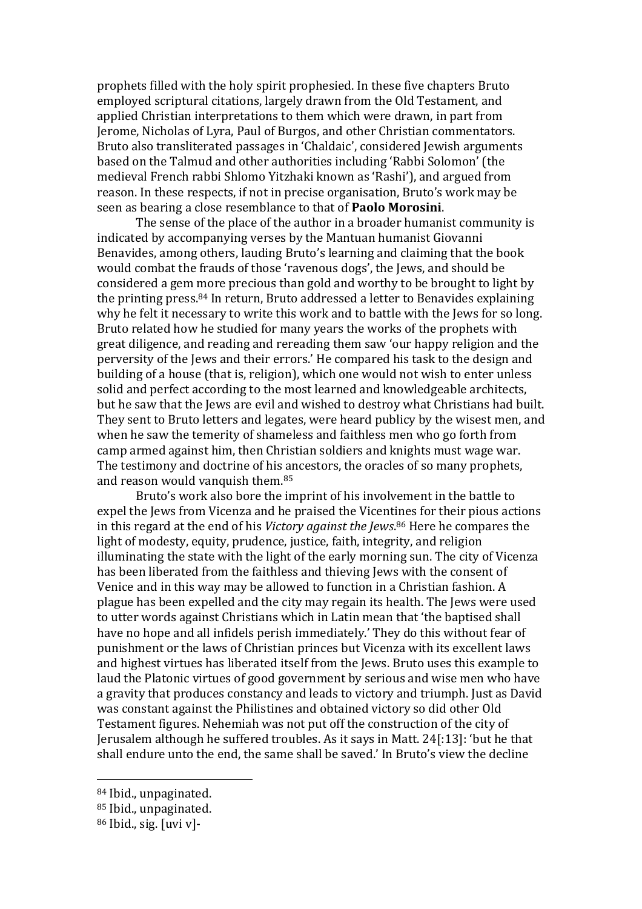prophets filled with the holy spirit prophesied. In these five chapters Bruto employed scriptural citations, largely drawn from the Old Testament, and applied Christian interpretations to them which were drawn, in part from Jerome, Nicholas of Lyra, Paul of Burgos, and other Christian commentators. Bruto also transliterated passages in 'Chaldaic', considered Jewish arguments based on the Talmud and other authorities including 'Rabbi Solomon' (the medieval French rabbi Shlomo Yitzhaki known as 'Rashi'), and argued from reason. In these respects, if not in precise organisation, Bruto's work may be seen as bearing a close resemblance to that of **Paolo Morosini**.

The sense of the place of the author in a broader humanist community is indicated by accompanying verses by the Mantuan humanist Giovanni Benavides, among others, lauding Bruto's learning and claiming that the book would combat the frauds of those 'ravenous dogs', the Jews, and should be considered a gem more precious than gold and worthy to be brought to light by the printing press.<sup>84</sup> In return, Bruto addressed a letter to Benavides explaining why he felt it necessary to write this work and to battle with the Jews for so long. Bruto related how he studied for many years the works of the prophets with great diligence, and reading and rereading them saw 'our happy religion and the perversity of the Jews and their errors.' He compared his task to the design and building of a house (that is, religion), which one would not wish to enter unless solid and perfect according to the most learned and knowledgeable architects, but he saw that the Jews are evil and wished to destroy what Christians had built. They sent to Bruto letters and legates, were heard publicy by the wisest men, and when he saw the temerity of shameless and faithless men who go forth from camp armed against him, then Christian soldiers and knights must wage war. The testimony and doctrine of his ancestors, the oracles of so many prophets, and reason would vanquish them.<sup>85</sup>

Bruto's work also bore the imprint of his involvement in the battle to expel the Jews from Vicenza and he praised the Vicentines for their pious actions in this regard at the end of his *Victory against the Jews*. <sup>86</sup> Here he compares the light of modesty, equity, prudence, justice, faith, integrity, and religion illuminating the state with the light of the early morning sun. The city of Vicenza has been liberated from the faithless and thieving Jews with the consent of Venice and in this way may be allowed to function in a Christian fashion. A plague has been expelled and the city may regain its health. The Jews were used to utter words against Christians which in Latin mean that 'the baptised shall have no hope and all infidels perish immediately.' They do this without fear of punishment or the laws of Christian princes but Vicenza with its excellent laws and highest virtues has liberated itself from the Jews. Bruto uses this example to laud the Platonic virtues of good government by serious and wise men who have a gravity that produces constancy and leads to victory and triumph. Just as David was constant against the Philistines and obtained victory so did other Old Testament figures. Nehemiah was not put off the construction of the city of Jerusalem although he suffered troubles. As it says in Matt. 24[:13]: 'but he that shall endure unto the end, the same shall be saved.' In Bruto's view the decline

<sup>84</sup> Ibid., unpaginated.

<sup>85</sup> Ibid., unpaginated.

<sup>86</sup> Ibid., sig. [uvi v]-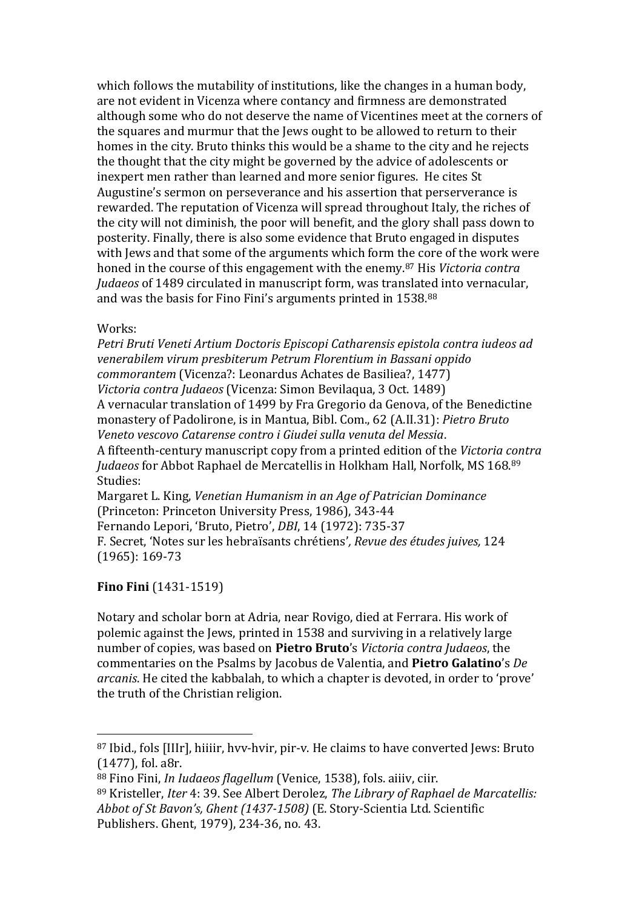which follows the mutability of institutions, like the changes in a human body, are not evident in Vicenza where contancy and firmness are demonstrated although some who do not deserve the name of Vicentines meet at the corners of the squares and murmur that the Jews ought to be allowed to return to their homes in the city. Bruto thinks this would be a shame to the city and he rejects the thought that the city might be governed by the advice of adolescents or inexpert men rather than learned and more senior figures. He cites St Augustine's sermon on perseverance and his assertion that perserverance is rewarded. The reputation of Vicenza will spread throughout Italy, the riches of the city will not diminish, the poor will benefit, and the glory shall pass down to posterity. Finally, there is also some evidence that Bruto engaged in disputes with Jews and that some of the arguments which form the core of the work were honed in the course of this engagement with the enemy.<sup>87</sup> His *Victoria contra Judaeos* of 1489 circulated in manuscript form, was translated into vernacular, and was the basis for Fino Fini's arguments printed in 1538.<sup>88</sup>

Works:

*Petri Bruti Veneti Artium Doctoris Episcopi Catharensis epistola contra iudeos ad venerabilem virum presbiterum Petrum Florentium in Bassani oppido commorantem* (Vicenza?: Leonardus Achates de Basiliea?, 1477) *Victoria contra Judaeos* (Vicenza: Simon Bevilaqua, 3 Oct. 1489) A vernacular translation of 1499 by Fra Gregorio da Genova, of the Benedictine monastery of Padolirone, is in Mantua, Bibl. Com., 62 (A.II.31): *Pietro Bruto Veneto vescovo Catarense contro i Giudei sulla venuta del Messia*. A fifteenth-century manuscript copy from a printed edition of the *Victoria contra Judaeos* for Abbot Raphael de Mercatellis in Holkham Hall, Norfolk, MS 168.<sup>89</sup> Studies: Margaret L. King, *Venetian Humanism in an Age of Patrician Dominance* (Princeton: Princeton University Press, 1986), 343-44 Fernando Lepori, 'Bruto, Pietro', *DBI*, 14 (1972): 735-37 F. Secret, 'Notes sur les hebraïsants chrétiens'*, Revue des études juives,* 124

(1965): 169-73

 $\overline{a}$ 

### **Fino Fini** (1431-1519)

Notary and scholar born at Adria, near Rovigo, died at Ferrara. His work of polemic against the Jews, printed in 1538 and surviving in a relatively large number of copies, was based on **Pietro Bruto**'s *Victoria contra Judaeos*, the commentaries on the Psalms by Jacobus de Valentia, and **Pietro Galatino**'s *De arcanis*. He cited the kabbalah, to which a chapter is devoted, in order to 'prove' the truth of the Christian religion.

<sup>87</sup> Ibid., fols [IIIr], hiiiir, hvv-hvir, pir-v. He claims to have converted Jews: Bruto (1477), fol. a8r.

<sup>88</sup> Fino Fini, *In Iudaeos flagellum* (Venice, 1538), fols. aiiiv, ciir.

<sup>89</sup> Kristeller, *Iter* 4: 39. See Albert Derolez, *The Library of Raphael de Marcatellis: Abbot of St Bavon's, Ghent (1437-1508)* (E. Story-Scientia Ltd. Scientific Publishers. Ghent, 1979), 234-36, no. 43.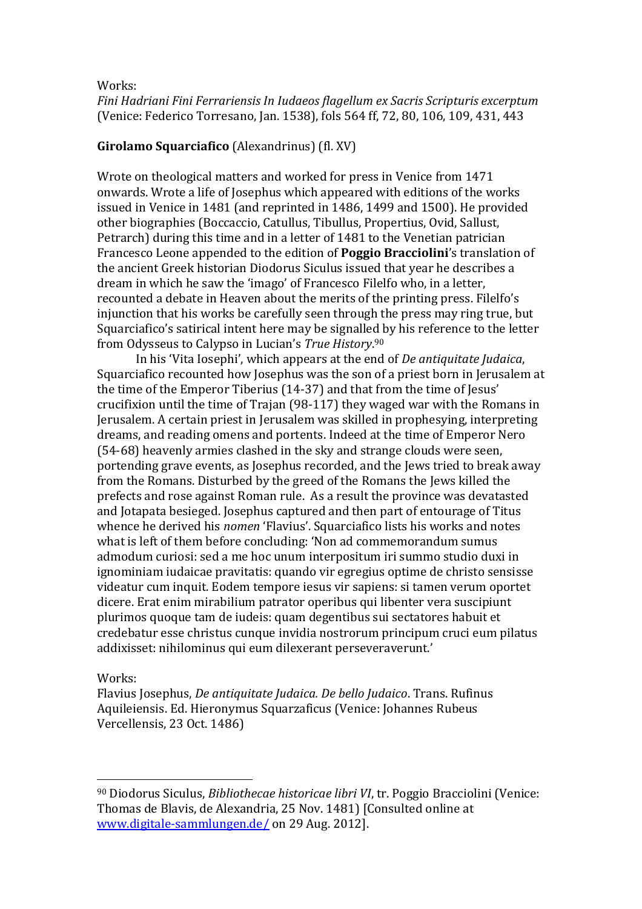Works:

*Fini Hadriani Fini Ferrariensis In Iudaeos flagellum ex Sacris Scripturis excerptum* (Venice: Federico Torresano, Jan. 1538), fols 564 ff, 72, 80, 106, 109, 431, 443

### **Girolamo Squarciafico** (Alexandrinus) (fl. XV)

Wrote on theological matters and worked for press in Venice from 1471 onwards. Wrote a life of Josephus which appeared with editions of the works issued in Venice in 1481 (and reprinted in 1486, 1499 and 1500). He provided other biographies (Boccaccio, Catullus, Tibullus, Propertius, Ovid, Sallust, Petrarch) during this time and in a letter of 1481 to the Venetian patrician Francesco Leone appended to the edition of **Poggio Bracciolini**'s translation of the ancient Greek historian Diodorus Siculus issued that year he describes a dream in which he saw the 'imago' of Francesco Filelfo who, in a letter, recounted a debate in Heaven about the merits of the printing press. Filelfo's injunction that his works be carefully seen through the press may ring true, but Squarciafico's satirical intent here may be signalled by his reference to the letter from Odysseus to Calypso in Lucian's *True History*. 90

In his 'Vita Iosephi', which appears at the end of *De antiquitate Judaica*, Squarciafico recounted how Josephus was the son of a priest born in Jerusalem at the time of the Emperor Tiberius (14-37) and that from the time of Jesus' crucifixion until the time of Trajan (98-117) they waged war with the Romans in Jerusalem. A certain priest in Jerusalem was skilled in prophesying, interpreting dreams, and reading omens and portents. Indeed at the time of Emperor Nero (54-68) heavenly armies clashed in the sky and strange clouds were seen, portending grave events, as Josephus recorded, and the Jews tried to break away from the Romans. Disturbed by the greed of the Romans the Jews killed the prefects and rose against Roman rule. As a result the province was devatasted and Jotapata besieged. Josephus captured and then part of entourage of Titus whence he derived his *nomen* 'Flavius'. Squarciafico lists his works and notes what is left of them before concluding: 'Non ad commemorandum sumus admodum curiosi: sed a me hoc unum interpositum iri summo studio duxi in ignominiam iudaicae pravitatis: quando vir egregius optime de christo sensisse videatur cum inquit. Eodem tempore iesus vir sapiens: si tamen verum oportet dicere. Erat enim mirabilium patrator operibus qui libenter vera suscipiunt plurimos quoque tam de iudeis: quam degentibus sui sectatores habuit et credebatur esse christus cunque invidia nostrorum principum cruci eum pilatus addixisset: nihilominus qui eum dilexerant perseveraverunt.'

Works:

 $\overline{a}$ 

Flavius Josephus, *De antiquitate Judaica. De bello Judaico*. Trans. Rufinus Aquileiensis. Ed. Hieronymus Squarzaficus (Venice: Johannes Rubeus Vercellensis, 23 Oct. 1486)

<sup>90</sup> Diodorus Siculus, *Bibliothecae historicae libri VI*, tr. Poggio Bracciolini (Venice: Thomas de Blavis, de Alexandria, 25 Nov. 1481) [Consulted online at [www.digitale-sammlungen.de/](http://www.digitale-sammlungen.de/) on 29 Aug. 2012].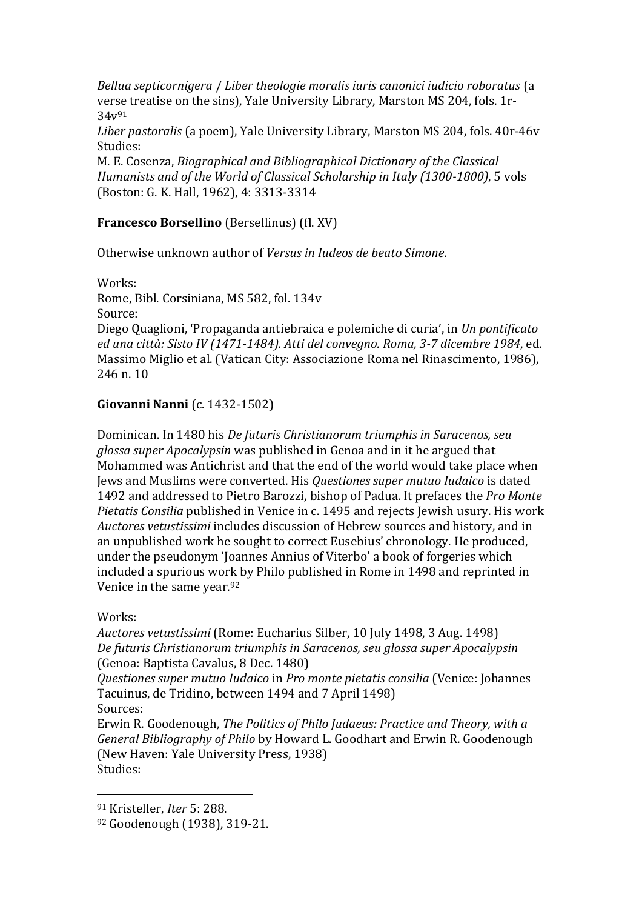*Bellua septicornigera* / *Liber theologie moralis iuris canonici iudicio roboratus* (a verse treatise on the sins), Yale University Library, Marston MS 204, fols. 1r-34v<sup>91</sup>

*Liber pastoralis* (a poem), Yale University Library, Marston MS 204, fols. 40r-46v Studies:

M. E. Cosenza, *Biographical and Bibliographical Dictionary of the Classical Humanists and of the World of Classical Scholarship in Italy (1300-1800)*, 5 vols (Boston: G. K. Hall, 1962), 4: 3313-3314

## **Francesco Borsellino** (Bersellinus) (fl. XV)

Otherwise unknown author of *Versus in Iudeos de beato Simone*.

Works: Rome, Bibl. Corsiniana, MS 582, fol. 134v Source: Diego Quaglioni, 'Propaganda antiebraica e polemiche di curia', in *Un pontificato ed una città: Sisto IV (1471-1484). Atti del convegno. Roma, 3-7 dicembre 1984*, ed. Massimo Miglio et al. (Vatican City: Associazione Roma nel Rinascimento, 1986), 246 n. 10

## **Giovanni Nanni** (c. 1432-1502)

Dominican. In 1480 his *De futuris Christianorum triumphis in Saracenos, seu glossa super Apocalypsin* was published in Genoa and in it he argued that Mohammed was Antichrist and that the end of the world would take place when Jews and Muslims were converted. His *Questiones super mutuo Iudaico* is dated 1492 and addressed to Pietro Barozzi, bishop of Padua. It prefaces the *Pro Monte Pietatis Consilia* published in Venice in c. 1495 and rejects Jewish usury. His work *Auctores vetustissimi* includes discussion of Hebrew sources and history, and in an unpublished work he sought to correct Eusebius' chronology. He produced, under the pseudonym 'Joannes Annius of Viterbo' a book of forgeries which included a spurious work by Philo published in Rome in 1498 and reprinted in Venice in the same year.<sup>92</sup>

### Works:

 $\overline{a}$ 

*Auctores vetustissimi* (Rome: Eucharius Silber, 10 July 1498, 3 Aug. 1498) *De futuris Christianorum triumphis in Saracenos, seu glossa super Apocalypsin* (Genoa: Baptista Cavalus, 8 Dec. 1480)

*Questiones super mutuo Iudaico* in *Pro monte pietatis consilia* (Venice: Johannes Tacuinus, de Tridino, between 1494 and 7 April 1498) Sources:

Erwin R. Goodenough, *The Politics of Philo Judaeus: Practice and Theory, with a General Bibliography of Philo* by Howard L. Goodhart and Erwin R. Goodenough (New Haven: Yale University Press, 1938) Studies:

<sup>91</sup> Kristeller, *Iter* 5: 288.

<sup>92</sup> Goodenough (1938), 319-21.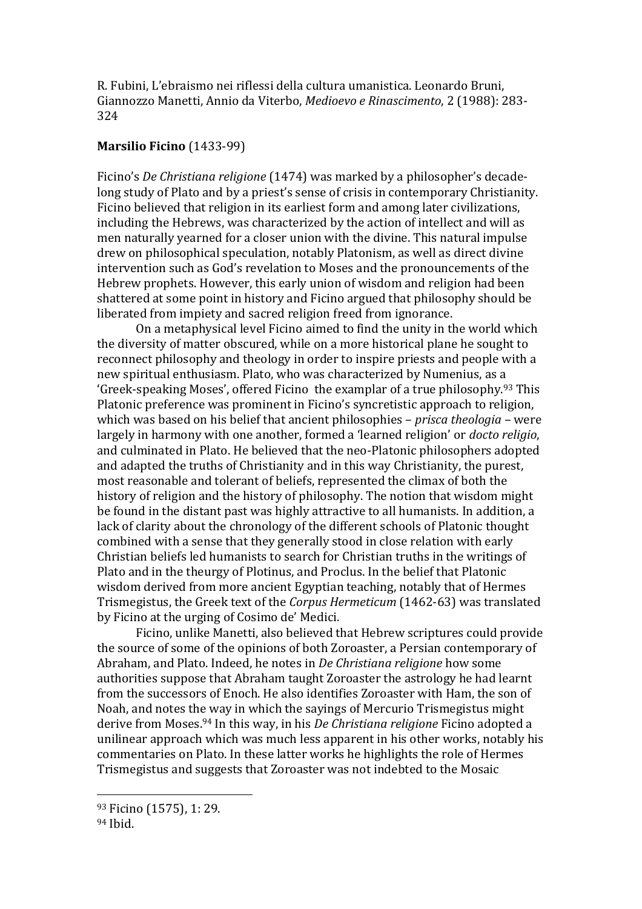R. Fubini, L'ebraismo nei riflessi della cultura umanistica. Leonardo Bruni, Giannozzo Manetti, Annio da Viterbo, *Medioevo e Rinascimento*, 2 (1988): 283- 324

#### **Marsilio Ficino** (1433-99)

Ficino's *De Christiana religione* (1474) was marked by a philosopher's decadelong study of Plato and by a priest's sense of crisis in contemporary Christianity. Ficino believed that religion in its earliest form and among later civilizations, including the Hebrews, was characterized by the action of intellect and will as men naturally yearned for a closer union with the divine. This natural impulse drew on philosophical speculation, notably Platonism, as well as direct divine intervention such as God's revelation to Moses and the pronouncements of the Hebrew prophets. However, this early union of wisdom and religion had been shattered at some point in history and Ficino argued that philosophy should be liberated from impiety and sacred religion freed from ignorance.

On a metaphysical level Ficino aimed to find the unity in the world which the diversity of matter obscured, while on a more historical plane he sought to reconnect philosophy and theology in order to inspire priests and people with a new spiritual enthusiasm. Plato, who was characterized by Numenius, as a 'Greek-speaking Moses', offered Ficino the examplar of a true philosophy.<sup>93</sup> This Platonic preference was prominent in Ficino's syncretistic approach to religion, which was based on his belief that ancient philosophies – *prisca theologia* – were largely in harmony with one another, formed a 'learned religion' or *docto religio*, and culminated in Plato. He believed that the neo-Platonic philosophers adopted and adapted the truths of Christianity and in this way Christianity, the purest, most reasonable and tolerant of beliefs, represented the climax of both the history of religion and the history of philosophy. The notion that wisdom might be found in the distant past was highly attractive to all humanists. In addition, a lack of clarity about the chronology of the different schools of Platonic thought combined with a sense that they generally stood in close relation with early Christian beliefs led humanists to search for Christian truths in the writings of Plato and in the theurgy of Plotinus, and Proclus. In the belief that Platonic wisdom derived from more ancient Egyptian teaching, notably that of Hermes Trismegistus, the Greek text of the *Corpus Hermeticum* (1462-63) was translated by Ficino at the urging of Cosimo de' Medici.

Ficino, unlike Manetti, also believed that Hebrew scriptures could provide the source of some of the opinions of both Zoroaster, a Persian contemporary of Abraham, and Plato. Indeed, he notes in *De Christiana religione* how some authorities suppose that Abraham taught Zoroaster the astrology he had learnt from the successors of Enoch. He also identifies Zoroaster with Ham, the son of Noah, and notes the way in which the sayings of Mercurio Trismegistus might derive from Moses.<sup>94</sup> In this way, in his *De Christiana religione* Ficino adopted a unilinear approach which was much less apparent in his other works, notably his commentaries on Plato. In these latter works he highlights the role of Hermes Trismegistus and suggests that Zoroaster was not indebted to the Mosaic

<sup>93</sup> Ficino (1575), 1: 29.

<sup>94</sup> Ibid.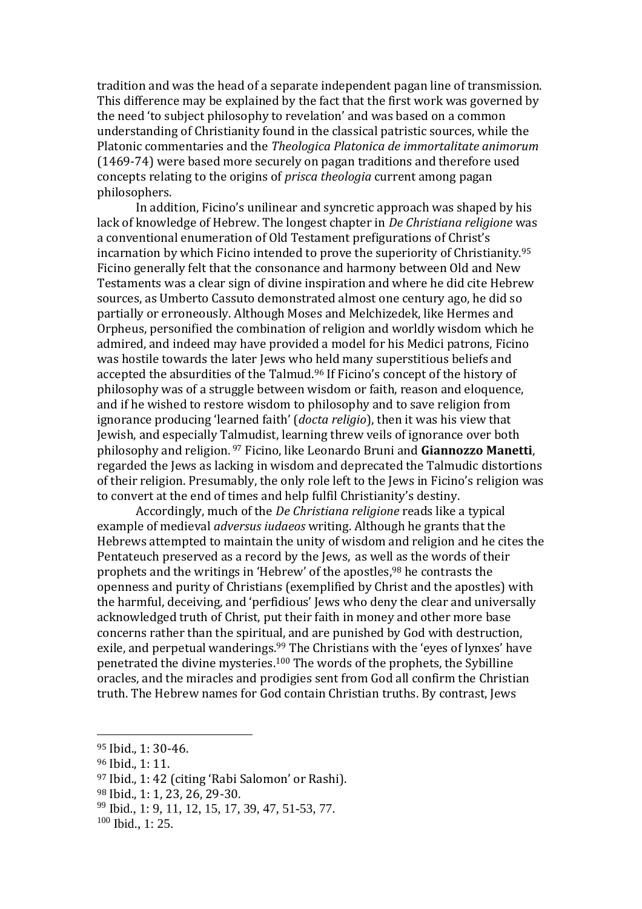tradition and was the head of a separate independent pagan line of transmission. This difference may be explained by the fact that the first work was governed by the need 'to subject philosophy to revelation' and was based on a common understanding of Christianity found in the classical patristic sources, while the Platonic commentaries and the *Theologica Platonica de immortalitate animorum* (1469-74) were based more securely on pagan traditions and therefore used concepts relating to the origins of *prisca theologia* current among pagan philosophers.

In addition, Ficino's unilinear and syncretic approach was shaped by his lack of knowledge of Hebrew. The longest chapter in *De Christiana religione* was a conventional enumeration of Old Testament prefigurations of Christ's incarnation by which Ficino intended to prove the superiority of Christianity.<sup>95</sup> Ficino generally felt that the consonance and harmony between Old and New Testaments was a clear sign of divine inspiration and where he did cite Hebrew sources, as Umberto Cassuto demonstrated almost one century ago, he did so partially or erroneously. Although Moses and Melchizedek, like Hermes and Orpheus, personified the combination of religion and worldly wisdom which he admired, and indeed may have provided a model for his Medici patrons, Ficino was hostile towards the later Jews who held many superstitious beliefs and accepted the absurdities of the Talmud.<sup>96</sup> If Ficino's concept of the history of philosophy was of a struggle between wisdom or faith, reason and eloquence, and if he wished to restore wisdom to philosophy and to save religion from ignorance producing 'learned faith' (*docta religio*), then it was his view that Jewish, and especially Talmudist, learning threw veils of ignorance over both philosophy and religion. <sup>97</sup> Ficino, like Leonardo Bruni and **Giannozzo Manetti**, regarded the Jews as lacking in wisdom and deprecated the Talmudic distortions of their religion. Presumably, the only role left to the Jews in Ficino's religion was to convert at the end of times and help fulfil Christianity's destiny.

Accordingly, much of the *De Christiana religione* reads like a typical example of medieval *adversus iudaeos* writing. Although he grants that the Hebrews attempted to maintain the unity of wisdom and religion and he cites the Pentateuch preserved as a record by the Jews, as well as the words of their prophets and the writings in 'Hebrew' of the apostles,<sup>98</sup> he contrasts the openness and purity of Christians (exemplified by Christ and the apostles) with the harmful, deceiving, and 'perfidious' Jews who deny the clear and universally acknowledged truth of Christ, put their faith in money and other more base concerns rather than the spiritual, and are punished by God with destruction, exile, and perpetual wanderings.<sup>99</sup> The Christians with the 'eyes of lynxes' have penetrated the divine mysteries.<sup>100</sup> The words of the prophets, the Sybilline oracles, and the miracles and prodigies sent from God all confirm the Christian truth. The Hebrew names for God contain Christian truths. By contrast, Jews

<sup>95</sup> Ibid., 1: 30-46.

<sup>96</sup> Ibid., 1: 11.

<sup>97</sup> Ibid., 1: 42 (citing 'Rabi Salomon' or Rashi).

<sup>98</sup> Ibid., 1: 1, 23, 26, 29-30.

<sup>99</sup> Ibid., 1: 9, 11, 12, 15, 17, 39, 47, 51-53, 77.

<sup>100</sup> Ibid., 1: 25.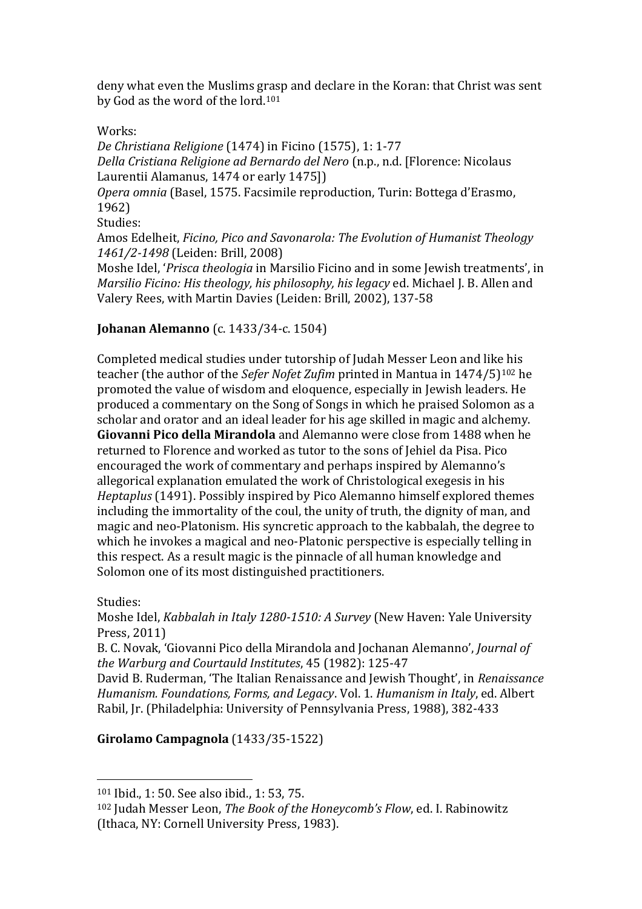deny what even the Muslims grasp and declare in the Koran: that Christ was sent by God as the word of the lord.<sup>101</sup>

Works:

*De Christiana Religione* (1474) in Ficino (1575), 1: 1-77 *Della Cristiana Religione ad Bernardo del Nero* (n.p., n.d. [Florence: Nicolaus Laurentii Alamanus, 1474 or early 1475]) *Opera omnia* (Basel, 1575. Facsimile reproduction, Turin: Bottega d'Erasmo, 1962) Studies: Amos Edelheit, *Ficino, Pico and Savonarola: The Evolution of Humanist Theology 1461/2-1498* (Leiden: Brill, 2008)

Moshe Idel, '*Prisca theologia* in Marsilio Ficino and in some Jewish treatments', in *Marsilio Ficino: His theology, his philosophy, his legacy* ed. Michael J. B. Allen and Valery Rees, with Martin Davies (Leiden: Brill, 2002), 137-58

## **Johanan Alemanno** (c. 1433/34-c. 1504)

Completed medical studies under tutorship of Judah Messer Leon and like his teacher (the author of the *Sefer Nofet Zufim* printed in Mantua in 1474/5) <sup>102</sup> he promoted the value of wisdom and eloquence, especially in Jewish leaders. He produced a commentary on the Song of Songs in which he praised Solomon as a scholar and orator and an ideal leader for his age skilled in magic and alchemy. **Giovanni Pico della Mirandola** and Alemanno were close from 1488 when he returned to Florence and worked as tutor to the sons of Jehiel da Pisa. Pico encouraged the work of commentary and perhaps inspired by Alemanno's allegorical explanation emulated the work of Christological exegesis in his *Heptaplus* (1491). Possibly inspired by Pico Alemanno himself explored themes including the immortality of the coul, the unity of truth, the dignity of man, and magic and neo-Platonism. His syncretic approach to the kabbalah, the degree to which he invokes a magical and neo-Platonic perspective is especially telling in this respect. As a result magic is the pinnacle of all human knowledge and Solomon one of its most distinguished practitioners.

Studies:

 $\overline{a}$ 

Moshe Idel, *Kabbalah in Italy 1280-1510: A Survey* (New Haven: Yale University Press, 2011)

B. C. Novak, 'Giovanni Pico della Mirandola and Jochanan Alemanno', *Journal of the Warburg and Courtauld Institutes*, 45 (1982): 125-47

David B. Ruderman, 'The Italian Renaissance and Jewish Thought', in *Renaissance Humanism. Foundations, Forms, and Legacy*. Vol. 1. *Humanism in Italy*, ed. Albert Rabil, Jr. (Philadelphia: University of Pennsylvania Press, 1988), 382-433

# **Girolamo Campagnola** (1433/35-1522)

<sup>101</sup> Ibid., 1: 50. See also ibid., 1: 53, 75.

<sup>102</sup> Judah Messer Leon, *The Book of the Honeycomb's Flow*, ed. I. Rabinowitz (Ithaca, NY: Cornell University Press, 1983).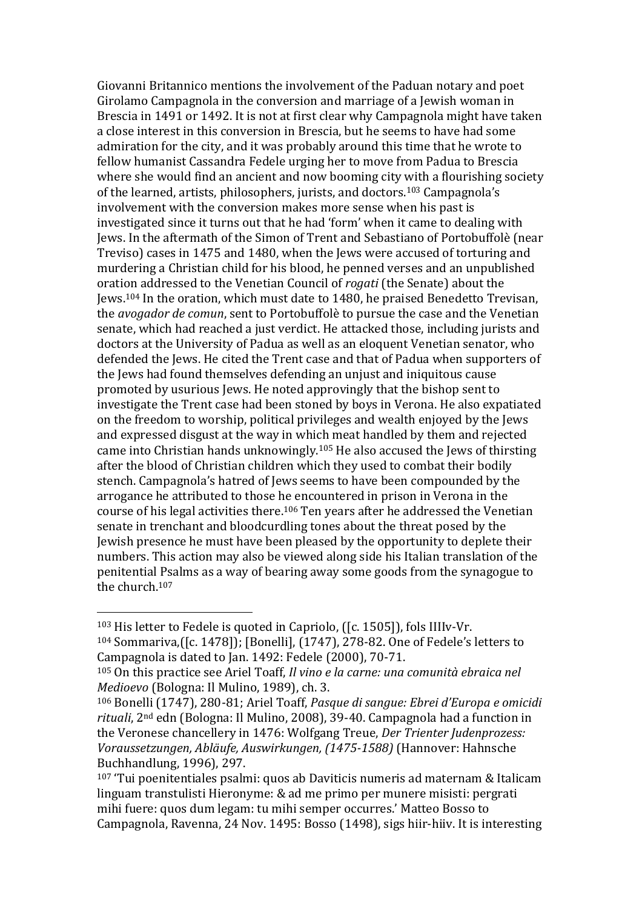Giovanni Britannico mentions the involvement of the Paduan notary and poet Girolamo Campagnola in the conversion and marriage of a Jewish woman in Brescia in 1491 or 1492. It is not at first clear why Campagnola might have taken a close interest in this conversion in Brescia, but he seems to have had some admiration for the city, and it was probably around this time that he wrote to fellow humanist Cassandra Fedele urging her to move from Padua to Brescia where she would find an ancient and now booming city with a flourishing society of the learned, artists, philosophers, jurists, and doctors.<sup>103</sup> Campagnola's involvement with the conversion makes more sense when his past is investigated since it turns out that he had 'form' when it came to dealing with Jews. In the aftermath of the Simon of Trent and Sebastiano of Portobuffolè (near Treviso) cases in 1475 and 1480, when the Jews were accused of torturing and murdering a Christian child for his blood, he penned verses and an unpublished oration addressed to the Venetian Council of *rogati* (the Senate) about the Jews.<sup>104</sup> In the oration, which must date to 1480, he praised Benedetto Trevisan, the *avogador de comun*, sent to Portobuffolè to pursue the case and the Venetian senate, which had reached a just verdict. He attacked those, including jurists and doctors at the University of Padua as well as an eloquent Venetian senator, who defended the Jews. He cited the Trent case and that of Padua when supporters of the Jews had found themselves defending an unjust and iniquitous cause promoted by usurious Jews. He noted approvingly that the bishop sent to investigate the Trent case had been stoned by boys in Verona. He also expatiated on the freedom to worship, political privileges and wealth enjoyed by the Jews and expressed disgust at the way in which meat handled by them and rejected came into Christian hands unknowingly.<sup>105</sup> He also accused the Jews of thirsting after the blood of Christian children which they used to combat their bodily stench. Campagnola's hatred of Jews seems to have been compounded by the arrogance he attributed to those he encountered in prison in Verona in the course of his legal activities there.<sup>106</sup> Ten years after he addressed the Venetian senate in trenchant and bloodcurdling tones about the threat posed by the Jewish presence he must have been pleased by the opportunity to deplete their numbers. This action may also be viewed along side his Italian translation of the penitential Psalms as a way of bearing away some goods from the synagogue to the church.<sup>107</sup>

<sup>103</sup> His letter to Fedele is quoted in Capriolo, ([c. 1505]), fols IIIIv-Vr. <sup>104</sup> Sommariva,([c. 1478]); [Bonelli], (1747), 278-82. One of Fedele's letters to Campagnola is dated to Jan. 1492: Fedele (2000), 70-71.

<sup>105</sup> On this practice see Ariel Toaff, *Il vino e la carne: una comunità ebraica nel Medioevo* (Bologna: Il Mulino, 1989), ch. 3.

<sup>106</sup> Bonelli (1747), 280-81; Ariel Toaff, *Pasque di sangue: Ebrei d'Europa e omicidi rituali*, 2nd edn (Bologna: Il Mulino, 2008), 39-40. Campagnola had a function in the Veronese chancellery in 1476: Wolfgang Treue, *Der Trienter Judenprozess: Voraussetzungen, Abläufe, Auswirkungen, (1475-1588)* (Hannover: Hahnsche Buchhandlung, 1996), 297.

<sup>107</sup> 'Tui poenitentiales psalmi: quos ab Daviticis numeris ad maternam & Italicam linguam transtulisti Hieronyme: & ad me primo per munere misisti: pergrati mihi fuere: quos dum legam: tu mihi semper occurres.' Matteo Bosso to Campagnola, Ravenna, 24 Nov. 1495: Bosso (1498), sigs hiir-hiiv. It is interesting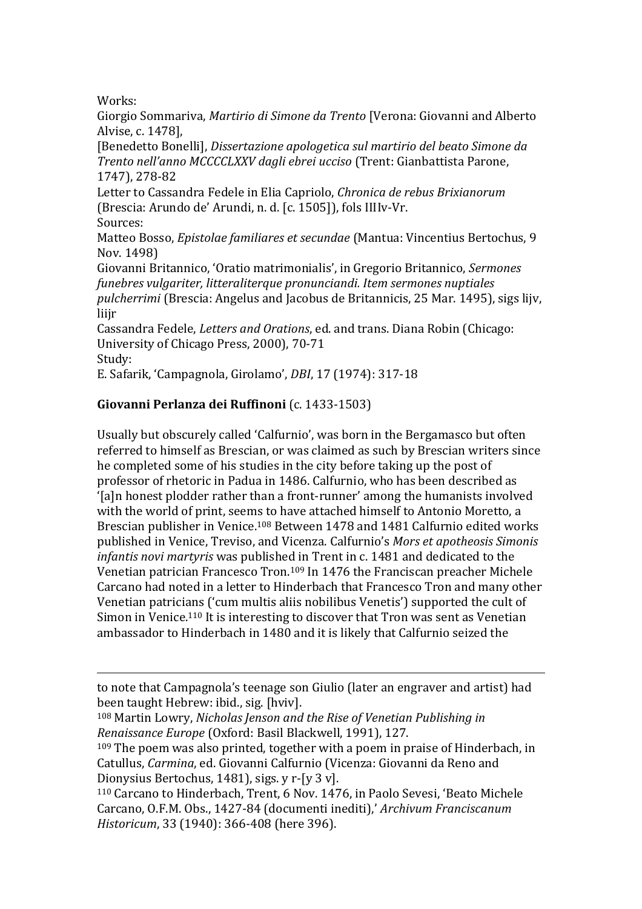Works:

 $\overline{a}$ 

Giorgio Sommariva, *Martirio di Simone da Trento* [Verona: Giovanni and Alberto Alvise, c. 1478],

[Benedetto Bonelli], *Dissertazione apologetica sul martirio del beato Simone da Trento nell'anno MCCCCLXXV dagli ebrei ucciso* (Trent: Gianbattista Parone, 1747), 278-82

Letter to Cassandra Fedele in Elia Capriolo, *Chronica de rebus Brixianorum* (Brescia: Arundo de' Arundi, n. d. [c. 1505]), fols IIIIv-Vr. Sources:

Matteo Bosso, *Epistolae familiares et secundae* (Mantua: Vincentius Bertochus, 9 Nov. 1498)

Giovanni Britannico, 'Oratio matrimonialis', in Gregorio Britannico, *Sermones funebres vulgariter, litteraliterque pronunciandi. Item sermones nuptiales pulcherrimi* (Brescia: Angelus and Jacobus de Britannicis, 25 Mar. 1495), sigs lijv, liiir

Cassandra Fedele, *Letters and Orations*, ed. and trans. Diana Robin (Chicago: University of Chicago Press, 2000), 70-71 Study:

E. Safarik, 'Campagnola, Girolamo', *DBI*, 17 (1974): 317-18

## **Giovanni Perlanza dei Ruffinoni** (c. 1433-1503)

Usually but obscurely called 'Calfurnio', was born in the Bergamasco but often referred to himself as Brescian, or was claimed as such by Brescian writers since he completed some of his studies in the city before taking up the post of professor of rhetoric in Padua in 1486. Calfurnio, who has been described as '[a]n honest plodder rather than a front-runner' among the humanists involved with the world of print, seems to have attached himself to Antonio Moretto, a Brescian publisher in Venice.<sup>108</sup> Between 1478 and 1481 Calfurnio edited works published in Venice, Treviso, and Vicenza. Calfurnio's *Mors et apotheosis Simonis infantis novi martyris* was published in Trent in c. 1481 and dedicated to the Venetian patrician Francesco Tron.<sup>109</sup> In 1476 the Franciscan preacher Michele Carcano had noted in a letter to Hinderbach that Francesco Tron and many other Venetian patricians ('cum multis aliis nobilibus Venetis') supported the cult of Simon in Venice.<sup>110</sup> It is interesting to discover that Tron was sent as Venetian ambassador to Hinderbach in 1480 and it is likely that Calfurnio seized the

to note that Campagnola's teenage son Giulio (later an engraver and artist) had been taught Hebrew: ibid., sig. [hviv].

<sup>108</sup> Martin Lowry, *Nicholas Jenson and the Rise of Venetian Publishing in Renaissance Europe* (Oxford: Basil Blackwell, 1991), 127.

<sup>&</sup>lt;sup>109</sup> The poem was also printed, together with a poem in praise of Hinderbach, in Catullus, *Carmina*, ed. Giovanni Calfurnio (Vicenza: Giovanni da Reno and Dionysius Bertochus, 1481), sigs. y r-[y 3 v].

<sup>110</sup> Carcano to Hinderbach, Trent, 6 Nov. 1476, in Paolo Sevesi, 'Beato Michele Carcano, O.F.M. Obs., 1427-84 (documenti inediti),' *Archivum Franciscanum Historicum*, 33 (1940): 366-408 (here 396).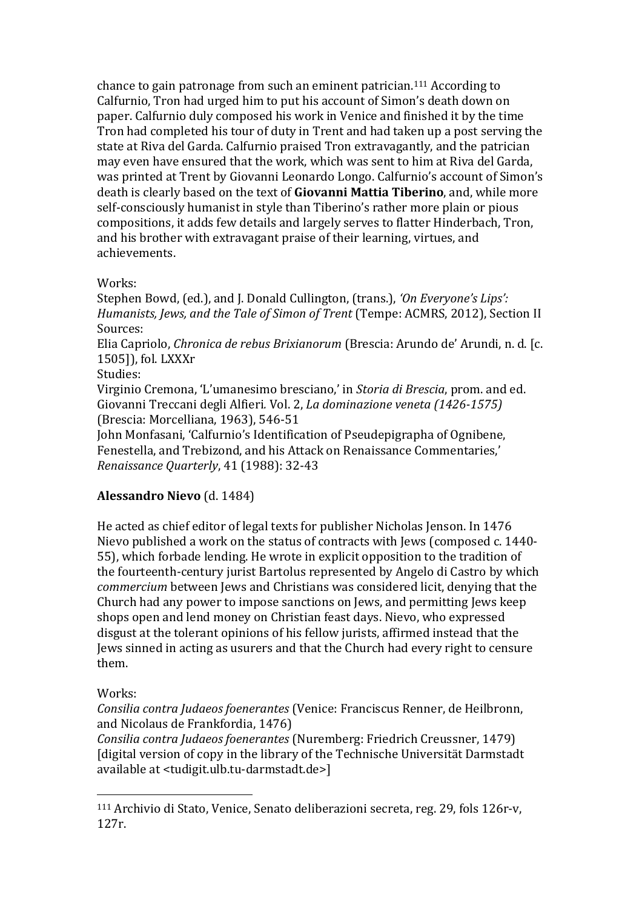chance to gain patronage from such an eminent patrician.<sup>111</sup> According to Calfurnio, Tron had urged him to put his account of Simon's death down on paper. Calfurnio duly composed his work in Venice and finished it by the time Tron had completed his tour of duty in Trent and had taken up a post serving the state at Riva del Garda. Calfurnio praised Tron extravagantly, and the patrician may even have ensured that the work, which was sent to him at Riva del Garda, was printed at Trent by Giovanni Leonardo Longo. Calfurnio's account of Simon's death is clearly based on the text of **Giovanni Mattia Tiberino**, and, while more self-consciously humanist in style than Tiberino's rather more plain or pious compositions, it adds few details and largely serves to flatter Hinderbach, Tron, and his brother with extravagant praise of their learning, virtues, and achievements.

### Works:

Stephen Bowd, (ed.), and J. Donald Cullington, (trans.), *'On Everyone's Lips': Humanists, Jews, and the Tale of Simon of Trent* (Tempe: ACMRS, 2012), Section II Sources: Elia Capriolo, *Chronica de rebus Brixianorum* (Brescia: Arundo de' Arundi, n. d. [c. 1505]), fol. LXXXr

Studies:

Virginio Cremona, 'L'umanesimo bresciano,' in *Storia di Brescia*, prom. and ed. Giovanni Treccani degli Alfieri*.* Vol. 2, *La dominazione veneta (1426-1575)* (Brescia: Morcelliana, 1963), 546-51

John Monfasani, 'Calfurnio's Identification of Pseudepigrapha of Ognibene, Fenestella, and Trebizond, and his Attack on Renaissance Commentaries,' *Renaissance Quarterly*, 41 (1988): 32-43

# **Alessandro Nievo** (d. 1484)

He acted as chief editor of legal texts for publisher Nicholas Jenson. In 1476 Nievo published a work on the status of contracts with Jews (composed c. 1440- 55), which forbade lending. He wrote in explicit opposition to the tradition of the fourteenth-century jurist Bartolus represented by Angelo di Castro by which *commercium* between Jews and Christians was considered licit, denying that the Church had any power to impose sanctions on Jews, and permitting Jews keep shops open and lend money on Christian feast days. Nievo, who expressed disgust at the tolerant opinions of his fellow jurists, affirmed instead that the Jews sinned in acting as usurers and that the Church had every right to censure them.

### Works:

 $\overline{a}$ 

*Consilia contra Judaeos foenerantes* (Venice: Franciscus Renner, de Heilbronn, and Nicolaus de Frankfordia, 1476)

*Consilia contra Judaeos foenerantes* (Nuremberg: Friedrich Creussner, 1479) [digital version of copy in the library of the Technische Universität Darmstadt available at <tudigit.ulb.tu-darmstadt.de>]

<sup>111</sup> Archivio di Stato, Venice, Senato deliberazioni secreta, reg. 29, fols 126r-v, 127r.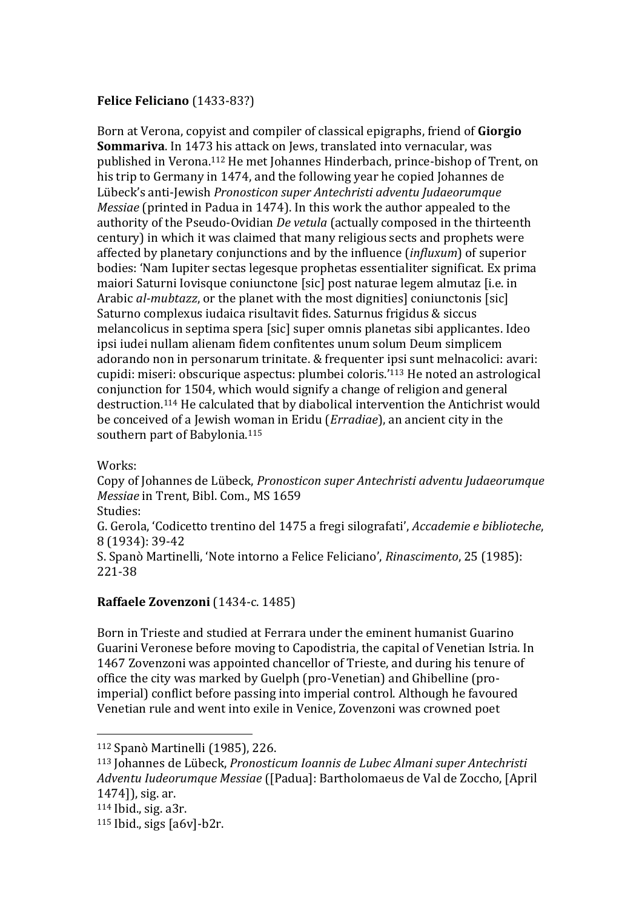## **Felice Feliciano** (1433-83?)

Born at Verona, copyist and compiler of classical epigraphs, friend of **Giorgio Sommariva**. In 1473 his attack on Jews, translated into vernacular, was published in Verona. <sup>112</sup> He met Johannes Hinderbach, prince-bishop of Trent, on his trip to Germany in 1474, and the following year he copied Johannes de Lübeck's anti-Jewish *Pronosticon super Antechristi adventu Judaeorumque Messiae* (printed in Padua in 1474). In this work the author appealed to the authority of the Pseudo-Ovidian *De vetula* (actually composed in the thirteenth century) in which it was claimed that many religious sects and prophets were affected by planetary conjunctions and by the influence (*influxum*) of superior bodies: 'Nam Iupiter sectas legesque prophetas essentialiter significat. Ex prima maiori Saturni Iovisque coniunctone [sic] post naturae legem almutaz [i.e. in Arabic *al-mubtazz*, or the planet with the most dignities] coniunctonis [sic] Saturno complexus iudaica risultavit fides. Saturnus frigidus & siccus melancolicus in septima spera [sic] super omnis planetas sibi applicantes. Ideo ipsi iudei nullam alienam fidem confitentes unum solum Deum simplicem adorando non in personarum trinitate. & frequenter ipsi sunt melnacolici: avari: cupidi: miseri: obscurique aspectus: plumbei coloris.'<sup>113</sup> He noted an astrological conjunction for 1504, which would signify a change of religion and general destruction.<sup>114</sup> He calculated that by diabolical intervention the Antichrist would be conceived of a Jewish woman in Eridu (*Erradiae*), an ancient city in the southern part of Babylonia.<sup>115</sup>

Works:

Copy of Johannes de Lübeck, *Pronosticon super Antechristi adventu Judaeorumque Messiae* in Trent, Bibl. Com., MS 1659

Studies:

G. Gerola, 'Codicetto trentino del 1475 a fregi silografati', *Accademie e biblioteche*, 8 (1934): 39-42

S. Spanò Martinelli, 'Note intorno a Felice Feliciano', *Rinascimento*, 25 (1985): 221-38

### **Raffaele Zovenzoni** (1434-c. 1485)

Born in Trieste and studied at Ferrara under the eminent humanist Guarino Guarini Veronese before moving to Capodistria, the capital of Venetian Istria. In 1467 Zovenzoni was appointed chancellor of Trieste, and during his tenure of office the city was marked by Guelph (pro-Venetian) and Ghibelline (proimperial) conflict before passing into imperial control. Although he favoured Venetian rule and went into exile in Venice, Zovenzoni was crowned poet

<sup>112</sup> Spanò Martinelli (1985), 226.

<sup>113</sup> Johannes de Lübeck, *Pronosticum Ioannis de Lubec Almani super Antechristi Adventu Iudeorumque Messiae* ([Padua]: Bartholomaeus de Val de Zoccho, [April 1474]), sig. ar.

<sup>114</sup> Ibid., sig. a3r.

<sup>115</sup> Ibid., sigs [a6v]-b2r.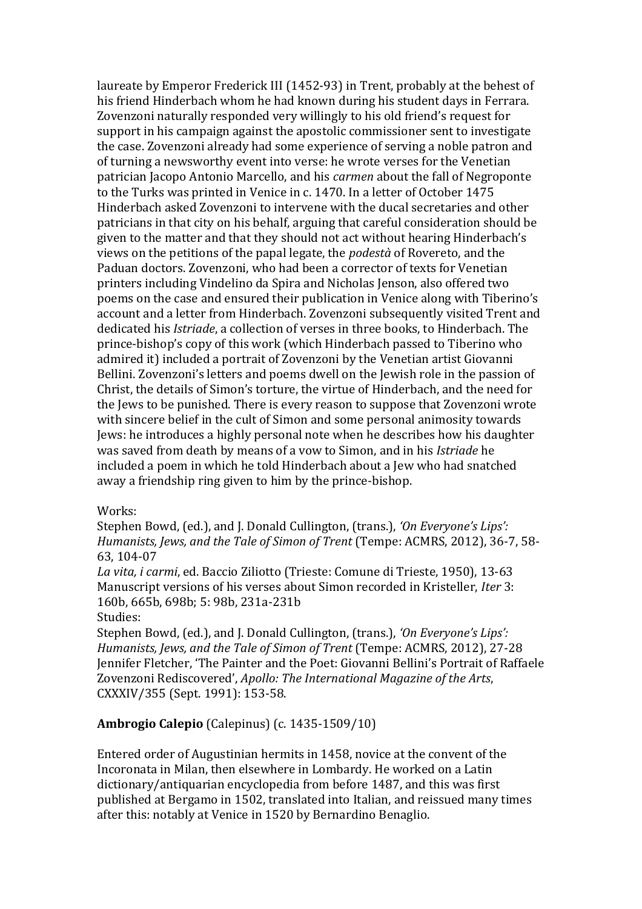laureate by Emperor Frederick III (1452-93) in Trent, probably at the behest of his friend Hinderbach whom he had known during his student days in Ferrara. Zovenzoni naturally responded very willingly to his old friend's request for support in his campaign against the apostolic commissioner sent to investigate the case. Zovenzoni already had some experience of serving a noble patron and of turning a newsworthy event into verse: he wrote verses for the Venetian patrician Jacopo Antonio Marcello, and his *carmen* about the fall of Negroponte to the Turks was printed in Venice in c. 1470. In a letter of October 1475 Hinderbach asked Zovenzoni to intervene with the ducal secretaries and other patricians in that city on his behalf, arguing that careful consideration should be given to the matter and that they should not act without hearing Hinderbach's views on the petitions of the papal legate, the *podestà* of Rovereto, and the Paduan doctors. Zovenzoni, who had been a corrector of texts for Venetian printers including Vindelino da Spira and Nicholas Jenson, also offered two poems on the case and ensured their publication in Venice along with Tiberino's account and a letter from Hinderbach. Zovenzoni subsequently visited Trent and dedicated his *Istriade*, a collection of verses in three books, to Hinderbach. The prince-bishop's copy of this work (which Hinderbach passed to Tiberino who admired it) included a portrait of Zovenzoni by the Venetian artist Giovanni Bellini. Zovenzoni's letters and poems dwell on the Jewish role in the passion of Christ, the details of Simon's torture, the virtue of Hinderbach, and the need for the Jews to be punished. There is every reason to suppose that Zovenzoni wrote with sincere belief in the cult of Simon and some personal animosity towards Jews: he introduces a highly personal note when he describes how his daughter was saved from death by means of a vow to Simon, and in his *Istriade* he included a poem in which he told Hinderbach about a Jew who had snatched away a friendship ring given to him by the prince-bishop.

#### Works:

Stephen Bowd, (ed.), and J. Donald Cullington, (trans.), *'On Everyone's Lips': Humanists, Jews, and the Tale of Simon of Trent* (Tempe: ACMRS, 2012), 36-7, 58- 63, 104-07

*La vita, i carmi*, ed. Baccio Ziliotto (Trieste: Comune di Trieste, 1950), 13-63 Manuscript versions of his verses about Simon recorded in Kristeller, *Iter* 3: 160b, 665b, 698b; 5: 98b, 231a-231b

Studies:

Stephen Bowd, (ed.), and J. Donald Cullington, (trans.), *'On Everyone's Lips'*: *Humanists, Jews, and the Tale of Simon of Trent* (Tempe: ACMRS, 2012), 27-28 Jennifer Fletcher, 'The Painter and the Poet: Giovanni Bellini's Portrait of Raffaele Zovenzoni Rediscovered', *Apollo: The International Magazine of the Arts*, CXXXIV/355 (Sept. 1991): 153-58.

### **Ambrogio Calepio** (Calepinus) (c. 1435-1509/10)

Entered order of Augustinian hermits in 1458, novice at the convent of the Incoronata in Milan, then elsewhere in Lombardy. He worked on a Latin dictionary/antiquarian encyclopedia from before 1487, and this was first published at Bergamo in 1502, translated into Italian, and reissued many times after this: notably at Venice in 1520 by Bernardino Benaglio.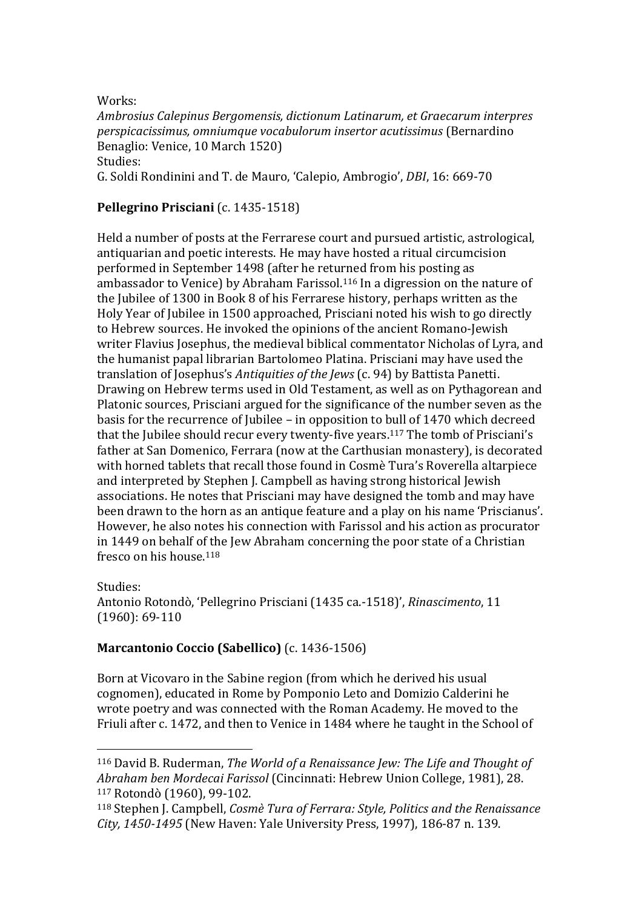Works:

 $\overline{a}$ 

*Ambrosius Calepinus Bergomensis, dictionum Latinarum, et Graecarum interpres perspicacissimus, omniumque vocabulorum insertor acutissimus* (Bernardino Benaglio: Venice, 10 March 1520) Studies: G. Soldi Rondinini and T. de Mauro, 'Calepio, Ambrogio', *DBI*, 16: 669-70

### **Pellegrino Prisciani** (c. 1435-1518)

Held a number of posts at the Ferrarese court and pursued artistic, astrological, antiquarian and poetic interests. He may have hosted a ritual circumcision performed in September 1498 (after he returned from his posting as ambassador to Venice) by Abraham Farissol.<sup>116</sup> In a digression on the nature of the Jubilee of 1300 in Book 8 of his Ferrarese history, perhaps written as the Holy Year of Jubilee in 1500 approached, Prisciani noted his wish to go directly to Hebrew sources. He invoked the opinions of the ancient Romano-Jewish writer Flavius Josephus, the medieval biblical commentator Nicholas of Lyra, and the humanist papal librarian Bartolomeo Platina. Prisciani may have used the translation of Josephus's *Antiquities of the Jews* (c. 94) by Battista Panetti. Drawing on Hebrew terms used in Old Testament, as well as on Pythagorean and Platonic sources, Prisciani argued for the significance of the number seven as the basis for the recurrence of Jubilee – in opposition to bull of 1470 which decreed that the Jubilee should recur every twenty-five years.<sup>117</sup> The tomb of Prisciani's father at San Domenico, Ferrara (now at the Carthusian monastery), is decorated with horned tablets that recall those found in Cosmè Tura's Roverella altarpiece and interpreted by Stephen J. Campbell as having strong historical Jewish associations. He notes that Prisciani may have designed the tomb and may have been drawn to the horn as an antique feature and a play on his name 'Priscianus'. However, he also notes his connection with Farissol and his action as procurator in 1449 on behalf of the Jew Abraham concerning the poor state of a Christian fresco on his house.<sup>118</sup>

Studies: Antonio Rotondò, 'Pellegrino Prisciani (1435 ca.-1518)', *Rinascimento*, 11 (1960): 69-110

### **Marcantonio Coccio (Sabellico)** (c. 1436-1506)

Born at Vicovaro in the Sabine region (from which he derived his usual cognomen), educated in Rome by Pomponio Leto and Domizio Calderini he wrote poetry and was connected with the Roman Academy. He moved to the Friuli after c. 1472, and then to Venice in 1484 where he taught in the School of

<sup>116</sup> David B. Ruderman, *The World of a Renaissance Jew: The Life and Thought of Abraham ben Mordecai Farissol* (Cincinnati: Hebrew Union College, 1981), 28. <sup>117</sup> Rotondò (1960), 99-102.

<sup>118</sup> Stephen J. Campbell, *Cosmè Tura of Ferrara: Style, Politics and the Renaissance City, 1450-1495* (New Haven: Yale University Press, 1997), 186-87 n. 139.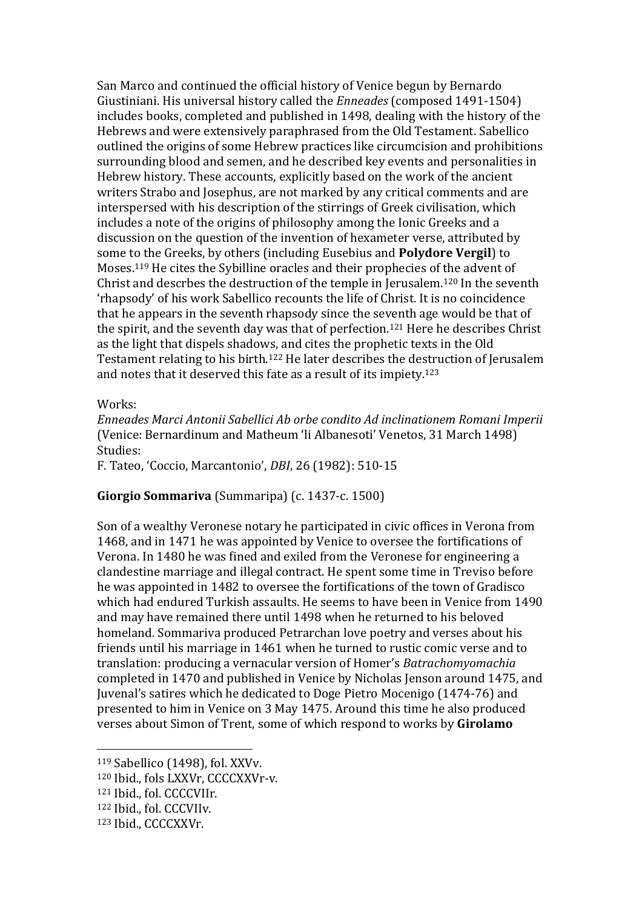San Marco and continued the official history of Venice begun by Bernardo Giustiniani. His universal history called the *Enneades* (composed 1491-1504) includes books, completed and published in 1498, dealing with the history of the Hebrews and were extensively paraphrased from the Old Testament. Sabellico outlined the origins of some Hebrew practices like circumcision and prohibitions surrounding blood and semen, and he described key events and personalities in Hebrew history. These accounts, explicitly based on the work of the ancient writers Strabo and Josephus, are not marked by any critical comments and are interspersed with his description of the stirrings of Greek civilisation, which includes a note of the origins of philosophy among the Ionic Greeks and a discussion on the question of the invention of hexameter verse, attributed by some to the Greeks, by others (including Eusebius and **Polydore Vergil**) to Moses.<sup>119</sup> He cites the Sybilline oracles and their prophecies of the advent of Christ and descrbes the destruction of the temple in Jerusalem.<sup>120</sup> In the seventh 'rhapsody' of his work Sabellico recounts the life of Christ. It is no coincidence that he appears in the seventh rhapsody since the seventh age would be that of the spirit, and the seventh day was that of perfection.<sup>121</sup> Here he describes Christ as the light that dispels shadows, and cites the prophetic texts in the Old Testament relating to his birth.<sup>122</sup> He later describes the destruction of Jerusalem and notes that it deserved this fate as a result of its impiety.<sup>123</sup>

Works:

*Enneades Marci Antonii Sabellici Ab orbe condito Ad inclinationem Romani Imperii* (Venice: Bernardinum and Matheum 'li Albanesoti' Venetos, 31 March 1498) Studies:

F. Tateo, 'Coccio, Marcantonio', *DBI*, 26 (1982): 510-15

### **Giorgio Sommariva** (Summaripa) (c. 1437-c. 1500)

Son of a wealthy Veronese notary he participated in civic offices in Verona from 1468, and in 1471 he was appointed by Venice to oversee the fortifications of Verona. In 1480 he was fined and exiled from the Veronese for engineering a clandestine marriage and illegal contract. He spent some time in Treviso before he was appointed in 1482 to oversee the fortifications of the town of Gradisco which had endured Turkish assaults. He seems to have been in Venice from 1490 and may have remained there until 1498 when he returned to his beloved homeland. Sommariva produced Petrarchan love poetry and verses about his friends until his marriage in 1461 when he turned to rustic comic verse and to translation: producing a vernacular version of Homer's *Batrachomyomachia*  completed in 1470 and published in Venice by Nicholas Jenson around 1475, and Juvenal's satires which he dedicated to Doge Pietro Mocenigo (1474-76) and presented to him in Venice on 3 May 1475. Around this time he also produced verses about Simon of Trent, some of which respond to works by **Girolamo** 

<sup>119</sup> Sabellico (1498), fol. XXVv.

<sup>120</sup> Ibid., fols LXXVr, CCCCXXVr-v.

<sup>121</sup> Ibid., fol. CCCCVIIr.

<sup>122</sup> Ibid., fol. CCCVIIv.

<sup>123</sup> Ibid., CCCCXXVr.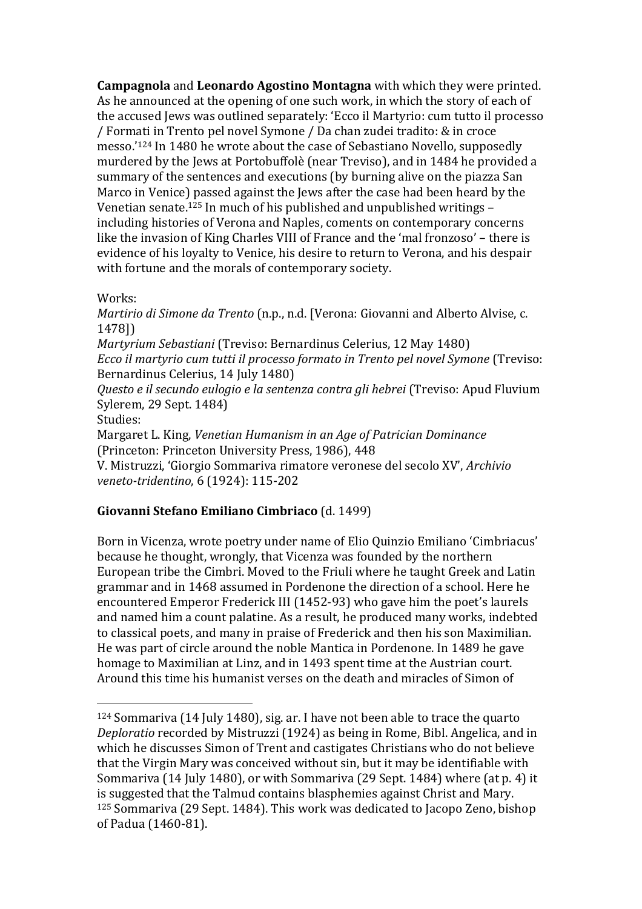**Campagnola** and **Leonardo Agostino Montagna** with which they were printed. As he announced at the opening of one such work, in which the story of each of the accused Jews was outlined separately: 'Ecco il Martyrio: cum tutto il processo / Formati in Trento pel novel Symone / Da chan zudei tradito: & in croce messo.'<sup>124</sup> In 1480 he wrote about the case of Sebastiano Novello, supposedly murdered by the Jews at Portobuffolè (near Treviso), and in 1484 he provided a summary of the sentences and executions (by burning alive on the piazza San Marco in Venice) passed against the Jews after the case had been heard by the Venetian senate.<sup>125</sup> In much of his published and unpublished writings – including histories of Verona and Naples, coments on contemporary concerns like the invasion of King Charles VIII of France and the 'mal fronzoso' – there is evidence of his loyalty to Venice, his desire to return to Verona, and his despair with fortune and the morals of contemporary society.

### Works:

 $\overline{a}$ 

*Martirio di Simone da Trento* (n.p., n.d. [Verona: Giovanni and Alberto Alvise, c. 1478]) *Martyrium Sebastiani* (Treviso: Bernardinus Celerius, 12 May 1480) *Ecco il martyrio cum tutti il processo formato in Trento pel novel Symone* (Treviso: Bernardinus Celerius, 14 July 1480) *Questo e il secundo eulogio e la sentenza contra gli hebrei* (Treviso: Apud Fluvium Sylerem, 29 Sept. 1484) Studies: Margaret L. King, *Venetian Humanism in an Age of Patrician Dominance* (Princeton: Princeton University Press, 1986), 448

V. Mistruzzi, 'Giorgio Sommariva rimatore veronese del secolo XV', *Archivio veneto-tridentino*, 6 (1924): 115-202

### **Giovanni Stefano Emiliano Cimbriaco** (d. 1499)

Born in Vicenza, wrote poetry under name of Elio Quinzio Emiliano 'Cimbriacus' because he thought, wrongly, that Vicenza was founded by the northern European tribe the Cimbri. Moved to the Friuli where he taught Greek and Latin grammar and in 1468 assumed in Pordenone the direction of a school. Here he encountered Emperor Frederick III (1452-93) who gave him the poet's laurels and named him a count palatine. As a result, he produced many works, indebted to classical poets, and many in praise of Frederick and then his son Maximilian. He was part of circle around the noble Mantica in Pordenone. In 1489 he gave homage to Maximilian at Linz, and in 1493 spent time at the Austrian court. Around this time his humanist verses on the death and miracles of Simon of

<sup>124</sup> Sommariva (14 July 1480), sig. ar. I have not been able to trace the quarto *Deploratio* recorded by Mistruzzi (1924) as being in Rome, Bibl. Angelica, and in which he discusses Simon of Trent and castigates Christians who do not believe that the Virgin Mary was conceived without sin, but it may be identifiable with Sommariva (14 July 1480), or with Sommariva (29 Sept. 1484) where (at p. 4) it is suggested that the Talmud contains blasphemies against Christ and Mary. <sup>125</sup> Sommariva (29 Sept. 1484). This work was dedicated to Jacopo Zeno, bishop of Padua (1460-81).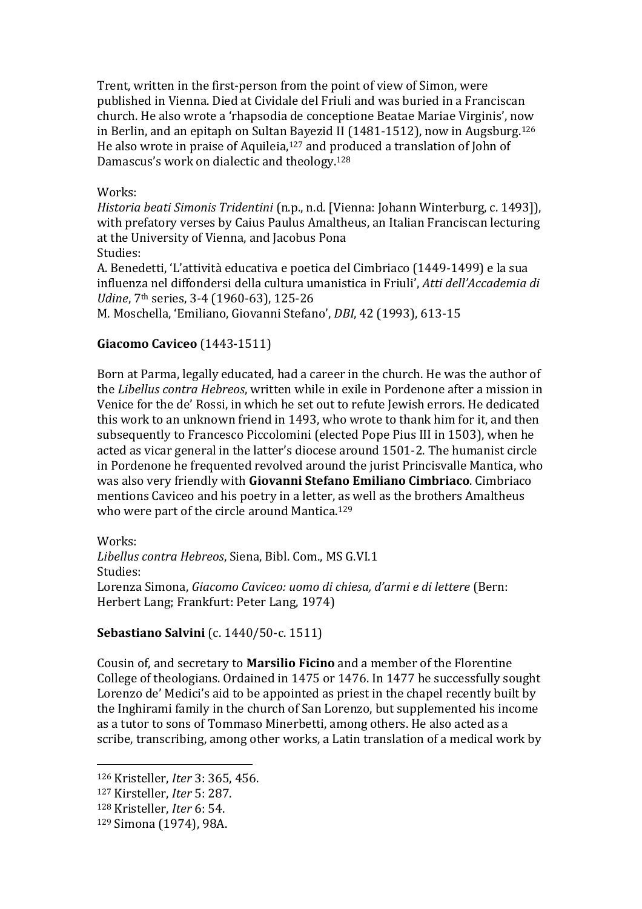Trent, written in the first-person from the point of view of Simon, were published in Vienna. Died at Cividale del Friuli and was buried in a Franciscan church. He also wrote a 'rhapsodia de conceptione Beatae Mariae Virginis', now in Berlin, and an epitaph on Sultan Bayezid II (1481-1512), now in Augsburg.<sup>126</sup> He also wrote in praise of Aquileia, <sup>127</sup> and produced a translation of John of Damascus's work on dialectic and theology.<sup>128</sup>

#### Works:

*Historia beati Simonis Tridentini* (n.p., n.d. [Vienna: Johann Winterburg, c. 1493]), with prefatory verses by Caius Paulus Amaltheus, an Italian Franciscan lecturing at the University of Vienna, and Jacobus Pona Studies:

A. Benedetti, 'L'attività educativa e poetica del Cimbriaco (1449-1499) e la sua influenza nel diffondersi della cultura umanistica in Friuli', *Atti dell'Accademia di Udine*, 7<sup>th</sup> series, 3-4 (1960-63), 125-26

M. Moschella, 'Emiliano, Giovanni Stefano', *DBI*, 42 (1993), 613-15

### **Giacomo Caviceo** (1443-1511)

Born at Parma, legally educated, had a career in the church. He was the author of the *Libellus contra Hebreos*, written while in exile in Pordenone after a mission in Venice for the de' Rossi, in which he set out to refute Jewish errors. He dedicated this work to an unknown friend in 1493, who wrote to thank him for it, and then subsequently to Francesco Piccolomini (elected Pope Pius III in 1503), when he acted as vicar general in the latter's diocese around 1501-2. The humanist circle in Pordenone he frequented revolved around the jurist Princisvalle Mantica, who was also very friendly with **Giovanni Stefano Emiliano Cimbriaco**. Cimbriaco mentions Caviceo and his poetry in a letter, as well as the brothers Amaltheus who were part of the circle around Mantica. 129

Works: *Libellus contra Hebreos*, Siena, Bibl. Com., MS G.VI.1 Studies: Lorenza Simona, *Giacomo Caviceo: uomo di chiesa, d'armi e di lettere* (Bern: Herbert Lang; Frankfurt: Peter Lang, 1974)

### **Sebastiano Salvini** (c. 1440/50-c. 1511)

Cousin of, and secretary to **Marsilio Ficino** and a member of the Florentine College of theologians. Ordained in 1475 or 1476. In 1477 he successfully sought Lorenzo de' Medici's aid to be appointed as priest in the chapel recently built by the Inghirami family in the church of San Lorenzo, but supplemented his income as a tutor to sons of Tommaso Minerbetti, among others. He also acted as a scribe, transcribing, among other works, a Latin translation of a medical work by

<sup>127</sup> Kirsteller, *Iter* 5: 287.

<sup>126</sup> Kristeller, *Iter* 3: 365, 456.

<sup>128</sup> Kristeller, *Iter* 6: 54.

<sup>129</sup> Simona (1974), 98A.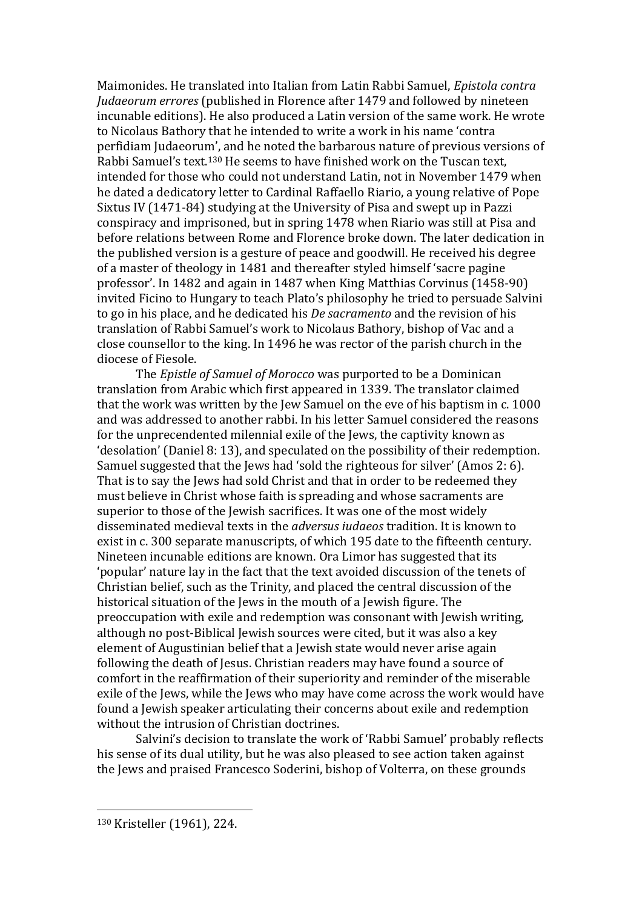Maimonides. He translated into Italian from Latin Rabbi Samuel, *Epistola contra Judaeorum errores* (published in Florence after 1479 and followed by nineteen incunable editions). He also produced a Latin version of the same work. He wrote to Nicolaus Bathory that he intended to write a work in his name 'contra perfidiam Judaeorum', and he noted the barbarous nature of previous versions of Rabbi Samuel's text.<sup>130</sup> He seems to have finished work on the Tuscan text, intended for those who could not understand Latin, not in November 1479 when he dated a dedicatory letter to Cardinal Raffaello Riario, a young relative of Pope Sixtus IV (1471-84) studying at the University of Pisa and swept up in Pazzi conspiracy and imprisoned, but in spring 1478 when Riario was still at Pisa and before relations between Rome and Florence broke down. The later dedication in the published version is a gesture of peace and goodwill. He received his degree of a master of theology in 1481 and thereafter styled himself 'sacre pagine professor'. In 1482 and again in 1487 when King Matthias Corvinus (1458-90) invited Ficino to Hungary to teach Plato's philosophy he tried to persuade Salvini to go in his place, and he dedicated his *De sacramento* and the revision of his translation of Rabbi Samuel's work to Nicolaus Bathory, bishop of Vac and a close counsellor to the king. In 1496 he was rector of the parish church in the diocese of Fiesole.

The *Epistle of Samuel of Morocco* was purported to be a Dominican translation from Arabic which first appeared in 1339. The translator claimed that the work was written by the Jew Samuel on the eve of his baptism in c. 1000 and was addressed to another rabbi. In his letter Samuel considered the reasons for the unprecendented milennial exile of the Jews, the captivity known as 'desolation' (Daniel 8: 13), and speculated on the possibility of their redemption. Samuel suggested that the Jews had 'sold the righteous for silver' (Amos 2: 6). That is to say the Jews had sold Christ and that in order to be redeemed they must believe in Christ whose faith is spreading and whose sacraments are superior to those of the Jewish sacrifices. It was one of the most widely disseminated medieval texts in the *adversus iudaeos* tradition. It is known to exist in c. 300 separate manuscripts, of which 195 date to the fifteenth century. Nineteen incunable editions are known. Ora Limor has suggested that its 'popular' nature lay in the fact that the text avoided discussion of the tenets of Christian belief, such as the Trinity, and placed the central discussion of the historical situation of the Jews in the mouth of a Jewish figure. The preoccupation with exile and redemption was consonant with Jewish writing, although no post-Biblical Jewish sources were cited, but it was also a key element of Augustinian belief that a Jewish state would never arise again following the death of Jesus. Christian readers may have found a source of comfort in the reaffirmation of their superiority and reminder of the miserable exile of the Jews, while the Jews who may have come across the work would have found a Jewish speaker articulating their concerns about exile and redemption without the intrusion of Christian doctrines.

Salvini's decision to translate the work of 'Rabbi Samuel' probably reflects his sense of its dual utility, but he was also pleased to see action taken against the Jews and praised Francesco Soderini, bishop of Volterra, on these grounds

<sup>130</sup> Kristeller (1961), 224.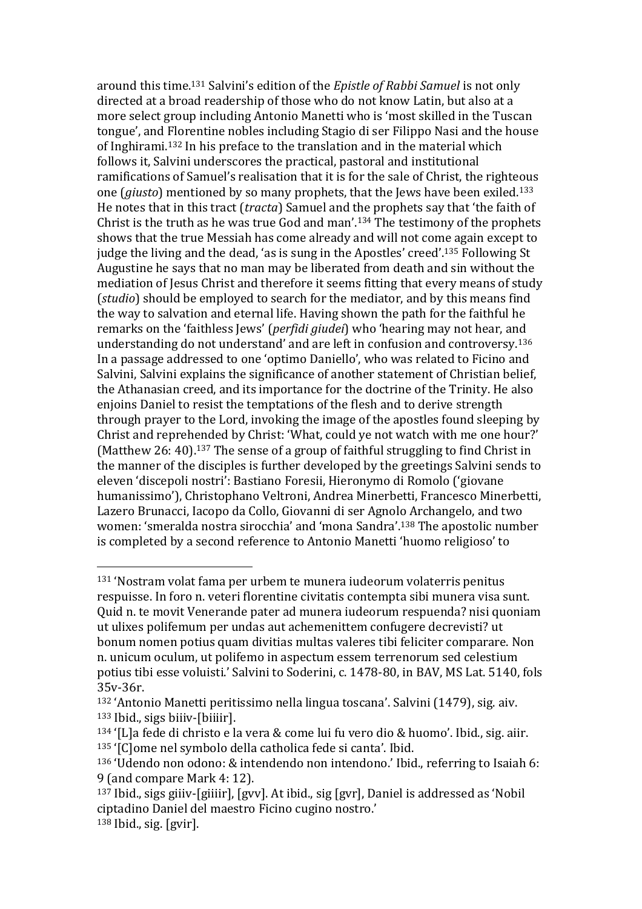around this time.<sup>131</sup> Salvini's edition of the *Epistle of Rabbi Samuel* is not only directed at a broad readership of those who do not know Latin, but also at a more select group including Antonio Manetti who is 'most skilled in the Tuscan tongue', and Florentine nobles including Stagio di ser Filippo Nasi and the house of Inghirami.<sup>132</sup> In his preface to the translation and in the material which follows it, Salvini underscores the practical, pastoral and institutional ramifications of Samuel's realisation that it is for the sale of Christ, the righteous one (*giusto*) mentioned by so many prophets, that the Jews have been exiled.<sup>133</sup> He notes that in this tract (*tracta*) Samuel and the prophets say that 'the faith of Christ is the truth as he was true God and man'.<sup>134</sup> The testimony of the prophets shows that the true Messiah has come already and will not come again except to judge the living and the dead, 'as is sung in the Apostles' creed'.<sup>135</sup> Following St Augustine he says that no man may be liberated from death and sin without the mediation of Jesus Christ and therefore it seems fitting that every means of study (*studio*) should be employed to search for the mediator, and by this means find the way to salvation and eternal life. Having shown the path for the faithful he remarks on the 'faithless Jews' (*perfidi giudei*) who 'hearing may not hear, and understanding do not understand' and are left in confusion and controversy.<sup>136</sup> In a passage addressed to one 'optimo Daniello', who was related to Ficino and Salvini, Salvini explains the significance of another statement of Christian belief, the Athanasian creed, and its importance for the doctrine of the Trinity. He also enjoins Daniel to resist the temptations of the flesh and to derive strength through prayer to the Lord, invoking the image of the apostles found sleeping by Christ and reprehended by Christ: 'What, could ye not watch with me one hour?' (Matthew 26: 40).<sup>137</sup> The sense of a group of faithful struggling to find Christ in the manner of the disciples is further developed by the greetings Salvini sends to eleven 'discepoli nostri': Bastiano Foresii, Hieronymo di Romolo ('giovane humanissimo'), Christophano Veltroni, Andrea Minerbetti, Francesco Minerbetti, Lazero Brunacci, Iacopo da Collo, Giovanni di ser Agnolo Archangelo, and two women: 'smeralda nostra sirocchia' and 'mona Sandra'.<sup>138</sup> The apostolic number is completed by a second reference to Antonio Manetti 'huomo religioso' to

<sup>131</sup> 'Nostram volat fama per urbem te munera iudeorum volaterris penitus respuisse. In foro n. veteri florentine civitatis contempta sibi munera visa sunt. Quid n. te movit Venerande pater ad munera iudeorum respuenda? nisi quoniam ut ulixes polifemum per undas aut achemenittem confugere decrevisti? ut bonum nomen potius quam divitias multas valeres tibi feliciter comparare. Non n. unicum oculum, ut polifemo in aspectum essem terrenorum sed celestium potius tibi esse voluisti.' Salvini to Soderini, c. 1478-80, in BAV, MS Lat. 5140, fols 35v-36r.

<sup>132</sup> 'Antonio Manetti peritissimo nella lingua toscana'. Salvini (1479), sig. aiv. <sup>133</sup> Ibid., sigs biiiv-[biiiir].

<sup>134</sup> '[L]a fede di christo e la vera & come lui fu vero dio & huomo'. Ibid., sig. aiir. <sup>135</sup> '[C]ome nel symbolo della catholica fede si canta'. Ibid.

<sup>136</sup> 'Udendo non odono: & intendendo non intendono.' Ibid., referring to Isaiah 6: 9 (and compare Mark 4: 12).

<sup>137</sup> Ibid., sigs giiiv-[giiiir], [gvv]. At ibid., sig [gvr], Daniel is addressed as 'Nobil ciptadino Daniel del maestro Ficino cugino nostro.'  $138$  Ibid., sig. [gvir].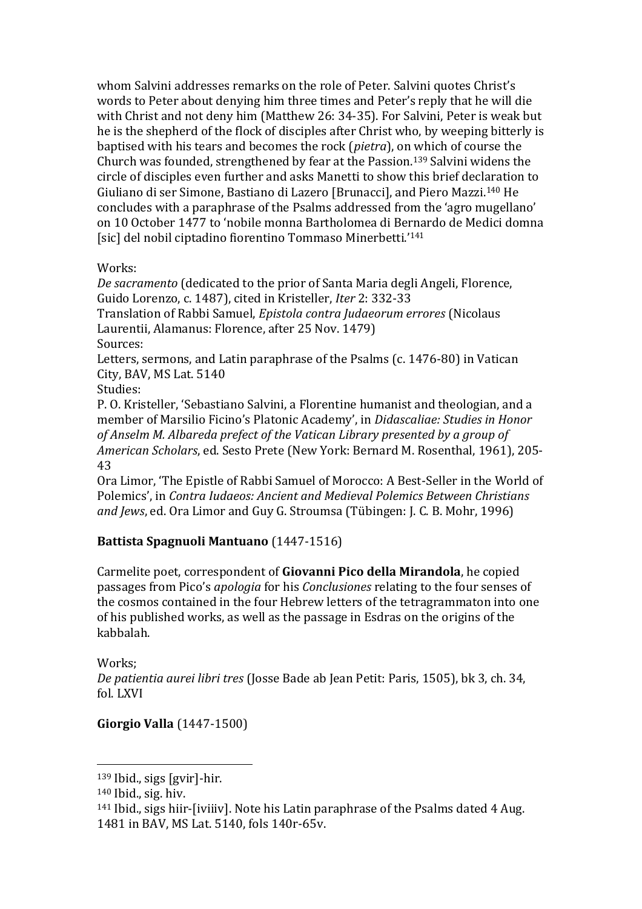whom Salvini addresses remarks on the role of Peter. Salvini quotes Christ's words to Peter about denying him three times and Peter's reply that he will die with Christ and not deny him (Matthew 26: 34-35). For Salvini, Peter is weak but he is the shepherd of the flock of disciples after Christ who, by weeping bitterly is baptised with his tears and becomes the rock (*pietra*), on which of course the Church was founded, strengthened by fear at the Passion.<sup>139</sup> Salvini widens the circle of disciples even further and asks Manetti to show this brief declaration to Giuliano di ser Simone, Bastiano di Lazero [Brunacci], and Piero Mazzi.<sup>140</sup> He concludes with a paraphrase of the Psalms addressed from the 'agro mugellano' on 10 October 1477 to 'nobile monna Bartholomea di Bernardo de Medici domna [sic] del nobil ciptadino fiorentino Tommaso Minerbetti.'<sup>141</sup>

### Works:

*De sacramento* (dedicated to the prior of Santa Maria degli Angeli, Florence, Guido Lorenzo, c. 1487), cited in Kristeller, *Iter* 2: 332-33 Translation of Rabbi Samuel, *Epistola contra Judaeorum errores* (Nicolaus Laurentii, Alamanus: Florence, after 25 Nov. 1479) Sources:

Letters, sermons, and Latin paraphrase of the Psalms (c. 1476-80) in Vatican City, BAV, MS Lat. 5140

Studies:

P. O. Kristeller, 'Sebastiano Salvini, a Florentine humanist and theologian, and a member of Marsilio Ficino's Platonic Academy', in *Didascaliae: Studies in Honor of Anselm M. Albareda prefect of the Vatican Library presented by a group of American Scholars*, ed. Sesto Prete (New York: Bernard M. Rosenthal, 1961), 205- 43

Ora Limor, 'The Epistle of Rabbi Samuel of Morocco: A Best-Seller in the World of Polemics', in *Contra Iudaeos: Ancient and Medieval Polemics Between Christians and Jews*, ed. Ora Limor and Guy G. Stroumsa (Tübingen: J. C. B. Mohr, 1996)

# **Battista Spagnuoli Mantuano** (1447-1516)

Carmelite poet, correspondent of **Giovanni Pico della Mirandola**, he copied passages from Pico's *apologia* for his *Conclusiones* relating to the four senses of the cosmos contained in the four Hebrew letters of the tetragrammaton into one of his published works, as well as the passage in Esdras on the origins of the kabbalah.

Works;

 $\overline{a}$ 

*De patientia aurei libri tres* (Josse Bade ab Jean Petit: Paris, 1505), bk 3, ch. 34, fol. LXVI

# **Giorgio Valla** (1447-1500)

<sup>139</sup> Ibid., sigs [gvir]-hir.

<sup>140</sup> Ibid., sig. hiv.

<sup>141</sup> Ibid., sigs hiir-[iviiiv]. Note his Latin paraphrase of the Psalms dated 4 Aug. 1481 in BAV, MS Lat. 5140, fols 140r-65v.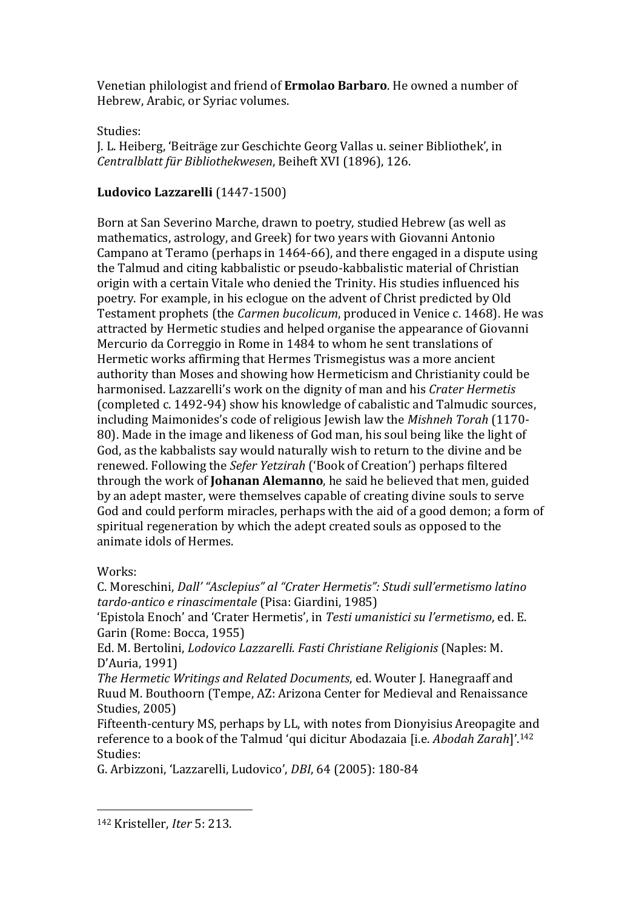Venetian philologist and friend of **Ermolao Barbaro**. He owned a number of Hebrew, Arabic, or Syriac volumes.

### Studies:

J. L. Heiberg, 'Beiträge zur Geschichte Georg Vallas u. seiner Bibliothek', in *Centralblatt für Bibliothekwesen*, Beiheft XVI (1896), 126.

### **Ludovico Lazzarelli** (1447-1500)

Born at San Severino Marche, drawn to poetry, studied Hebrew (as well as mathematics, astrology, and Greek) for two years with Giovanni Antonio Campano at Teramo (perhaps in 1464-66), and there engaged in a dispute using the Talmud and citing kabbalistic or pseudo-kabbalistic material of Christian origin with a certain Vitale who denied the Trinity. His studies influenced his poetry. For example, in his eclogue on the advent of Christ predicted by Old Testament prophets (the *Carmen bucolicum*, produced in Venice c. 1468). He was attracted by Hermetic studies and helped organise the appearance of Giovanni Mercurio da Correggio in Rome in 1484 to whom he sent translations of Hermetic works affirming that Hermes Trismegistus was a more ancient authority than Moses and showing how Hermeticism and Christianity could be harmonised. Lazzarelli's work on the dignity of man and his *Crater Hermetis*  (completed c. 1492-94) show his knowledge of cabalistic and Talmudic sources, including Maimonides's code of religious Jewish law the *Mishneh Torah* (1170- 80). Made in the image and likeness of God man, his soul being like the light of God, as the kabbalists say would naturally wish to return to the divine and be renewed. Following the *Sefer Yetzirah* ('Book of Creation') perhaps filtered through the work of **Johanan Alemanno**, he said he believed that men, guided by an adept master, were themselves capable of creating divine souls to serve God and could perform miracles, perhaps with the aid of a good demon; a form of spiritual regeneration by which the adept created souls as opposed to the animate idols of Hermes.

### Works:

 $\overline{a}$ 

C. Moreschini, *Dall' "Asclepius" al "Crater Hermetis": Studi sull'ermetismo latino tardo-antico e rinascimentale* (Pisa: Giardini, 1985)

'Epistola Enoch' and 'Crater Hermetis', in *Testi umanistici su l'ermetismo*, ed. E. Garin (Rome: Bocca, 1955)

Ed. M. Bertolini, *Lodovico Lazzarelli. Fasti Christiane Religionis* (Naples: M. D'Auria, 1991)

*The Hermetic Writings and Related Documents*, ed. Wouter J. Hanegraaff and Ruud M. Bouthoorn (Tempe, AZ: Arizona Center for Medieval and Renaissance Studies, 2005)

Fifteenth-century MS, perhaps by LL, with notes from Dionyisius Areopagite and reference to a book of the Talmud 'qui dicitur Abodazaia [i.e. *Abodah Zarah*]'.<sup>142</sup> Studies:

G. Arbizzoni, 'Lazzarelli, Ludovico', *DBI*, 64 (2005): 180-84

<sup>142</sup> Kristeller, *Iter* 5: 213.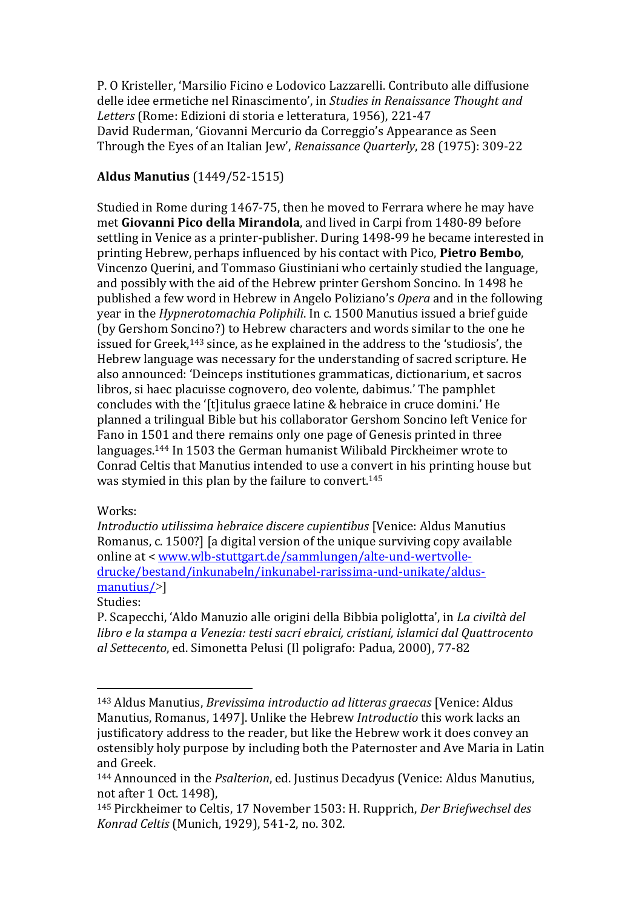P. O Kristeller, 'Marsilio Ficino e Lodovico Lazzarelli. Contributo alle diffusione delle idee ermetiche nel Rinascimento', in *Studies in Renaissance Thought and Letters* (Rome: Edizioni di storia e letteratura, 1956), 221-47 David Ruderman, 'Giovanni Mercurio da Correggio's Appearance as Seen Through the Eyes of an Italian Jew', *Renaissance Quarterly*, 28 (1975): 309-22

### **Aldus Manutius** (1449/52-1515)

Studied in Rome during 1467-75, then he moved to Ferrara where he may have met **Giovanni Pico della Mirandola**, and lived in Carpi from 1480-89 before settling in Venice as a printer-publisher. During 1498-99 he became interested in printing Hebrew, perhaps influenced by his contact with Pico, **Pietro Bembo**, Vincenzo Querini, and Tommaso Giustiniani who certainly studied the language, and possibly with the aid of the Hebrew printer Gershom Soncino. In 1498 he published a few word in Hebrew in Angelo Poliziano's *Opera* and in the following year in the *Hypnerotomachia Poliphili*. In c. 1500 Manutius issued a brief guide (by Gershom Soncino?) to Hebrew characters and words similar to the one he issued for Greek,<sup>143</sup> since, as he explained in the address to the 'studiosis', the Hebrew language was necessary for the understanding of sacred scripture. He also announced: 'Deinceps institutiones grammaticas, dictionarium, et sacros libros, si haec placuisse cognovero, deo volente, dabimus.' The pamphlet concludes with the '[t]itulus graece latine & hebraice in cruce domini.' He planned a trilingual Bible but his collaborator Gershom Soncino left Venice for Fano in 1501 and there remains only one page of Genesis printed in three languages.<sup>144</sup> In 1503 the German humanist Wilibald Pirckheimer wrote to Conrad Celtis that Manutius intended to use a convert in his printing house but was stymied in this plan by the failure to convert.<sup>145</sup>

### Works:

*Introductio utilissima hebraice discere cupientibus* [Venice: Aldus Manutius Romanus, c. 1500?] [a digital version of the unique surviving copy available online at < [www.wlb-stuttgart.de/sammlungen/alte-und-wertvolle](http://www.wlb-stuttgart.de/sammlungen/alte-und-wertvolle-drucke/bestand/inkunabeln/inkunabel-rarissima-und-unikate/aldus-manutius/)[drucke/bestand/inkunabeln/inkunabel-rarissima-und-unikate/aldus](http://www.wlb-stuttgart.de/sammlungen/alte-und-wertvolle-drucke/bestand/inkunabeln/inkunabel-rarissima-und-unikate/aldus-manutius/)[manutius/](http://www.wlb-stuttgart.de/sammlungen/alte-und-wertvolle-drucke/bestand/inkunabeln/inkunabel-rarissima-und-unikate/aldus-manutius/)>]

#### Studies:

 $\overline{a}$ 

P. Scapecchi, 'Aldo Manuzio alle origini della Bibbia poliglotta', in *La civiltà del libro e la stampa a Venezia: testi sacri ebraici, cristiani, islamici dal Quattrocento al Settecento*, ed. Simonetta Pelusi (Il poligrafo: Padua, 2000), 77-82

<sup>143</sup> Aldus Manutius, *Brevissima introductio ad litteras graecas* [Venice: Aldus Manutius, Romanus, 1497]. Unlike the Hebrew *Introductio* this work lacks an justificatory address to the reader, but like the Hebrew work it does convey an ostensibly holy purpose by including both the Paternoster and Ave Maria in Latin and Greek.

<sup>144</sup> Announced in the *Psalterion*, ed. Justinus Decadyus (Venice: Aldus Manutius, not after 1 Oct. 1498),

<sup>145</sup> Pirckheimer to Celtis, 17 November 1503: H. Rupprich, *Der Briefwechsel des Konrad Celtis* (Munich, 1929), 541-2, no. 302.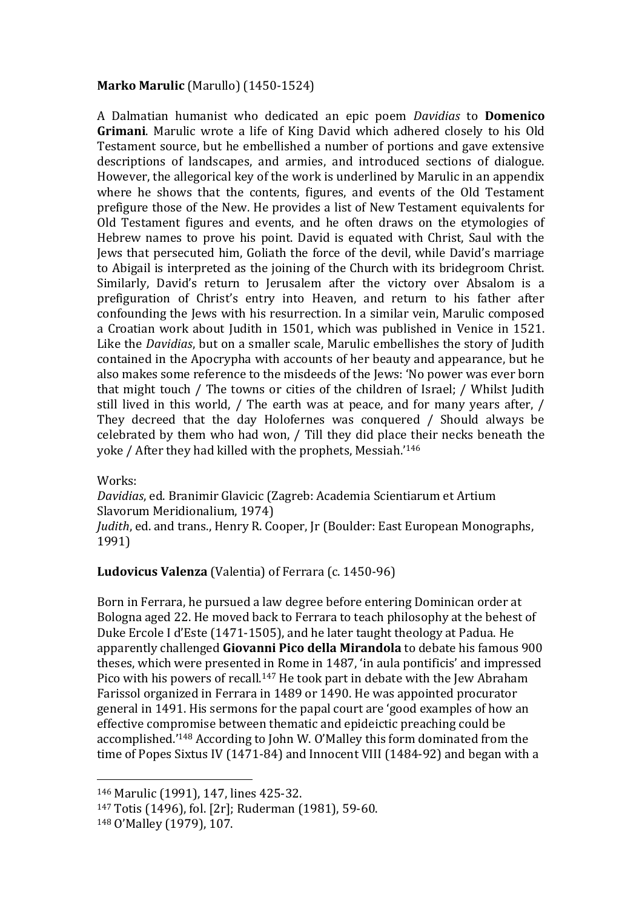### **Marko Marulic** (Marullo) (1450-1524)

A Dalmatian humanist who dedicated an epic poem *Davidias* to **Domenico Grimani**. Marulic wrote a life of King David which adhered closely to his Old Testament source, but he embellished a number of portions and gave extensive descriptions of landscapes, and armies, and introduced sections of dialogue. However, the allegorical key of the work is underlined by Marulic in an appendix where he shows that the contents, figures, and events of the Old Testament prefigure those of the New. He provides a list of New Testament equivalents for Old Testament figures and events, and he often draws on the etymologies of Hebrew names to prove his point. David is equated with Christ, Saul with the Jews that persecuted him, Goliath the force of the devil, while David's marriage to Abigail is interpreted as the joining of the Church with its bridegroom Christ. Similarly, David's return to Jerusalem after the victory over Absalom is a prefiguration of Christ's entry into Heaven, and return to his father after confounding the Jews with his resurrection. In a similar vein, Marulic composed a Croatian work about Judith in 1501, which was published in Venice in 1521. Like the *Davidias*, but on a smaller scale, Marulic embellishes the story of Judith contained in the Apocrypha with accounts of her beauty and appearance, but he also makes some reference to the misdeeds of the Jews: 'No power was ever born that might touch / The towns or cities of the children of Israel; / Whilst Judith still lived in this world, / The earth was at peace, and for many years after, / They decreed that the day Holofernes was conquered / Should always be celebrated by them who had won, / Till they did place their necks beneath the yoke / After they had killed with the prophets, Messiah.'<sup>146</sup>

Works:

*Davidias*, ed. Branimir Glavicic (Zagreb: Academia Scientiarum et Artium Slavorum Meridionalium, 1974)

*Judith*, ed. and trans., Henry R. Cooper, Jr (Boulder: East European Monographs, 1991)

### **Ludovicus Valenza** (Valentia) of Ferrara (c. 1450-96)

Born in Ferrara, he pursued a law degree before entering Dominican order at Bologna aged 22. He moved back to Ferrara to teach philosophy at the behest of Duke Ercole I d'Este (1471-1505), and he later taught theology at Padua. He apparently challenged **Giovanni Pico della Mirandola** to debate his famous 900 theses, which were presented in Rome in 1487, 'in aula pontificis' and impressed Pico with his powers of recall.<sup>147</sup> He took part in debate with the Jew Abraham Farissol organized in Ferrara in 1489 or 1490. He was appointed procurator general in 1491. His sermons for the papal court are 'good examples of how an effective compromise between thematic and epideictic preaching could be accomplished.'<sup>148</sup> According to John W. O'Malley this form dominated from the time of Popes Sixtus IV (1471-84) and Innocent VIII (1484-92) and began with a

<sup>146</sup> Marulic (1991), 147, lines 425-32.

<sup>147</sup> Totis (1496), fol. [2r]; Ruderman (1981), 59-60.

<sup>148</sup> O'Malley (1979), 107.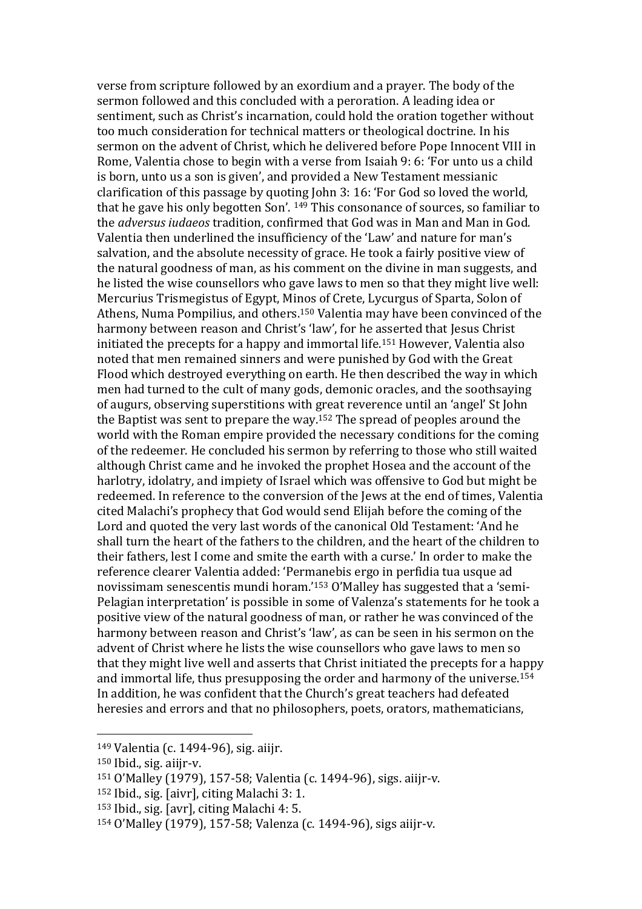verse from scripture followed by an exordium and a prayer. The body of the sermon followed and this concluded with a peroration. A leading idea or sentiment, such as Christ's incarnation, could hold the oration together without too much consideration for technical matters or theological doctrine. In his sermon on the advent of Christ, which he delivered before Pope Innocent VIII in Rome, Valentia chose to begin with a verse from Isaiah 9: 6: 'For unto us a child is born, unto us a son is given', and provided a New Testament messianic clarification of this passage by quoting John 3: 16: 'For God so loved the world, that he gave his only begotten Son'. <sup>149</sup> This consonance of sources, so familiar to the *adversus iudaeos* tradition, confirmed that God was in Man and Man in God. Valentia then underlined the insufficiency of the 'Law' and nature for man's salvation, and the absolute necessity of grace. He took a fairly positive view of the natural goodness of man, as his comment on the divine in man suggests, and he listed the wise counsellors who gave laws to men so that they might live well: Mercurius Trismegistus of Egypt, Minos of Crete, Lycurgus of Sparta, Solon of Athens, Numa Pompilius, and others.<sup>150</sup> Valentia may have been convinced of the harmony between reason and Christ's 'law', for he asserted that Jesus Christ initiated the precepts for a happy and immortal life.<sup>151</sup> However, Valentia also noted that men remained sinners and were punished by God with the Great Flood which destroyed everything on earth. He then described the way in which men had turned to the cult of many gods, demonic oracles, and the soothsaying of augurs, observing superstitions with great reverence until an 'angel' St John the Baptist was sent to prepare the way.<sup>152</sup> The spread of peoples around the world with the Roman empire provided the necessary conditions for the coming of the redeemer. He concluded his sermon by referring to those who still waited although Christ came and he invoked the prophet Hosea and the account of the harlotry, idolatry, and impiety of Israel which was offensive to God but might be redeemed. In reference to the conversion of the Jews at the end of times, Valentia cited Malachi's prophecy that God would send Elijah before the coming of the Lord and quoted the very last words of the canonical Old Testament: 'And he shall turn the heart of the fathers to the children, and the heart of the children to their fathers, lest I come and smite the earth with a curse.' In order to make the reference clearer Valentia added: 'Permanebis ergo in perfidia tua usque ad novissimam senescentis mundi horam.'<sup>153</sup> O'Malley has suggested that a 'semi-Pelagian interpretation' is possible in some of Valenza's statements for he took a positive view of the natural goodness of man, or rather he was convinced of the harmony between reason and Christ's 'law', as can be seen in his sermon on the advent of Christ where he lists the wise counsellors who gave laws to men so that they might live well and asserts that Christ initiated the precepts for a happy and immortal life, thus presupposing the order and harmony of the universe. 154 In addition, he was confident that the Church's great teachers had defeated heresies and errors and that no philosophers, poets, orators, mathematicians,

- <sup>152</sup> Ibid., sig. [aivr], citing Malachi 3: 1.
- <sup>153</sup> Ibid., sig. [avr], citing Malachi 4: 5.

<sup>149</sup> Valentia (c. 1494-96), sig. aiijr.

<sup>150</sup> Ibid., sig. aiijr-v.

<sup>151</sup> O'Malley (1979), 157-58; Valentia (c. 1494-96), sigs. aiijr-v.

<sup>154</sup> O'Malley (1979), 157-58; Valenza (c. 1494-96), sigs aiijr-v.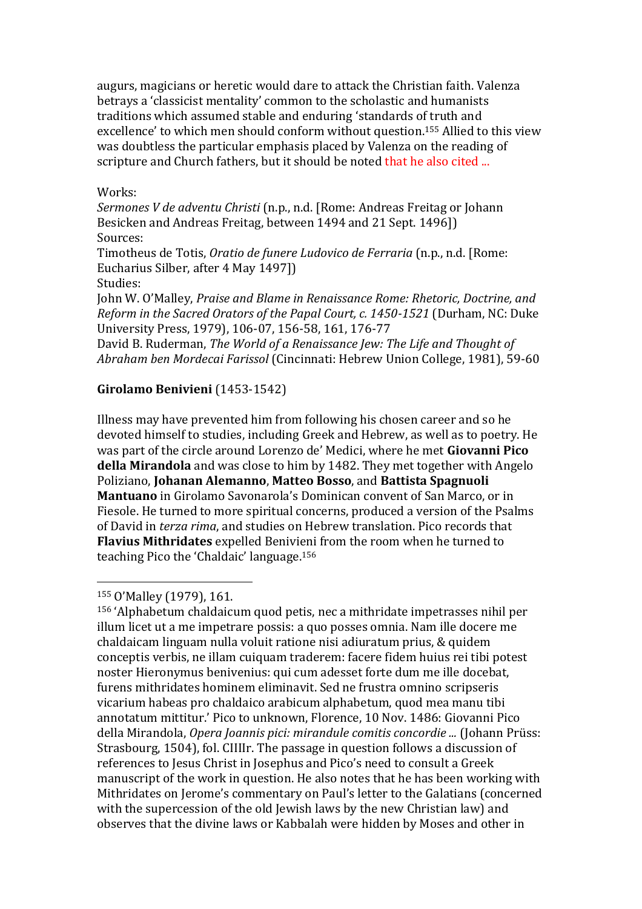augurs, magicians or heretic would dare to attack the Christian faith. Valenza betrays a 'classicist mentality' common to the scholastic and humanists traditions which assumed stable and enduring 'standards of truth and excellence' to which men should conform without question.<sup>155</sup> Allied to this view was doubtless the particular emphasis placed by Valenza on the reading of scripture and Church fathers, but it should be noted that he also cited ...

#### Works:

*Sermones V de adventu Christi* (n.p., n.d. [Rome: Andreas Freitag or Johann Besicken and Andreas Freitag, between 1494 and 21 Sept. 1496]) Sources:

Timotheus de Totis, *Oratio de funere Ludovico de Ferraria* (n.p., n.d. [Rome: Eucharius Silber, after 4 May 1497])

Studies:

John W. O'Malley, *Praise and Blame in Renaissance Rome: Rhetoric, Doctrine, and Reform in the Sacred Orators of the Papal Court, c. 1450-1521* (Durham, NC: Duke University Press, 1979), 106-07, 156-58, 161, 176-77

David B. Ruderman, *The World of a Renaissance Jew: The Life and Thought of Abraham ben Mordecai Farissol* (Cincinnati: Hebrew Union College, 1981), 59-60

### **Girolamo Benivieni** (1453-1542)

Illness may have prevented him from following his chosen career and so he devoted himself to studies, including Greek and Hebrew, as well as to poetry. He was part of the circle around Lorenzo de' Medici, where he met **Giovanni Pico della Mirandola** and was close to him by 1482. They met together with Angelo Poliziano, **Johanan Alemanno**, **Matteo Bosso**, and **Battista Spagnuoli Mantuano** in Girolamo Savonarola's Dominican convent of San Marco, or in Fiesole. He turned to more spiritual concerns, produced a version of the Psalms of David in *terza rima*, and studies on Hebrew translation. Pico records that **Flavius Mithridates** expelled Benivieni from the room when he turned to teaching Pico the 'Chaldaic' language.<sup>156</sup>

#### <sup>155</sup> O'Malley (1979), 161.

 $\overline{a}$ 

<sup>156</sup> 'Alphabetum chaldaicum quod petis, nec a mithridate impetrasses nihil per illum licet ut a me impetrare possis: a quo posses omnia. Nam ille docere me chaldaicam linguam nulla voluit ratione nisi adiuratum prius, & quidem conceptis verbis, ne illam cuiquam traderem: facere fidem huius rei tibi potest noster Hieronymus benivenius: qui cum adesset forte dum me ille docebat, furens mithridates hominem eliminavit. Sed ne frustra omnino scripseris vicarium habeas pro chaldaico arabicum alphabetum, quod mea manu tibi annotatum mittitur.' Pico to unknown, Florence, 10 Nov. 1486: Giovanni Pico della Mirandola, *Opera Joannis pici: mirandule comitis concordie ...* (Johann Prüss: Strasbourg, 1504), fol. CIIIIr. The passage in question follows a discussion of references to Jesus Christ in Josephus and Pico's need to consult a Greek manuscript of the work in question. He also notes that he has been working with Mithridates on Jerome's commentary on Paul's letter to the Galatians (concerned with the supercession of the old Jewish laws by the new Christian law) and observes that the divine laws or Kabbalah were hidden by Moses and other in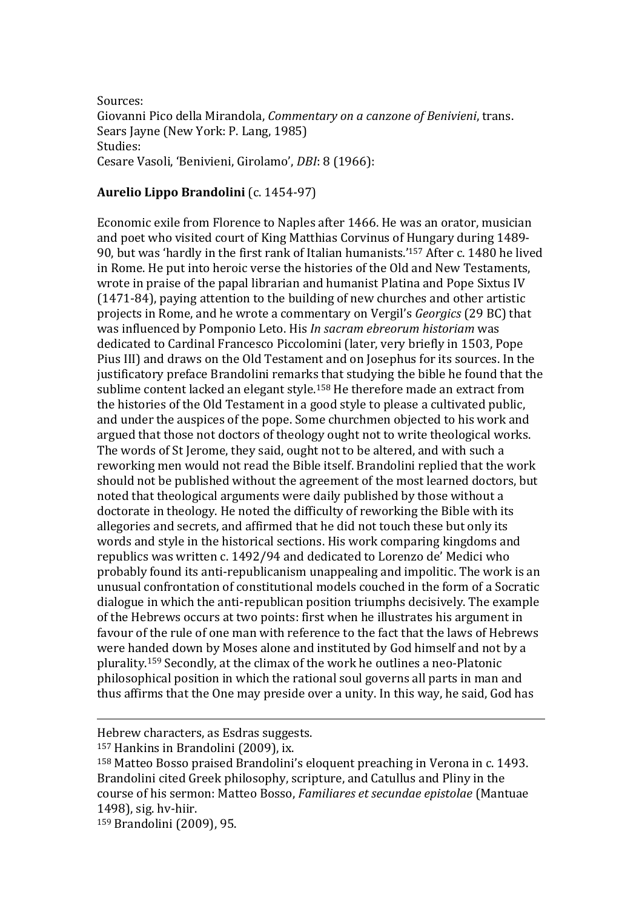Sources: Giovanni Pico della Mirandola, *Commentary on a canzone of Benivieni*, trans. Sears Jayne (New York: P. Lang, 1985) Studies: Cesare Vasoli, 'Benivieni, Girolamo', *DBI*: 8 (1966):

#### **Aurelio Lippo Brandolini** (c. 1454-97)

Economic exile from Florence to Naples after 1466. He was an orator, musician and poet who visited court of King Matthias Corvinus of Hungary during 1489- 90, but was 'hardly in the first rank of Italian humanists.'<sup>157</sup> After c. 1480 he lived in Rome. He put into heroic verse the histories of the Old and New Testaments, wrote in praise of the papal librarian and humanist Platina and Pope Sixtus IV (1471-84), paying attention to the building of new churches and other artistic projects in Rome, and he wrote a commentary on Vergil's *Georgics* (29 BC) that was influenced by Pomponio Leto. His *In sacram ebreorum historiam* was dedicated to Cardinal Francesco Piccolomini (later, very briefly in 1503, Pope Pius III) and draws on the Old Testament and on Josephus for its sources. In the justificatory preface Brandolini remarks that studying the bible he found that the sublime content lacked an elegant style.<sup>158</sup> He therefore made an extract from the histories of the Old Testament in a good style to please a cultivated public, and under the auspices of the pope. Some churchmen objected to his work and argued that those not doctors of theology ought not to write theological works. The words of St Jerome, they said, ought not to be altered, and with such a reworking men would not read the Bible itself. Brandolini replied that the work should not be published without the agreement of the most learned doctors, but noted that theological arguments were daily published by those without a doctorate in theology. He noted the difficulty of reworking the Bible with its allegories and secrets, and affirmed that he did not touch these but only its words and style in the historical sections. His work comparing kingdoms and republics was written c. 1492/94 and dedicated to Lorenzo de' Medici who probably found its anti-republicanism unappealing and impolitic. The work is an unusual confrontation of constitutional models couched in the form of a Socratic dialogue in which the anti-republican position triumphs decisively. The example of the Hebrews occurs at two points: first when he illustrates his argument in favour of the rule of one man with reference to the fact that the laws of Hebrews were handed down by Moses alone and instituted by God himself and not by a plurality.<sup>159</sup> Secondly, at the climax of the work he outlines a neo-Platonic philosophical position in which the rational soul governs all parts in man and thus affirms that the One may preside over a unity. In this way, he said, God has

Hebrew characters, as Esdras suggests.

<sup>157</sup> Hankins in Brandolini (2009), ix.

<sup>158</sup> Matteo Bosso praised Brandolini's eloquent preaching in Verona in c. 1493. Brandolini cited Greek philosophy, scripture, and Catullus and Pliny in the course of his sermon: Matteo Bosso, *Familiares et secundae epistolae* (Mantuae 1498), sig. hv-hiir.

<sup>159</sup> Brandolini (2009), 95.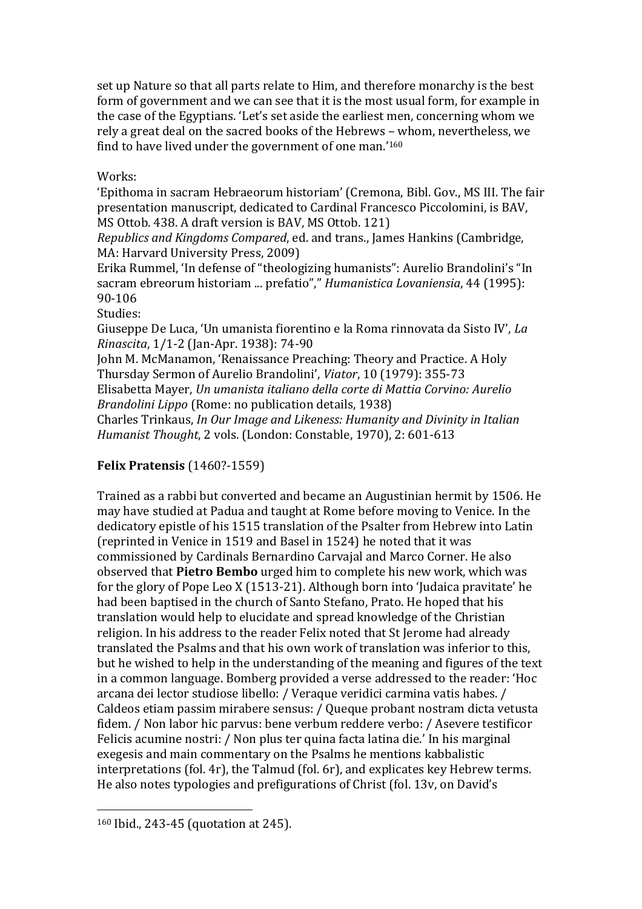set up Nature so that all parts relate to Him, and therefore monarchy is the best form of government and we can see that it is the most usual form, for example in the case of the Egyptians. 'Let's set aside the earliest men, concerning whom we rely a great deal on the sacred books of the Hebrews – whom, nevertheless, we find to have lived under the government of one man.'<sup>160</sup>

Works:

'Epithoma in sacram Hebraeorum historiam' (Cremona, Bibl. Gov., MS III. The fair presentation manuscript, dedicated to Cardinal Francesco Piccolomini, is BAV, MS Ottob. 438. A draft version is BAV, MS Ottob. 121)

*Republics and Kingdoms Compared*, ed. and trans., James Hankins (Cambridge, MA: Harvard University Press, 2009)

Erika Rummel, 'In defense of "theologizing humanists": Aurelio Brandolini's "In sacram ebreorum historiam ... prefatio"," *Humanistica Lovaniensia*, 44 (1995): 90-106

Studies:

Giuseppe De Luca, 'Un umanista fiorentino e la Roma rinnovata da Sisto IV', *La Rinascita*, 1/1-2 (Jan-Apr. 1938): 74-90

John M. McManamon, 'Renaissance Preaching: Theory and Practice. A Holy Thursday Sermon of Aurelio Brandolini', *Viator*, 10 (1979): 355-73

Elisabetta Mayer, *Un umanista italiano della corte di Mattia Corvino: Aurelio Brandolini Lippo* (Rome: no publication details, 1938)

Charles Trinkaus, *In Our Image and Likeness: Humanity and Divinity in Italian Humanist Thought*, 2 vols. (London: Constable, 1970), 2: 601-613

### **Felix Pratensis** (1460?-1559)

Trained as a rabbi but converted and became an Augustinian hermit by 1506. He may have studied at Padua and taught at Rome before moving to Venice. In the dedicatory epistle of his 1515 translation of the Psalter from Hebrew into Latin (reprinted in Venice in 1519 and Basel in 1524) he noted that it was commissioned by Cardinals Bernardino Carvajal and Marco Corner. He also observed that **Pietro Bembo** urged him to complete his new work, which was for the glory of Pope Leo X (1513-21). Although born into 'Judaica pravitate' he had been baptised in the church of Santo Stefano, Prato. He hoped that his translation would help to elucidate and spread knowledge of the Christian religion. In his address to the reader Felix noted that St Jerome had already translated the Psalms and that his own work of translation was inferior to this, but he wished to help in the understanding of the meaning and figures of the text in a common language. Bomberg provided a verse addressed to the reader: 'Hoc arcana dei lector studiose libello: / Veraque veridici carmina vatis habes. / Caldeos etiam passim mirabere sensus: / Queque probant nostram dicta vetusta fidem. / Non labor hic parvus: bene verbum reddere verbo: / Asevere testificor Felicis acumine nostri: / Non plus ter quina facta latina die.' In his marginal exegesis and main commentary on the Psalms he mentions kabbalistic interpretations (fol. 4r), the Talmud (fol. 6r), and explicates key Hebrew terms. He also notes typologies and prefigurations of Christ (fol. 13v, on David's

<sup>160</sup> Ibid., 243-45 (quotation at 245).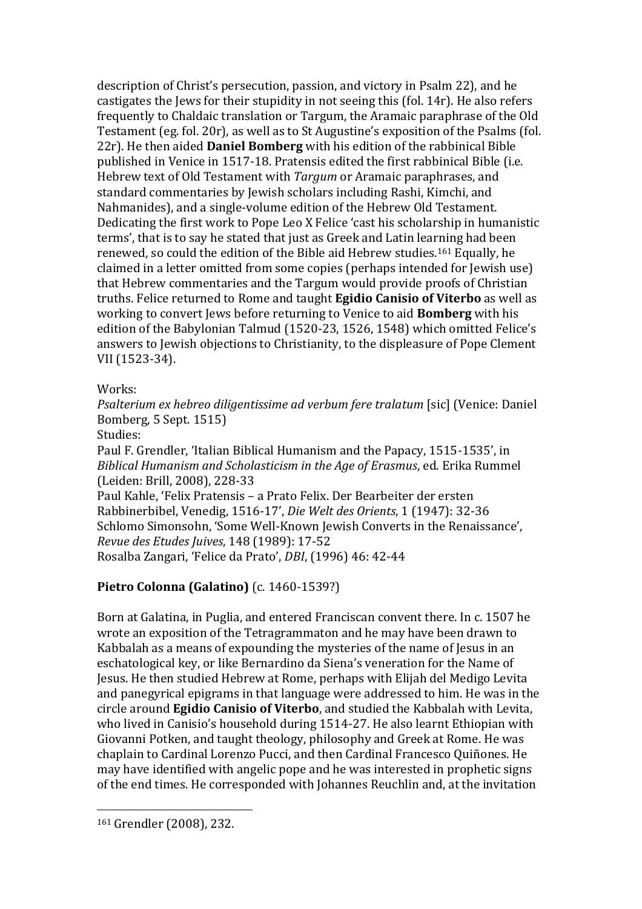description of Christ's persecution, passion, and victory in Psalm 22), and he castigates the Jews for their stupidity in not seeing this (fol. 14r). He also refers frequently to Chaldaic translation or Targum, the Aramaic paraphrase of the Old Testament (eg. fol. 20r), as well as to St Augustine's exposition of the Psalms (fol. 22r). He then aided **Daniel Bomberg** with his edition of the rabbinical Bible published in Venice in 1517-18. Pratensis edited the first rabbinical Bible (i.e. Hebrew text of Old Testament with *Targum* or Aramaic paraphrases, and standard commentaries by Jewish scholars including Rashi, Kimchi, and Nahmanides), and a single-volume edition of the Hebrew Old Testament. Dedicating the first work to Pope Leo X Felice 'cast his scholarship in humanistic terms', that is to say he stated that just as Greek and Latin learning had been renewed, so could the edition of the Bible aid Hebrew studies.<sup>161</sup> Equally, he claimed in a letter omitted from some copies (perhaps intended for Jewish use) that Hebrew commentaries and the Targum would provide proofs of Christian truths. Felice returned to Rome and taught **Egidio Canisio of Viterbo** as well as working to convert Jews before returning to Venice to aid **Bomberg** with his edition of the Babylonian Talmud (1520-23, 1526, 1548) which omitted Felice's answers to Jewish objections to Christianity, to the displeasure of Pope Clement VII (1523-34).

Works:

*Psalterium ex hebreo diligentissime ad verbum fere tralatum* [sic] (Venice: Daniel Bomberg, 5 Sept. 1515)

Studies:

Paul F. Grendler, 'Italian Biblical Humanism and the Papacy, 1515-1535', in *Biblical Humanism and Scholasticism in the Age of Erasmus*, ed. Erika Rummel (Leiden: Brill, 2008), 228-33

Paul Kahle, 'Felix Pratensis – a Prato Felix. Der Bearbeiter der ersten Rabbinerbibel, Venedig, 1516-17', *Die Welt des Orients*, 1 (1947): 32-36 Schlomo Simonsohn, 'Some Well-Known Jewish Converts in the Renaissance', *Revue des Etudes Juives*, 148 (1989): 17-52 Rosalba Zangari, 'Felice da Prato', *DBI*, (1996) 46: 42-44

### **Pietro Colonna (Galatino)** (c. 1460-1539?)

Born at Galatina, in Puglia, and entered Franciscan convent there. In c. 1507 he wrote an exposition of the Tetragrammaton and he may have been drawn to Kabbalah as a means of expounding the mysteries of the name of Jesus in an eschatological key, or like Bernardino da Siena's veneration for the Name of Jesus. He then studied Hebrew at Rome, perhaps with Elijah del Medigo Levita and panegyrical epigrams in that language were addressed to him. He was in the circle around **Egidio Canisio of Viterbo**, and studied the Kabbalah with Levita, who lived in Canisio's household during 1514-27. He also learnt Ethiopian with Giovanni Potken, and taught theology, philosophy and Greek at Rome. He was chaplain to Cardinal Lorenzo Pucci, and then Cardinal Francesco Quiñones. He may have identified with angelic pope and he was interested in prophetic signs of the end times. He corresponded with Johannes Reuchlin and, at the invitation

<sup>161</sup> Grendler (2008), 232.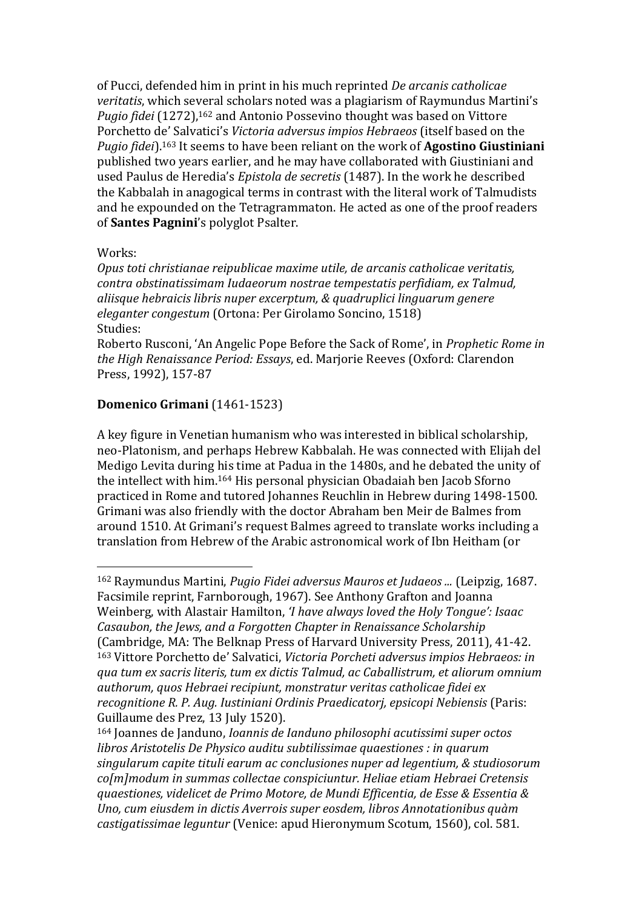of Pucci, defended him in print in his much reprinted *De arcanis catholicae veritatis*, which several scholars noted was a plagiarism of Raymundus Martini's *Pugio fidei* (1272),<sup>162</sup> and Antonio Possevino thought was based on Vittore Porchetto de' Salvatici's *Victoria adversus impios Hebraeos* (itself based on the *Pugio fidei*).<sup>163</sup> It seems to have been reliant on the work of **Agostino Giustiniani** published two years earlier, and he may have collaborated with Giustiniani and used Paulus de Heredia's *Epistola de secretis* (1487). In the work he described the Kabbalah in anagogical terms in contrast with the literal work of Talmudists and he expounded on the Tetragrammaton. He acted as one of the proof readers of **Santes Pagnini**'s polyglot Psalter.

### Works:

 $\overline{a}$ 

*Opus toti christianae reipublicae maxime utile, de arcanis catholicae veritatis, contra obstinatissimam Iudaeorum nostrae tempestatis perfidiam, ex Talmud, aliisque hebraicis libris nuper excerptum, & quadruplici linguarum genere eleganter congestum* (Ortona: Per Girolamo Soncino, 1518) Studies:

Roberto Rusconi, 'An Angelic Pope Before the Sack of Rome', in *Prophetic Rome in the High Renaissance Period: Essays*, ed. Marjorie Reeves (Oxford: Clarendon Press, 1992), 157-87

### **Domenico Grimani** (1461-1523)

A key figure in Venetian humanism who was interested in biblical scholarship, neo-Platonism, and perhaps Hebrew Kabbalah. He was connected with Elijah del Medigo Levita during his time at Padua in the 1480s, and he debated the unity of the intellect with him.<sup>164</sup> His personal physician Obadaiah ben Jacob Sforno practiced in Rome and tutored Johannes Reuchlin in Hebrew during 1498-1500. Grimani was also friendly with the doctor Abraham ben Meir de Balmes from around 1510. At Grimani's request Balmes agreed to translate works including a translation from Hebrew of the Arabic astronomical work of Ibn Heitham (or

<sup>162</sup> Raymundus Martini, *Pugio Fidei adversus Mauros et Judaeos ...* (Leipzig, 1687. Facsimile reprint, Farnborough, 1967). See Anthony Grafton and Joanna Weinberg, with Alastair Hamilton, *'I have always loved the Holy Tongue': Isaac Casaubon, the Jews, and a Forgotten Chapter in Renaissance Scholarship* (Cambridge, MA: The Belknap Press of Harvard University Press, 2011), 41-42. <sup>163</sup> Vittore Porchetto de' Salvatici, *Victoria Porcheti adversus impios Hebraeos: in qua tum ex sacris literis, tum ex dictis Talmud, ac Caballistrum, et aliorum omnium authorum, quos Hebraei recipiunt, monstratur veritas catholicae fidei ex recognitione R. P. Aug. Iustiniani Ordinis Praedicatorj, epsicopi Nebiensis* (Paris: Guillaume des Prez, 13 July 1520).

<sup>164</sup> Joannes de Janduno, *[Ioannis de Ianduno philosophi acutissimi super octos](http://copac.ac.uk/search?ti=Ioannis%20de%20Ianduno%20philosophi%20acutissimi%20super%20octos%20libros%20Aristotelis%20De%20Physico%20auditu%20subtilissimae%20quaestiones)  [libros Aristotelis De Physico auditu subtilissimae quaestiones](http://copac.ac.uk/search?ti=Ioannis%20de%20Ianduno%20philosophi%20acutissimi%20super%20octos%20libros%20Aristotelis%20De%20Physico%20auditu%20subtilissimae%20quaestiones) : in quarum singularum capite tituli earum ac conclusiones nuper ad legentium, & studiosorum co[m]modum in summas collectae conspiciuntur. Heliae etiam Hebraei Cretensis quaestiones, videlicet de Primo Motore, de Mundi Efficentia, de Esse & Essentia & Uno, cum eiusdem in dictis Averrois super eosdem, libros Annotationibus quàm castigatissimae leguntur* (Venice: apud Hieronymum Scotum, 1560), col. 581.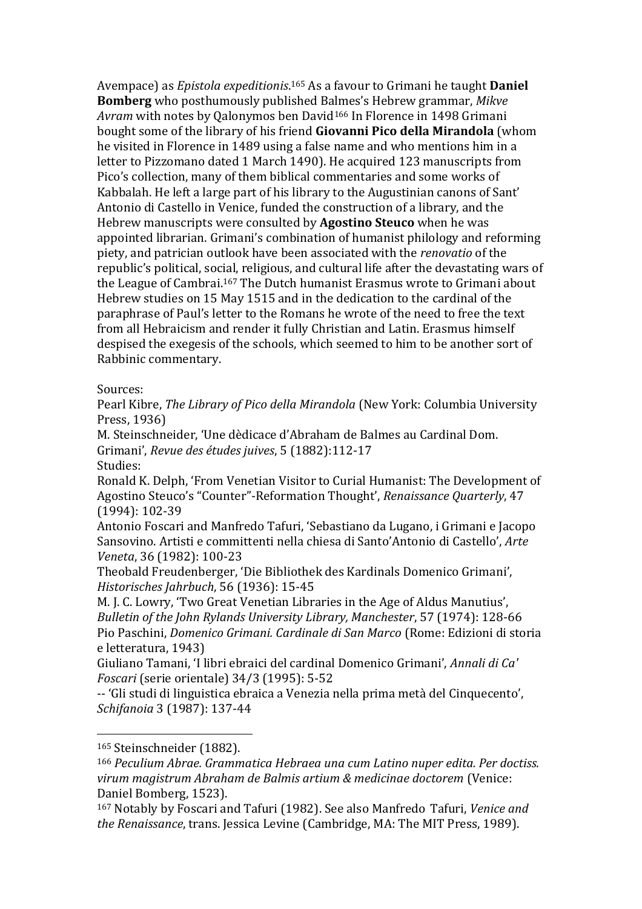Avempace) as *Epistola expeditionis*. <sup>165</sup> As a favour to Grimani he taught **Daniel Bomberg** who posthumously published Balmes's Hebrew grammar, *Mikve Avram* with notes by Qalonymos ben David<sup>166</sup> In Florence in 1498 Grimani bought some of the library of his friend **Giovanni Pico della Mirandola** (whom he visited in Florence in 1489 using a false name and who mentions him in a letter to Pizzomano dated 1 March 1490). He acquired 123 manuscripts from Pico's collection, many of them biblical commentaries and some works of Kabbalah. He left a large part of his library to the Augustinian canons of Sant' Antonio di Castello in Venice, funded the construction of a library, and the Hebrew manuscripts were consulted by **Agostino Steuco** when he was appointed librarian. Grimani's combination of humanist philology and reforming piety, and patrician outlook have been associated with the *renovatio* of the republic's political, social, religious, and cultural life after the devastating wars of the League of Cambrai. <sup>167</sup> The Dutch humanist Erasmus wrote to Grimani about Hebrew studies on 15 May 1515 and in the dedication to the cardinal of the paraphrase of Paul's letter to the Romans he wrote of the need to free the text from all Hebraicism and render it fully Christian and Latin. Erasmus himself despised the exegesis of the schools, which seemed to him to be another sort of Rabbinic commentary.

#### Sources:

Pearl Kibre, *The Library of Pico della Mirandola* (New York: Columbia University Press, 1936)

M. Steinschneider, 'Une dèdicace d'Abraham de Balmes au Cardinal Dom. Grimani', *Revue des études juives*, 5 (1882):112-17

Studies:

Ronald K. Delph, 'From Venetian Visitor to Curial Humanist: The Development of Agostino Steuco's "Counter"-Reformation Thought', *Renaissance Quarterly*, 47 (1994): 102-39

Antonio Foscari and Manfredo Tafuri, 'Sebastiano da Lugano, i Grimani e Jacopo Sansovino. Artisti e committenti nella chiesa di Santo'Antonio di Castello', *Arte Veneta*, 36 (1982): 100-23

Theobald Freudenberger, 'Die Bibliothek des Kardinals Domenico Grimani', *Historisches Jahrbuch*, 56 (1936): 15-45

M. J. C. Lowry, 'Two Great Venetian Libraries in the Age of Aldus Manutius', *Bulletin of the John Rylands University Library, Manchester*, 57 (1974): 128-66 Pio Paschini, *Domenico Grimani. Cardinale di San Marco* (Rome: Edizioni di storia e letteratura, 1943)

Giuliano Tamani, 'I libri ebraici del cardinal Domenico Grimani', *Annali di Ca' Foscari* (serie orientale) 34/3 (1995): 5-52

-- 'Gli studi di linguistica ebraica a Venezia nella prima metà del Cinquecento', *Schifanoia* 3 (1987): 137-44

<sup>165</sup> Steinschneider (1882).

<sup>166</sup> *Peculium Abrae. Grammatica Hebraea una cum Latino nuper edita. Per doctiss. virum magistrum Abraham de Balmis artium & medicinae doctorem* (Venice: Daniel Bomberg, 1523).

<sup>167</sup> Notably by Foscari and Tafuri (1982). See also Manfredo Tafuri, *Venice and the Renaissance*, trans. Jessica Levine (Cambridge, MA: The MIT Press, 1989).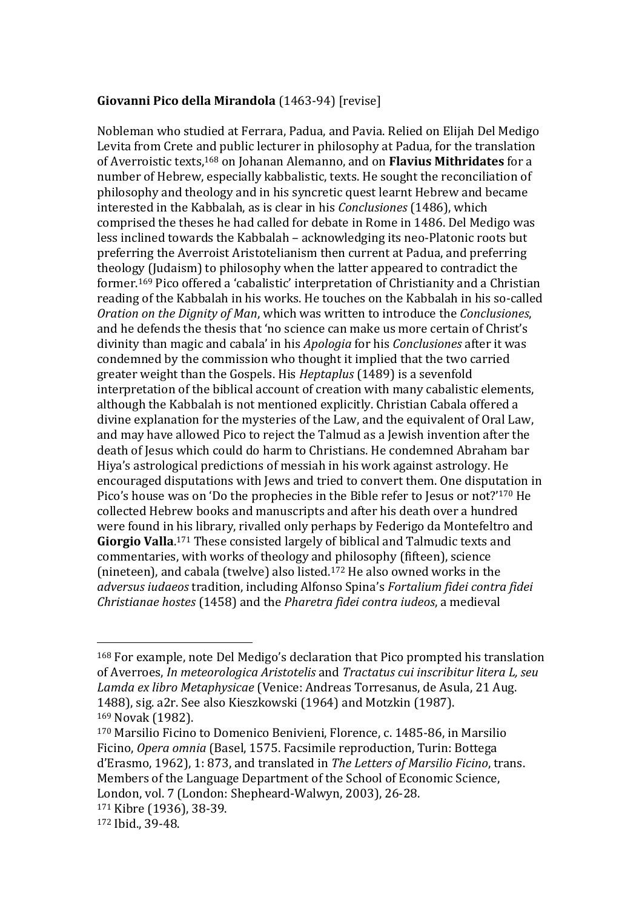### **Giovanni Pico della Mirandola** (1463-94) [revise]

Nobleman who studied at Ferrara, Padua, and Pavia. Relied on Elijah Del Medigo Levita from Crete and public lecturer in philosophy at Padua, for the translation of Averroistic texts,<sup>168</sup> on Johanan Alemanno, and on **Flavius Mithridates** for a number of Hebrew, especially kabbalistic, texts. He sought the reconciliation of philosophy and theology and in his syncretic quest learnt Hebrew and became interested in the Kabbalah, as is clear in his *Conclusiones* (1486), which comprised the theses he had called for debate in Rome in 1486. Del Medigo was less inclined towards the Kabbalah – acknowledging its neo-Platonic roots but preferring the Averroist Aristotelianism then current at Padua, and preferring theology (Judaism) to philosophy when the latter appeared to contradict the former.<sup>169</sup> Pico offered a 'cabalistic' interpretation of Christianity and a Christian reading of the Kabbalah in his works. He touches on the Kabbalah in his so-called *Oration on the Dignity of Man*, which was written to introduce the *Conclusiones*, and he defends the thesis that 'no science can make us more certain of Christ's divinity than magic and cabala' in his *Apologia* for his *Conclusiones* after it was condemned by the commission who thought it implied that the two carried greater weight than the Gospels. His *Heptaplus* (1489) is a sevenfold interpretation of the biblical account of creation with many cabalistic elements, although the Kabbalah is not mentioned explicitly. Christian Cabala offered a divine explanation for the mysteries of the Law, and the equivalent of Oral Law, and may have allowed Pico to reject the Talmud as a Jewish invention after the death of Jesus which could do harm to Christians. He condemned Abraham bar Hiya's astrological predictions of messiah in his work against astrology. He encouraged disputations with Jews and tried to convert them. One disputation in Pico's house was on 'Do the prophecies in the Bible refer to Jesus or not?'<sup>170</sup> He collected Hebrew books and manuscripts and after his death over a hundred were found in his library, rivalled only perhaps by Federigo da Montefeltro and **Giorgio Valla**. <sup>171</sup> These consisted largely of biblical and Talmudic texts and commentaries, with works of theology and philosophy (fifteen), science (nineteen), and cabala (twelve) also listed.<sup>172</sup> He also owned works in the *adversus iudaeos* tradition, including Alfonso Spina's *Fortalium fidei contra fidei Christianae hostes* (1458) and the *Pharetra fidei contra iudeos*, a medieval

<sup>168</sup> For example, note Del Medigo's declaration that Pico prompted his translation of Averroes, *In meteorologica Aristotelis* and *Tractatus cui inscribitur litera L, seu Lamda ex libro Metaphysicae* (Venice: Andreas Torresanus, de Asula, 21 Aug. 1488), sig. a2r. See also Kieszkowski (1964) and Motzkin (1987). <sup>169</sup> Novak (1982).

<sup>170</sup> Marsilio Ficino to Domenico Benivieni, Florence, c. 1485-86, in Marsilio Ficino, *Opera omnia* (Basel, 1575. Facsimile reproduction, Turin: Bottega d'Erasmo, 1962), 1: 873, and translated in *The Letters of Marsilio Ficino*, trans. Members of the Language Department of the School of Economic Science, London, vol. 7 (London: Shepheard-Walwyn, 2003), 26-28.

<sup>171</sup> Kibre (1936), 38-39.

<sup>172</sup> Ibid., 39-48.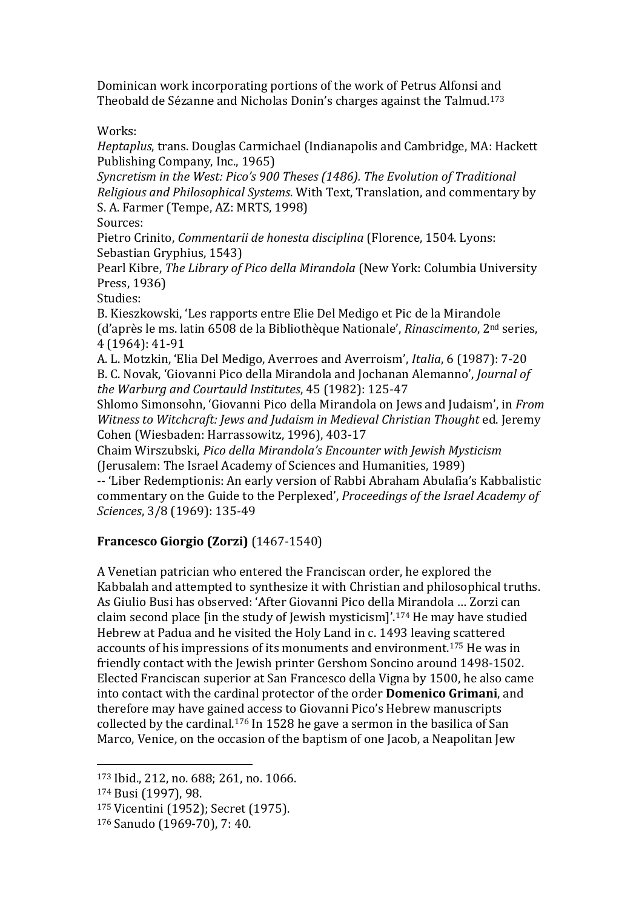Dominican work incorporating portions of the work of Petrus Alfonsi and Theobald de Sézanne and Nicholas Donin's charges against the Talmud.<sup>173</sup>

Works:

*Heptaplus*, trans. Douglas Carmichael (Indianapolis and Cambridge, MA: Hackett Publishing Company, Inc., 1965)

*Syncretism in the West: Pico's 900 Theses (1486). The Evolution of Traditional Religious and Philosophical Systems*. With Text, Translation, and commentary by S. A. Farmer (Tempe, AZ: MRTS, 1998)

Sources:

Pietro Crinito, *Commentarii de honesta disciplina* (Florence, 1504. Lyons: Sebastian Gryphius, 1543)

Pearl Kibre, *The Library of Pico della Mirandola* (New York: Columbia University Press, 1936)

Studies:

B. Kieszkowski, 'Les rapports entre Elie Del Medigo et Pic de la Mirandole (d'après le ms. latin 6508 de la Bibliothèque Nationale', *Rinascimento*, 2nd series, 4 (1964): 41-91

A. L. Motzkin, 'Elia Del Medigo, Averroes and Averroism', *Italia*, 6 (1987): 7-20 B. C. Novak, 'Giovanni Pico della Mirandola and Jochanan Alemanno', *Journal of the Warburg and Courtauld Institutes*, 45 (1982): 125-47

Shlomo Simonsohn, 'Giovanni Pico della Mirandola on Jews and Judaism', in *From Witness to Witchcraft: Jews and Judaism in Medieval Christian Thought* ed. Jeremy Cohen (Wiesbaden: Harrassowitz, 1996), 403-17

Chaim Wirszubski, *Pico della Mirandola's Encounter with Jewish Mysticism* (Jerusalem: The Israel Academy of Sciences and Humanities, 1989)

-- 'Liber Redemptionis: An early version of Rabbi Abraham Abulafia's Kabbalistic commentary on the Guide to the Perplexed', *Proceedings of the Israel Academy of Sciences*, 3/8 (1969): 135-49

# **Francesco Giorgio (Zorzi)** (1467-1540)

A Venetian patrician who entered the Franciscan order, he explored the Kabbalah and attempted to synthesize it with Christian and philosophical truths. As Giulio Busi has observed: 'After Giovanni Pico della Mirandola … Zorzi can claim second place [in the study of Jewish mysticism]'.<sup>174</sup> He may have studied Hebrew at Padua and he visited the Holy Land in c. 1493 leaving scattered accounts of his impressions of its monuments and environment.<sup>175</sup> He was in friendly contact with the Jewish printer Gershom Soncino around 1498-1502. Elected Franciscan superior at San Francesco della Vigna by 1500, he also came into contact with the cardinal protector of the order **Domenico Grimani**, and therefore may have gained access to Giovanni Pico's Hebrew manuscripts collected by the cardinal.<sup>176</sup> In 1528 he gave a sermon in the basilica of San Marco, Venice, on the occasion of the baptism of one Jacob, a Neapolitan Jew

<sup>173</sup> Ibid., 212, no. 688; 261, no. 1066.

<sup>174</sup> Busi (1997), 98.

<sup>175</sup> Vicentini (1952); Secret (1975).

<sup>176</sup> Sanudo (1969-70), 7: 40.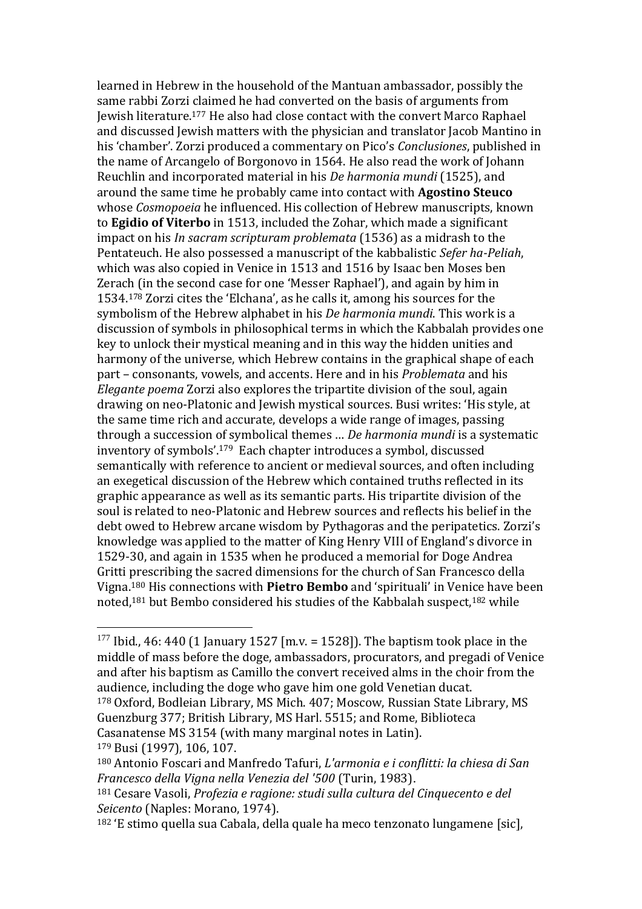learned in Hebrew in the household of the Mantuan ambassador, possibly the same rabbi Zorzi claimed he had converted on the basis of arguments from Jewish literature. <sup>177</sup> He also had close contact with the convert Marco Raphael and discussed Jewish matters with the physician and translator Jacob Mantino in his 'chamber'. Zorzi produced a commentary on Pico's *Conclusiones*, published in the name of Arcangelo of Borgonovo in 1564. He also read the work of Johann Reuchlin and incorporated material in his *De harmonia mundi* (1525), and around the same time he probably came into contact with **Agostino Steuco** whose *Cosmopoeia* he influenced. His collection of Hebrew manuscripts, known to **Egidio of Viterbo** in 1513, included the Zohar, which made a significant impact on his *In sacram scripturam problemata* (1536) as a midrash to the Pentateuch. He also possessed a manuscript of the kabbalistic *Sefer ha-Peliah*, which was also copied in Venice in 1513 and 1516 by Isaac ben Moses ben Zerach (in the second case for one 'Messer Raphael'), and again by him in 1534.<sup>178</sup> Zorzi cites the 'Elchana', as he calls it, among his sources for the symbolism of the Hebrew alphabet in his *De harmonia mundi*. This work is a discussion of symbols in philosophical terms in which the Kabbalah provides one key to unlock their mystical meaning and in this way the hidden unities and harmony of the universe, which Hebrew contains in the graphical shape of each part – consonants, vowels, and accents. Here and in his *Problemata* and his *Elegante poema* Zorzi also explores the tripartite division of the soul, again drawing on neo-Platonic and Jewish mystical sources. Busi writes: 'His style, at the same time rich and accurate, develops a wide range of images, passing through a succession of symbolical themes … *De harmonia mundi* is a systematic inventory of symbols'.179 Each chapter introduces a symbol, discussed semantically with reference to ancient or medieval sources, and often including an exegetical discussion of the Hebrew which contained truths reflected in its graphic appearance as well as its semantic parts. His tripartite division of the soul is related to neo-Platonic and Hebrew sources and reflects his belief in the debt owed to Hebrew arcane wisdom by Pythagoras and the peripatetics. Zorzi's knowledge was applied to the matter of King Henry VIII of England's divorce in 1529-30, and again in 1535 when he produced a memorial for Doge Andrea Gritti prescribing the sacred dimensions for the church of San Francesco della Vigna. <sup>180</sup> His connections with **Pietro Bembo** and 'spirituali' in Venice have been noted, <sup>181</sup> but Bembo considered his studies of the Kabbalah suspect,<sup>182</sup> while

<sup>&</sup>lt;sup>177</sup> Ibid., 46: 440 (1 January 1527 [m.v. = 1528]). The baptism took place in the middle of mass before the doge, ambassadors, procurators, and pregadi of Venice and after his baptism as Camillo the convert received alms in the choir from the audience, including the doge who gave him one gold Venetian ducat.

<sup>178</sup> Oxford, Bodleian Library, MS Mich. 407; Moscow, Russian State Library, MS Guenzburg 377; British Library, MS Harl. 5515; and Rome, Biblioteca Casanatense MS 3154 (with many marginal notes in Latin). <sup>179</sup> Busi (1997), 106, 107.

<sup>180</sup> Antonio Foscari and Manfredo Tafuri, *L'armonia e i conflitti: la chiesa di San Francesco della Vigna nella Venezia del '500* (Turin, 1983).

<sup>181</sup> Cesare Vasoli, *Profezia e ragione: studi sulla cultura del Cinquecento e del Seicento* (Naples: Morano, 1974).

<sup>182</sup> 'E stimo quella sua Cabala, della quale ha meco tenzonato lungamene [sic],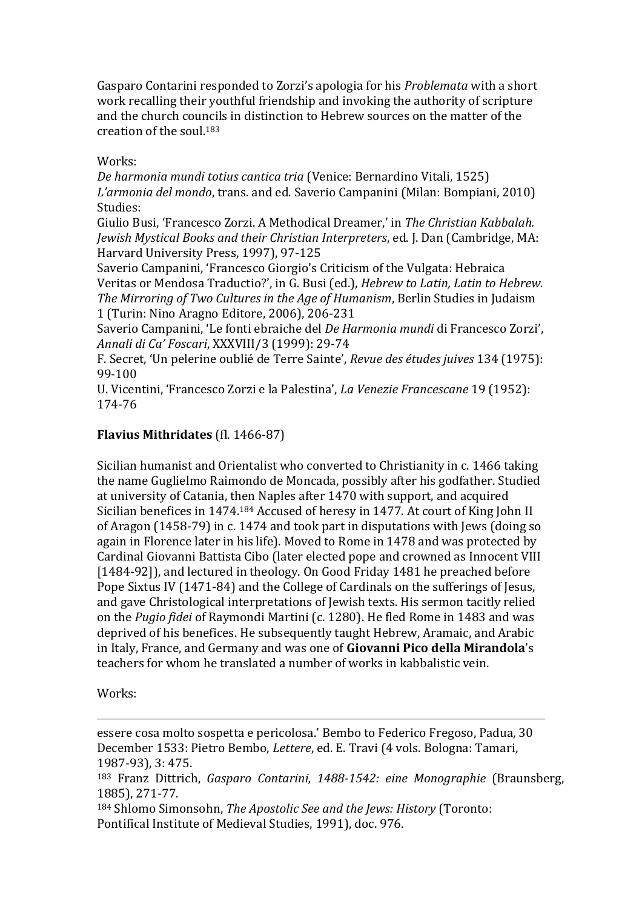Gasparo Contarini responded to Zorzi's apologia for his *Problemata* with a short work recalling their youthful friendship and invoking the authority of scripture and the church councils in distinction to Hebrew sources on the matter of the creation of the soul.<sup>183</sup>

Works:

*De harmonia mundi totius cantica tria* (Venice: Bernardino Vitali, 1525) *L'armonia del mondo*, trans. and ed. Saverio Campanini (Milan: Bompiani, 2010) Studies:

Giulio Busi, 'Francesco Zorzi. A Methodical Dreamer,' in *The Christian Kabbalah. Jewish Mystical Books and their Christian Interpreters*, ed. J. Dan (Cambridge, MA: Harvard University Press, 1997), 97-125

Saverio Campanini, 'Francesco Giorgio's Criticism of the Vulgata: Hebraica Veritas or Mendosa Traductio?', in G. Busi (ed.), *Hebrew to Latin, Latin to Hebrew. The Mirroring of Two Cultures in the Age of Humanism*, Berlin Studies in Judaism 1 (Turin: Nino Aragno Editore, 2006), 206-231

Saverio Campanini, 'Le fonti ebraiche del *De Harmonia mundi* di Francesco Zorzi', *Annali di Ca' Foscari*, XXXVIII/3 (1999): 29-74

F. Secret, 'Un pelerine oublié de Terre Sainte', *Revue des études juives* 134 (1975): 99-100

U. Vicentini, 'Francesco Zorzi e la Palestina', *La Venezie Francescane* 19 (1952): 174-76

### **Flavius Mithridates** (fl. 1466-87)

Sicilian humanist and Orientalist who converted to Christianity in c. 1466 taking the name Guglielmo Raimondo de Moncada, possibly after his godfather. Studied at university of Catania, then Naples after 1470 with support, and acquired Sicilian benefices in 1474.<sup>184</sup> Accused of heresy in 1477. At court of King John II of Aragon (1458-79) in c. 1474 and took part in disputations with Jews (doing so again in Florence later in his life). Moved to Rome in 1478 and was protected by Cardinal Giovanni Battista Cibo (later elected pope and crowned as Innocent VIII [1484-92]), and lectured in theology. On Good Friday 1481 he preached before Pope Sixtus IV (1471-84) and the College of Cardinals on the sufferings of Jesus, and gave Christological interpretations of Jewish texts. His sermon tacitly relied on the *Pugio fidei* of Raymondi Martini (c. 1280). He fled Rome in 1483 and was deprived of his benefices. He subsequently taught Hebrew, Aramaic, and Arabic in Italy, France, and Germany and was one of **Giovanni Pico della Mirandola**'s teachers for whom he translated a number of works in kabbalistic vein.

Works:

 $\overline{a}$ 

essere cosa molto sospetta e pericolosa.' Bembo to Federico Fregoso, Padua, 30 December 1533: Pietro Bembo, *Lettere*, ed. E. Travi (4 vols. Bologna: Tamari, 1987-93), 3: 475.

<sup>183</sup> Franz Dittrich, *Gasparo Contarini, 1488-1542: eine Monographie* (Braunsberg, 1885), 271-77.

<sup>184</sup> Shlomo Simonsohn, *The Apostolic See and the Jews: History* (Toronto: Pontifical Institute of Medieval Studies, 1991), doc. 976.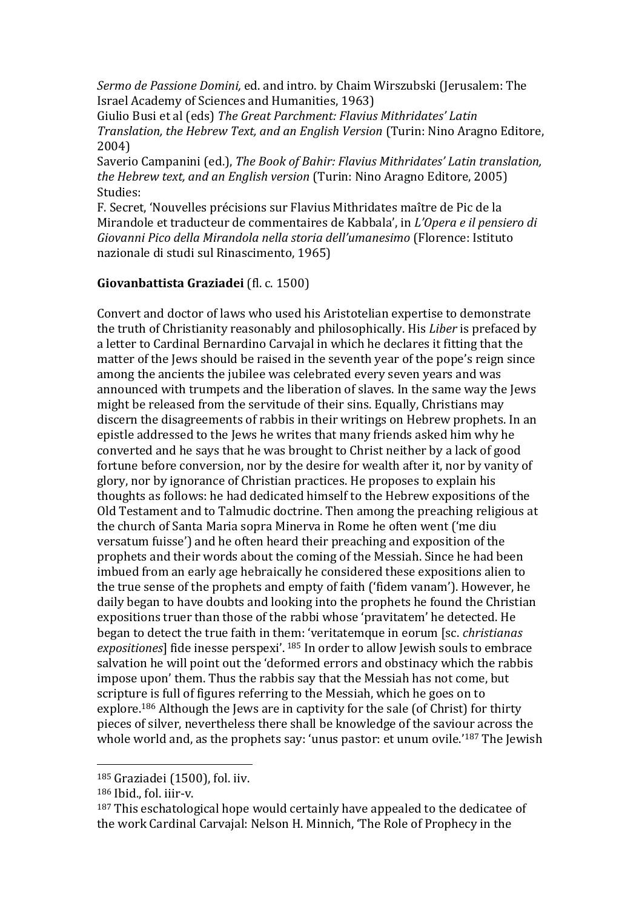*Sermo de Passione Domini,* ed. and intro. by Chaim Wirszubski (Jerusalem: The Israel Academy of Sciences and Humanities, 1963)

Giulio Busi et al (eds) *The Great Parchment: Flavius Mithridates' Latin Translation, the Hebrew Text, and an English Version* (Turin: Nino Aragno Editore, 2004)

Saverio Campanini (ed.), *The Book of Bahir: Flavius Mithridates' Latin translation, the Hebrew text, and an English version* (Turin: Nino Aragno Editore, 2005) Studies:

F. Secret, 'Nouvelles précisions sur Flavius Mithridates maître de Pic de la Mirandole et traducteur de commentaires de Kabbala', in *L'Opera e il pensiero di Giovanni Pico della Mirandola nella storia dell'umanesimo* (Florence: Istituto nazionale di studi sul Rinascimento, 1965)

### **Giovanbattista Graziadei** (fl. c. 1500)

Convert and doctor of laws who used his Aristotelian expertise to demonstrate the truth of Christianity reasonably and philosophically. His *Liber* is prefaced by a letter to Cardinal Bernardino Carvajal in which he declares it fitting that the matter of the Jews should be raised in the seventh year of the pope's reign since among the ancients the jubilee was celebrated every seven years and was announced with trumpets and the liberation of slaves. In the same way the Jews might be released from the servitude of their sins. Equally, Christians may discern the disagreements of rabbis in their writings on Hebrew prophets. In an epistle addressed to the Jews he writes that many friends asked him why he converted and he says that he was brought to Christ neither by a lack of good fortune before conversion, nor by the desire for wealth after it, nor by vanity of glory, nor by ignorance of Christian practices. He proposes to explain his thoughts as follows: he had dedicated himself to the Hebrew expositions of the Old Testament and to Talmudic doctrine. Then among the preaching religious at the church of Santa Maria sopra Minerva in Rome he often went ('me diu versatum fuisse') and he often heard their preaching and exposition of the prophets and their words about the coming of the Messiah. Since he had been imbued from an early age hebraically he considered these expositions alien to the true sense of the prophets and empty of faith ('fidem vanam'). However, he daily began to have doubts and looking into the prophets he found the Christian expositions truer than those of the rabbi whose 'pravitatem' he detected. He began to detect the true faith in them: 'veritatemque in eorum [sc. *christianas expositiones*] fide inesse perspexi'. <sup>185</sup> In order to allow Jewish souls to embrace salvation he will point out the 'deformed errors and obstinacy which the rabbis impose upon' them. Thus the rabbis say that the Messiah has not come, but scripture is full of figures referring to the Messiah, which he goes on to explore.<sup>186</sup> Although the Jews are in captivity for the sale (of Christ) for thirty pieces of silver, nevertheless there shall be knowledge of the saviour across the whole world and, as the prophets say: 'unus pastor: et unum ovile.'<sup>187</sup> The Jewish

<sup>185</sup> Graziadei (1500), fol. iiv.

<sup>186</sup> Ibid., fol. iiir-v.

<sup>&</sup>lt;sup>187</sup> This eschatological hope would certainly have appealed to the dedicatee of the work Cardinal Carvajal: Nelson H. Minnich, 'The Role of Prophecy in the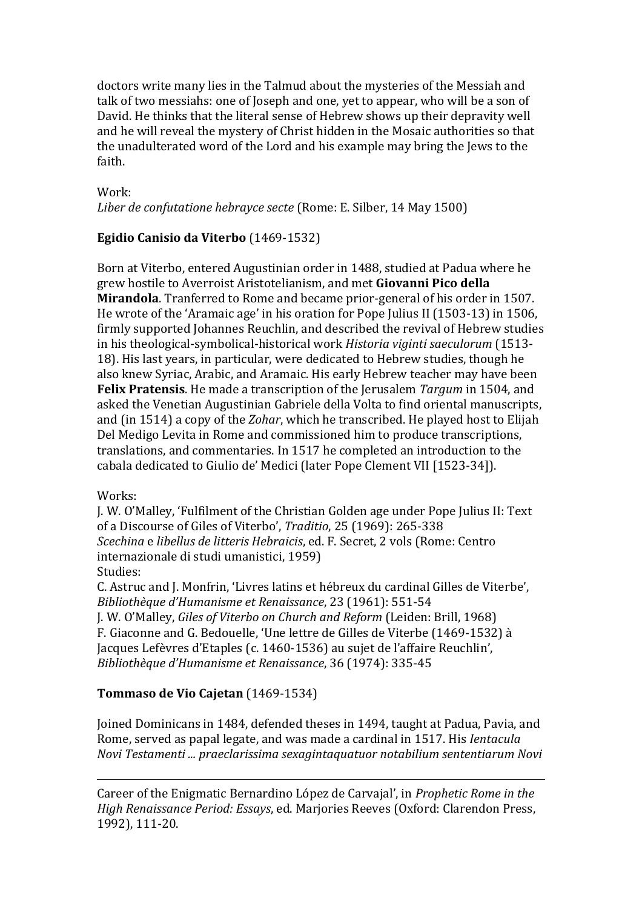doctors write many lies in the Talmud about the mysteries of the Messiah and talk of two messiahs: one of Joseph and one, yet to appear, who will be a son of David. He thinks that the literal sense of Hebrew shows up their depravity well and he will reveal the mystery of Christ hidden in the Mosaic authorities so that the unadulterated word of the Lord and his example may bring the Jews to the faith.

#### Work:

*Liber de confutatione hebrayce secte* (Rome: E. Silber, 14 May 1500)

### **Egidio Canisio da Viterbo** (1469-1532)

Born at Viterbo, entered Augustinian order in 1488, studied at Padua where he grew hostile to Averroist Aristotelianism, and met **Giovanni Pico della Mirandola**. Tranferred to Rome and became prior-general of his order in 1507. He wrote of the 'Aramaic age' in his oration for Pope Julius II (1503-13) in 1506, firmly supported Johannes Reuchlin, and described the revival of Hebrew studies in his theological-symbolical-historical work *Historia viginti saeculorum* (1513- 18). His last years, in particular, were dedicated to Hebrew studies, though he also knew Syriac, Arabic, and Aramaic. His early Hebrew teacher may have been **Felix Pratensis**. He made a transcription of the Jerusalem *Targum* in 1504, and asked the Venetian Augustinian Gabriele della Volta to find oriental manuscripts, and (in 1514) a copy of the *Zohar*, which he transcribed. He played host to Elijah Del Medigo Levita in Rome and commissioned him to produce transcriptions, translations, and commentaries. In 1517 he completed an introduction to the cabala dedicated to Giulio de' Medici (later Pope Clement VII [1523-34]).

### Works:

 $\overline{a}$ 

J. W. O'Malley, 'Fulfilment of the Christian Golden age under Pope Julius II: Text of a Discourse of Giles of Viterbo', *Traditio*, 25 (1969): 265-338 *Scechina* e *libellus de litteris Hebraicis*, ed. F. Secret, 2 vols (Rome: Centro internazionale di studi umanistici, 1959) Studies:

C. Astruc and J. Monfrin, 'Livres latins et hébreux du cardinal Gilles de Viterbe', *Bibliothèque d'Humanisme et Renaissance*, 23 (1961): 551-54 J. W. O'Malley, *Giles of Viterbo on Church and Reform* (Leiden: Brill, 1968) F. Giaconne and G. Bedouelle, 'Une lettre de Gilles de Viterbe (1469-1532) à Jacques Lefèvres d'Etaples (c. 1460-1536) au sujet de l'affaire Reuchlin', *Bibliothèque d'Humanisme et Renaissance*, 36 (1974): 335-45

### **Tommaso de Vio Cajetan** (1469-1534)

Joined Dominicans in 1484, defended theses in 1494, taught at Padua, Pavia, and Rome, served as papal legate, and was made a cardinal in 1517. His *Ientacula Novi Testamenti ... praeclarissima sexagintaquatuor notabilium sententiarum Novi* 

Career of the Enigmatic Bernardino López de Carvajal', in *Prophetic Rome in the High Renaissance Period: Essays*, ed. Marjories Reeves (Oxford: Clarendon Press, 1992), 111-20.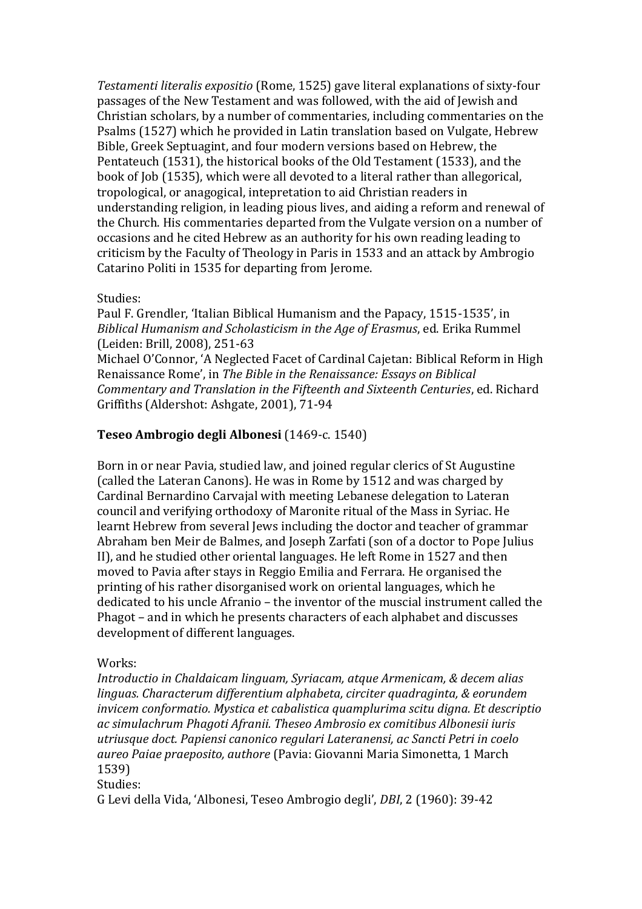*Testamenti literalis expositio* (Rome, 1525) gave literal explanations of sixty-four passages of the New Testament and was followed, with the aid of Jewish and Christian scholars, by a number of commentaries, including commentaries on the Psalms (1527) which he provided in Latin translation based on Vulgate, Hebrew Bible, Greek Septuagint, and four modern versions based on Hebrew, the Pentateuch (1531), the historical books of the Old Testament (1533), and the book of Job (1535), which were all devoted to a literal rather than allegorical, tropological, or anagogical, intepretation to aid Christian readers in understanding religion, in leading pious lives, and aiding a reform and renewal of the Church. His commentaries departed from the Vulgate version on a number of occasions and he cited Hebrew as an authority for his own reading leading to criticism by the Faculty of Theology in Paris in 1533 and an attack by Ambrogio Catarino Politi in 1535 for departing from Jerome.

#### Studies:

Paul F. Grendler, 'Italian Biblical Humanism and the Papacy, 1515-1535', in *Biblical Humanism and Scholasticism in the Age of Erasmus*, ed. Erika Rummel (Leiden: Brill, 2008), 251-63

Michael O'Connor, 'A Neglected Facet of Cardinal Cajetan: Biblical Reform in High Renaissance Rome', in *The Bible in the Renaissance: Essays on Biblical Commentary and Translation in the Fifteenth and Sixteenth Centuries*, ed. Richard Griffiths (Aldershot: Ashgate, 2001), 71-94

### **Teseo Ambrogio degli Albonesi** (1469-c. 1540)

Born in or near Pavia, studied law, and joined regular clerics of St Augustine (called the Lateran Canons). He was in Rome by 1512 and was charged by Cardinal Bernardino Carvajal with meeting Lebanese delegation to Lateran council and verifying orthodoxy of Maronite ritual of the Mass in Syriac. He learnt Hebrew from several Jews including the doctor and teacher of grammar Abraham ben Meir de Balmes, and Joseph Zarfati (son of a doctor to Pope Julius II), and he studied other oriental languages. He left Rome in 1527 and then moved to Pavia after stays in Reggio Emilia and Ferrara. He organised the printing of his rather disorganised work on oriental languages, which he dedicated to his uncle Afranio – the inventor of the muscial instrument called the Phagot – and in which he presents characters of each alphabet and discusses development of different languages.

### Works:

*Introductio in Chaldaicam linguam, Syriacam, atque Armenicam, & decem alias linguas. Characterum differentium alphabeta, circiter quadraginta, & eorundem invicem conformatio. Mystica et cabalistica quamplurima scitu digna. Et descriptio ac simulachrum Phagoti Afranii. Theseo Ambrosio ex comitibus Albonesii iuris utriusque doct. Papiensi canonico regulari Lateranensi, ac Sancti Petri in coelo aureo Paiae praeposito, authore* (Pavia: Giovanni Maria Simonetta, 1 March 1539)

#### Studies:

G Levi della Vida, 'Albonesi, Teseo Ambrogio degli', *DBI*, 2 (1960): 39-42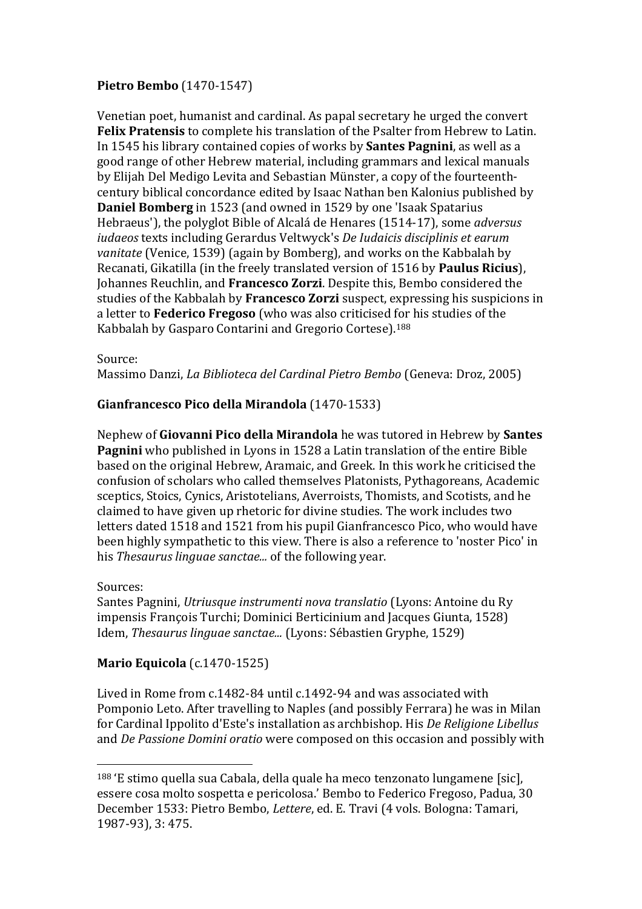### **Pietro Bembo** (1470-1547)

Venetian poet, humanist and cardinal. As papal secretary he urged the convert **Felix Pratensis** to complete his translation of the Psalter from Hebrew to Latin. In 1545 his library contained copies of works by **Santes Pagnini**, as well as a good range of other Hebrew material, including grammars and lexical manuals by Elijah Del Medigo Levita and Sebastian Münster, a copy of the fourteenthcentury biblical concordance edited by Isaac Nathan ben Kalonius published by **Daniel Bomberg** in 1523 (and owned in 1529 by one 'Isaak Spatarius Hebraeus'), the polyglot Bible of Alcalá de Henares (1514-17), some *adversus iudaeos* texts including Gerardus Veltwyck's *De Iudaicis disciplinis et earum vanitate* (Venice, 1539) (again by Bomberg), and works on the Kabbalah by Recanati, Gikatilla (in the freely translated version of 1516 by **Paulus Ricius**), Johannes Reuchlin, and **Francesco Zorzi**. Despite this, Bembo considered the studies of the Kabbalah by **Francesco Zorzi** suspect, expressing his suspicions in a letter to **Federico Fregoso** (who was also criticised for his studies of the Kabbalah by Gasparo Contarini and Gregorio Cortese).<sup>188</sup>

#### Source:

Massimo Danzi, *La Biblioteca del Cardinal Pietro Bembo* (Geneva: Droz, 2005)

### **Gianfrancesco Pico della Mirandola** (1470-1533)

Nephew of **Giovanni Pico della Mirandola** he was tutored in Hebrew by **Santes Pagnini** who published in Lyons in 1528 a Latin translation of the entire Bible based on the original Hebrew, Aramaic, and Greek. In this work he criticised the confusion of scholars who called themselves Platonists, Pythagoreans, Academic sceptics, Stoics, Cynics, Aristotelians, Averroists, Thomists, and Scotists, and he claimed to have given up rhetoric for divine studies. The work includes two letters dated 1518 and 1521 from his pupil Gianfrancesco Pico, who would have been highly sympathetic to this view. There is also a reference to 'noster Pico' in his *Thesaurus linguae sanctae...* of the following year.

### Sources:

 $\overline{a}$ 

Santes Pagnini, *Utriusque instrumenti nova translatio* (Lyons: Antoine du Ry impensis François Turchi; Dominici Berticinium and Jacques Giunta, 1528) Idem, *Thesaurus linguae sanctae...* (Lyons: Sébastien Gryphe, 1529)

### **Mario Equicola** (c.1470-1525)

Lived in Rome from c.1482-84 until c.1492-94 and was associated with Pomponio Leto. After travelling to Naples (and possibly Ferrara) he was in Milan for Cardinal Ippolito d'Este's installation as archbishop. His *De Religione Libellus* and *De Passione Domini oratio* were composed on this occasion and possibly with

<sup>188</sup> 'E stimo quella sua Cabala, della quale ha meco tenzonato lungamene [sic], essere cosa molto sospetta e pericolosa.' Bembo to Federico Fregoso, Padua, 30 December 1533: Pietro Bembo, *Lettere*, ed. E. Travi (4 vols. Bologna: Tamari, 1987-93), 3: 475.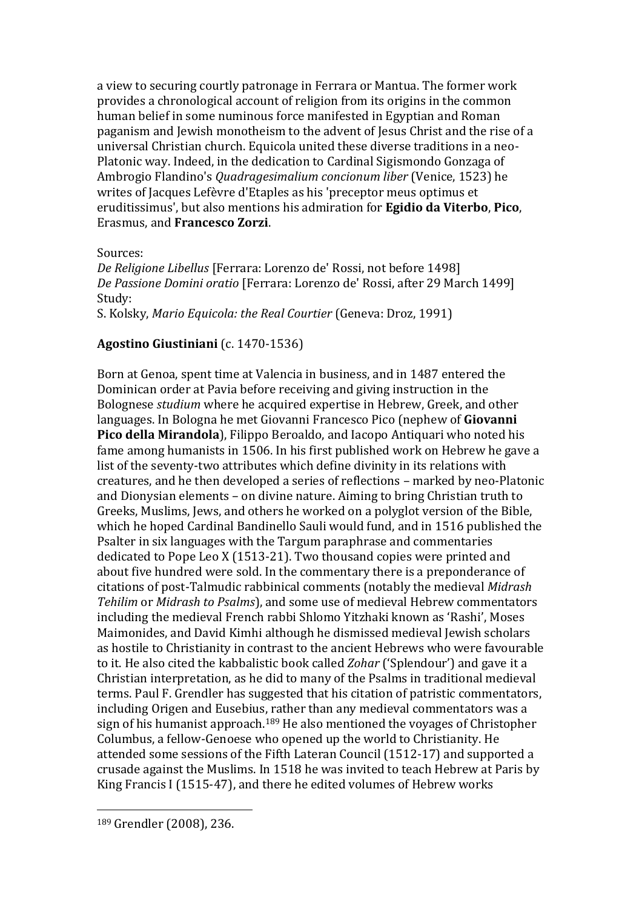a view to securing courtly patronage in Ferrara or Mantua. The former work provides a chronological account of religion from its origins in the common human belief in some numinous force manifested in Egyptian and Roman paganism and Jewish monotheism to the advent of Jesus Christ and the rise of a universal Christian church. Equicola united these diverse traditions in a neo-Platonic way. Indeed, in the dedication to Cardinal Sigismondo Gonzaga of Ambrogio Flandino's *Quadragesimalium concionum liber* (Venice, 1523) he writes of Jacques Lefèvre d'Etaples as his 'preceptor meus optimus et eruditissimus', but also mentions his admiration for **Egidio da Viterbo**, **Pico**, Erasmus, and **Francesco Zorzi**.

Sources:

*De Religione Libellus* [Ferrara: Lorenzo de' Rossi, not before 1498] *De Passione Domini oratio* [Ferrara: Lorenzo de' Rossi, after 29 March 1499] Study: S. Kolsky, *Mario Equicola: the Real Courtier* (Geneva: Droz, 1991)

#### **Agostino Giustiniani** (c. 1470-1536)

Born at Genoa, spent time at Valencia in business, and in 1487 entered the Dominican order at Pavia before receiving and giving instruction in the Bolognese *studium* where he acquired expertise in Hebrew, Greek, and other languages. In Bologna he met Giovanni Francesco Pico (nephew of **Giovanni Pico della Mirandola**), Filippo Beroaldo, and Iacopo Antiquari who noted his fame among humanists in 1506. In his first published work on Hebrew he gave a list of the seventy-two attributes which define divinity in its relations with creatures, and he then developed a series of reflections – marked by neo-Platonic and Dionysian elements – on divine nature. Aiming to bring Christian truth to Greeks, Muslims, Jews, and others he worked on a polyglot version of the Bible, which he hoped Cardinal Bandinello Sauli would fund, and in 1516 published the Psalter in six languages with the Targum paraphrase and commentaries dedicated to Pope Leo X (1513-21). Two thousand copies were printed and about five hundred were sold. In the commentary there is a preponderance of citations of post-Talmudic rabbinical comments (notably the medieval *Midrash Tehilim* or *Midrash to Psalms*), and some use of medieval Hebrew commentators including the medieval French rabbi Shlomo Yitzhaki known as 'Rashi', Moses Maimonides, and David Kimhi although he dismissed medieval Jewish scholars as hostile to Christianity in contrast to the ancient Hebrews who were favourable to it. He also cited the kabbalistic book called *Zohar* ('Splendour') and gave it a Christian interpretation, as he did to many of the Psalms in traditional medieval terms. Paul F. Grendler has suggested that his citation of patristic commentators, including Origen and Eusebius, rather than any medieval commentators was a sign of his humanist approach.<sup>189</sup> He also mentioned the voyages of Christopher Columbus, a fellow-Genoese who opened up the world to Christianity. He attended some sessions of the Fifth Lateran Council (1512-17) and supported a crusade against the Muslims. In 1518 he was invited to teach Hebrew at Paris by King Francis I (1515-47), and there he edited volumes of Hebrew works

<sup>189</sup> Grendler (2008), 236.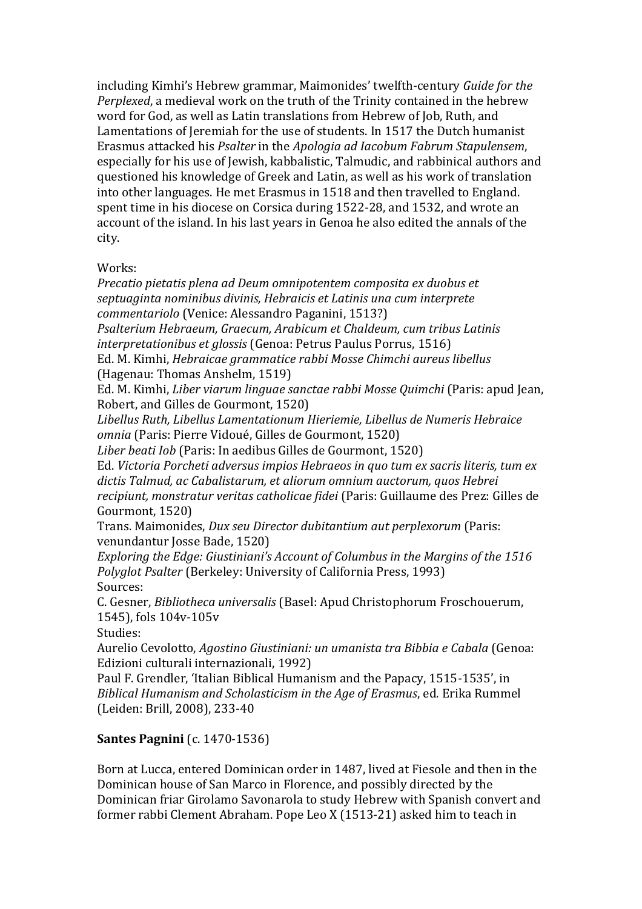including Kimhi's Hebrew grammar, Maimonides' twelfth-century *Guide for the Perplexed*, a medieval work on the truth of the Trinity contained in the hebrew word for God, as well as Latin translations from Hebrew of Job, Ruth, and Lamentations of Jeremiah for the use of students. In 1517 the Dutch humanist Erasmus attacked his *Psalter* in the *Apologia ad Iacobum Fabrum Stapulensem*, especially for his use of Jewish, kabbalistic, Talmudic, and rabbinical authors and questioned his knowledge of Greek and Latin, as well as his work of translation into other languages. He met Erasmus in 1518 and then travelled to England. spent time in his diocese on Corsica during 1522-28, and 1532, and wrote an account of the island. In his last years in Genoa he also edited the annals of the city.

### Works:

*Precatio pietatis plena ad Deum omnipotentem composita ex duobus et septuaginta nominibus divinis, Hebraicis et Latinis una cum interprete commentariolo* (Venice: Alessandro Paganini, 1513?)

*Psalterium Hebraeum, Graecum, Arabicum et Chaldeum, cum tribus Latinis interpretationibus et glossis* (Genoa: Petrus Paulus Porrus, 1516)

Ed. M. Kimhi, *Hebraicae grammatice rabbi Mosse Chimchi aureus libellus* (Hagenau: Thomas Anshelm, 1519)

Ed. M. Kimhi, *Liber viarum linguae sanctae rabbi Mosse Quimchi* (Paris: apud Jean, Robert, and Gilles de Gourmont, 1520)

*Libellus Ruth, Libellus Lamentationum Hieriemie, Libellus de Numeris Hebraice omnia* (Paris: Pierre Vidoué, Gilles de Gourmont, 1520)

*Liber beati Iob* (Paris: In aedibus Gilles de Gourmont, 1520)

Ed. *Victoria Porcheti adversus impios Hebraeos in quo tum ex sacris literis, tum ex dictis Talmud, ac Cabalistarum, et aliorum omnium auctorum, quos Hebrei recipiunt, monstratur veritas catholicae fidei* (Paris: Guillaume des Prez: Gilles de Gourmont, 1520)

Trans. Maimonides, *Dux seu Director dubitantium aut perplexorum* (Paris: venundantur Josse Bade, 1520)

*Exploring the Edge: Giustiniani's Account of Columbus in the Margins of the 1516 Polyglot Psalter* (Berkeley: University of California Press, 1993) Sources:

C. Gesner, *Bibliotheca universalis* (Basel: Apud Christophorum Froschouerum, 1545), fols 104v-105v

Studies:

Aurelio Cevolotto, *Agostino Giustiniani: un umanista tra Bibbia e Cabala* (Genoa: Edizioni culturali internazionali, 1992)

Paul F. Grendler, 'Italian Biblical Humanism and the Papacy, 1515-1535', in *Biblical Humanism and Scholasticism in the Age of Erasmus*, ed. Erika Rummel (Leiden: Brill, 2008), 233-40

### **Santes Pagnini** (c. 1470-1536)

Born at Lucca, entered Dominican order in 1487, lived at Fiesole and then in the Dominican house of San Marco in Florence, and possibly directed by the Dominican friar Girolamo Savonarola to study Hebrew with Spanish convert and former rabbi Clement Abraham. Pope Leo X (1513-21) asked him to teach in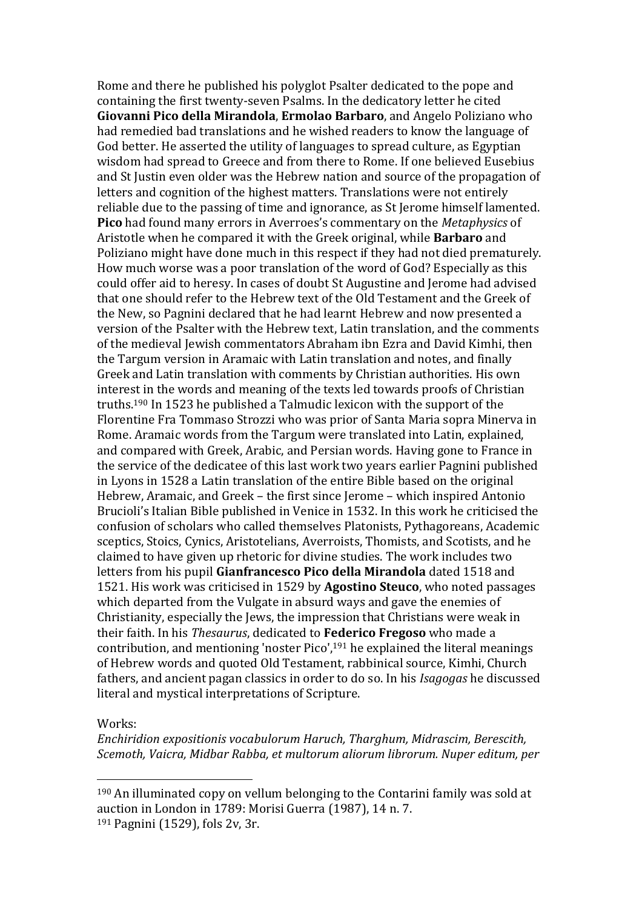Rome and there he published his polyglot Psalter dedicated to the pope and containing the first twenty-seven Psalms. In the dedicatory letter he cited **Giovanni Pico della Mirandola**, **Ermolao Barbaro**, and Angelo Poliziano who had remedied bad translations and he wished readers to know the language of God better. He asserted the utility of languages to spread culture, as Egyptian wisdom had spread to Greece and from there to Rome. If one believed Eusebius and St Justin even older was the Hebrew nation and source of the propagation of letters and cognition of the highest matters. Translations were not entirely reliable due to the passing of time and ignorance, as St Jerome himself lamented. **Pico** had found many errors in Averroes's commentary on the *Metaphysics* of Aristotle when he compared it with the Greek original, while **Barbaro** and Poliziano might have done much in this respect if they had not died prematurely. How much worse was a poor translation of the word of God? Especially as this could offer aid to heresy. In cases of doubt St Augustine and Jerome had advised that one should refer to the Hebrew text of the Old Testament and the Greek of the New, so Pagnini declared that he had learnt Hebrew and now presented a version of the Psalter with the Hebrew text, Latin translation, and the comments of the medieval Jewish commentators Abraham ibn Ezra and David Kimhi, then the Targum version in Aramaic with Latin translation and notes, and finally Greek and Latin translation with comments by Christian authorities. His own interest in the words and meaning of the texts led towards proofs of Christian truths.<sup>190</sup> In 1523 he published a Talmudic lexicon with the support of the Florentine Fra Tommaso Strozzi who was prior of Santa Maria sopra Minerva in Rome. Aramaic words from the Targum were translated into Latin, explained, and compared with Greek, Arabic, and Persian words. Having gone to France in the service of the dedicatee of this last work two years earlier Pagnini published in Lyons in 1528 a Latin translation of the entire Bible based on the original Hebrew, Aramaic, and Greek – the first since Jerome – which inspired Antonio Brucioli's Italian Bible published in Venice in 1532. In this work he criticised the confusion of scholars who called themselves Platonists, Pythagoreans, Academic sceptics, Stoics, Cynics, Aristotelians, Averroists, Thomists, and Scotists, and he claimed to have given up rhetoric for divine studies. The work includes two letters from his pupil **Gianfrancesco Pico della Mirandola** dated 1518 and 1521. His work was criticised in 1529 by **Agostino Steuco**, who noted passages which departed from the Vulgate in absurd ways and gave the enemies of Christianity, especially the Jews, the impression that Christians were weak in their faith. In his *Thesaurus*, dedicated to **Federico Fregoso** who made a contribution, and mentioning 'noster Pico',<sup>191</sup> he explained the literal meanings of Hebrew words and quoted Old Testament, rabbinical source, Kimhi, Church fathers, and ancient pagan classics in order to do so. In his *Isagogas* he discussed literal and mystical interpretations of Scripture.

#### Works:

 $\overline{a}$ 

*Enchiridion expositionis vocabulorum Haruch, Tharghum, Midrascim, Berescith, Scemoth, Vaicra, Midbar Rabba, et multorum aliorum librorum. Nuper editum, per* 

<sup>190</sup> An illuminated copy on vellum belonging to the Contarini family was sold at auction in London in 1789: Morisi Guerra (1987), 14 n. 7. <sup>191</sup> Pagnini (1529), fols 2v, 3r.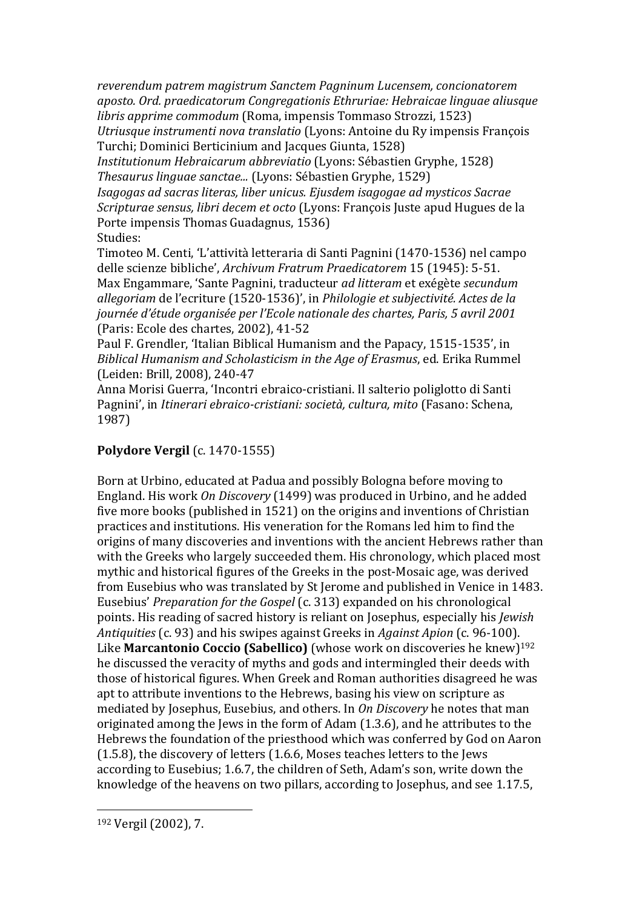*reverendum patrem magistrum Sanctem Pagninum Lucensem, concionatorem aposto. Ord. praedicatorum Congregationis Ethruriae: Hebraicae linguae aliusque libris apprime commodum* (Roma, impensis Tommaso Strozzi, 1523) *Utriusque instrumenti nova translatio* (Lyons: Antoine du Ry impensis François Turchi; Dominici Berticinium and Jacques Giunta, 1528)

*Institutionum Hebraicarum abbreviatio* (Lyons: Sébastien Gryphe, 1528) *Thesaurus linguae sanctae...* (Lyons: Sébastien Gryphe, 1529)

*Isagogas ad sacras literas, liber unicus. Ejusdem isagogae ad mysticos Sacrae Scripturae sensus, libri decem et octo* (Lyons: François Juste apud Hugues de la Porte impensis Thomas Guadagnus, 1536) Studies:

Timoteo M. Centi, 'L'attività letteraria di Santi Pagnini (1470-1536) nel campo delle scienze bibliche', *Archivum Fratrum Praedicatorem* 15 (1945): 5-51. Max Engammare, 'Sante Pagnini, traducteur *ad litteram* et exégète *secundum allegoriam* de l'ecriture (1520-1536)', in *Philologie et subjectivité. Actes de la journée d'étude organisée per l'Ecole nationale des chartes, Paris, 5 avril 2001* (Paris: Ecole des chartes, 2002), 41-52

Paul F. Grendler, 'Italian Biblical Humanism and the Papacy, 1515-1535', in *Biblical Humanism and Scholasticism in the Age of Erasmus*, ed. Erika Rummel (Leiden: Brill, 2008), 240-47

Anna Morisi Guerra, 'Incontri ebraico-cristiani. Il salterio poliglotto di Santi Pagnini', in *Itinerari ebraico-cristiani: società, cultura, mito* (Fasano: Schena, 1987)

### **Polydore Vergil** (c. 1470-1555)

Born at Urbino, educated at Padua and possibly Bologna before moving to England. His work *On Discovery* (1499) was produced in Urbino, and he added five more books (published in 1521) on the origins and inventions of Christian practices and institutions. His veneration for the Romans led him to find the origins of many discoveries and inventions with the ancient Hebrews rather than with the Greeks who largely succeeded them. His chronology, which placed most mythic and historical figures of the Greeks in the post-Mosaic age, was derived from Eusebius who was translated by St Jerome and published in Venice in 1483. Eusebius' *Preparation for the Gospel* (c. 313) expanded on his chronological points. His reading of sacred history is reliant on Josephus, especially his *Jewish Antiquities* (c. 93) and his swipes against Greeks in *Against Apion* (c. 96-100). Like **Marcantonio Coccio (Sabellico)** (whose work on discoveries he knew)<sup>192</sup> he discussed the veracity of myths and gods and intermingled their deeds with those of historical figures. When Greek and Roman authorities disagreed he was apt to attribute inventions to the Hebrews, basing his view on scripture as mediated by Josephus, Eusebius, and others. In *On Discovery* he notes that man originated among the Jews in the form of Adam (1.3.6), and he attributes to the Hebrews the foundation of the priesthood which was conferred by God on Aaron (1.5.8), the discovery of letters (1.6.6, Moses teaches letters to the Jews according to Eusebius; 1.6.7, the children of Seth, Adam's son, write down the knowledge of the heavens on two pillars, according to Josephus, and see 1.17.5,

<sup>192</sup> Vergil (2002), 7.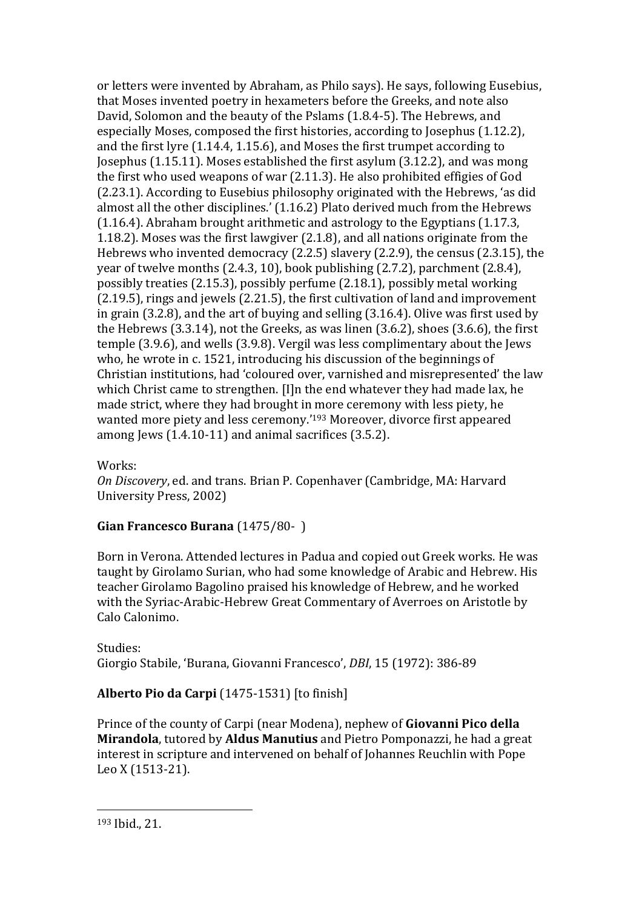or letters were invented by Abraham, as Philo says). He says, following Eusebius, that Moses invented poetry in hexameters before the Greeks, and note also David, Solomon and the beauty of the Pslams (1.8.4-5). The Hebrews, and especially Moses, composed the first histories, according to Josephus (1.12.2), and the first lyre (1.14.4, 1.15.6), and Moses the first trumpet according to Josephus (1.15.11). Moses established the first asylum (3.12.2), and was mong the first who used weapons of war (2.11.3). He also prohibited effigies of God (2.23.1). According to Eusebius philosophy originated with the Hebrews, 'as did almost all the other disciplines.' (1.16.2) Plato derived much from the Hebrews (1.16.4). Abraham brought arithmetic and astrology to the Egyptians (1.17.3, 1.18.2). Moses was the first lawgiver (2.1.8), and all nations originate from the Hebrews who invented democracy (2.2.5) slavery (2.2.9), the census (2.3.15), the year of twelve months (2.4.3, 10), book publishing (2.7.2), parchment (2.8.4), possibly treaties (2.15.3), possibly perfume (2.18.1), possibly metal working (2.19.5), rings and jewels (2.21.5), the first cultivation of land and improvement in grain (3.2.8), and the art of buying and selling (3.16.4). Olive was first used by the Hebrews (3.3.14), not the Greeks, as was linen (3.6.2), shoes (3.6.6), the first temple (3.9.6), and wells (3.9.8). Vergil was less complimentary about the Jews who, he wrote in c. 1521, introducing his discussion of the beginnings of Christian institutions, had 'coloured over, varnished and misrepresented' the law which Christ came to strengthen. [I]n the end whatever they had made lax, he made strict, where they had brought in more ceremony with less piety, he wanted more piety and less ceremony.'<sup>193</sup> Moreover, divorce first appeared among Jews (1.4.10-11) and animal sacrifices (3.5.2).

Works:

*On Discovery*, ed. and trans. Brian P. Copenhaver (Cambridge, MA: Harvard University Press, 2002)

# **Gian Francesco Burana** (1475/80- )

Born in Verona. Attended lectures in Padua and copied out Greek works. He was taught by Girolamo Surian, who had some knowledge of Arabic and Hebrew. His teacher Girolamo Bagolino praised his knowledge of Hebrew, and he worked with the Syriac-Arabic-Hebrew Great Commentary of Averroes on Aristotle by Calo Calonimo.

Studies: Giorgio Stabile, 'Burana, Giovanni Francesco', *DBI*, 15 (1972): 386-89

# **Alberto Pio da Carpi** (1475-1531) [to finish]

Prince of the county of Carpi (near Modena), nephew of **Giovanni Pico della Mirandola**, tutored by **Aldus Manutius** and Pietro Pomponazzi, he had a great interest in scripture and intervened on behalf of Johannes Reuchlin with Pope Leo X (1513-21).

<sup>193</sup> Ibid., 21.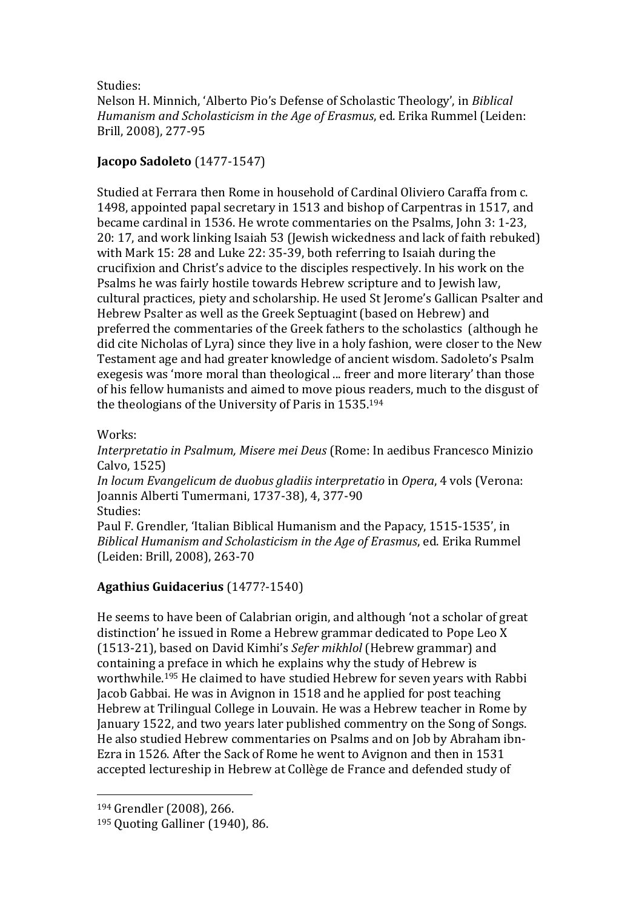Studies:

Nelson H. Minnich, 'Alberto Pio's Defense of Scholastic Theology', in *Biblical Humanism and Scholasticism in the Age of Erasmus*, ed. Erika Rummel (Leiden: Brill, 2008), 277-95

### **Jacopo Sadoleto** (1477-1547)

Studied at Ferrara then Rome in household of Cardinal Oliviero Caraffa from c. 1498, appointed papal secretary in 1513 and bishop of Carpentras in 1517, and became cardinal in 1536. He wrote commentaries on the Psalms, John 3: 1-23, 20: 17, and work linking Isaiah 53 (Jewish wickedness and lack of faith rebuked) with Mark 15: 28 and Luke 22: 35-39, both referring to Isaiah during the crucifixion and Christ's advice to the disciples respectively. In his work on the Psalms he was fairly hostile towards Hebrew scripture and to Jewish law, cultural practices, piety and scholarship. He used St Jerome's Gallican Psalter and Hebrew Psalter as well as the Greek Septuagint (based on Hebrew) and preferred the commentaries of the Greek fathers to the scholastics (although he did cite Nicholas of Lyra) since they live in a holy fashion, were closer to the New Testament age and had greater knowledge of ancient wisdom. Sadoleto's Psalm exegesis was 'more moral than theological ... freer and more literary' than those of his fellow humanists and aimed to move pious readers, much to the disgust of the theologians of the University of Paris in 1535.<sup>194</sup>

### Works:

*Interpretatio in Psalmum, Misere mei Deus* (Rome: In aedibus Francesco Minizio Calvo, 1525) *In locum Evangelicum de duobus gladiis interpretatio* in *Opera*, 4 vols (Verona: Joannis Alberti Tumermani, 1737-38), 4, 377-90 Studies: Paul F. Grendler, 'Italian Biblical Humanism and the Papacy, 1515-1535', in *Biblical Humanism and Scholasticism in the Age of Erasmus*, ed. Erika Rummel

### **Agathius Guidacerius** (1477?-1540)

(Leiden: Brill, 2008), 263-70

He seems to have been of Calabrian origin, and although 'not a scholar of great distinction' he issued in Rome a Hebrew grammar dedicated to Pope Leo X (1513-21), based on David Kimhi's *Sefer mikhlol* (Hebrew grammar) and containing a preface in which he explains why the study of Hebrew is worthwhile.<sup>195</sup> He claimed to have studied Hebrew for seven years with Rabbi Jacob Gabbai. He was in Avignon in 1518 and he applied for post teaching Hebrew at Trilingual College in Louvain. He was a Hebrew teacher in Rome by January 1522, and two years later published commentry on the Song of Songs. He also studied Hebrew commentaries on Psalms and on Job by Abraham ibn-Ezra in 1526. After the Sack of Rome he went to Avignon and then in 1531 accepted lectureship in Hebrew at Collège de France and defended study of

<sup>194</sup> Grendler (2008), 266.

<sup>195</sup> Quoting Galliner (1940), 86.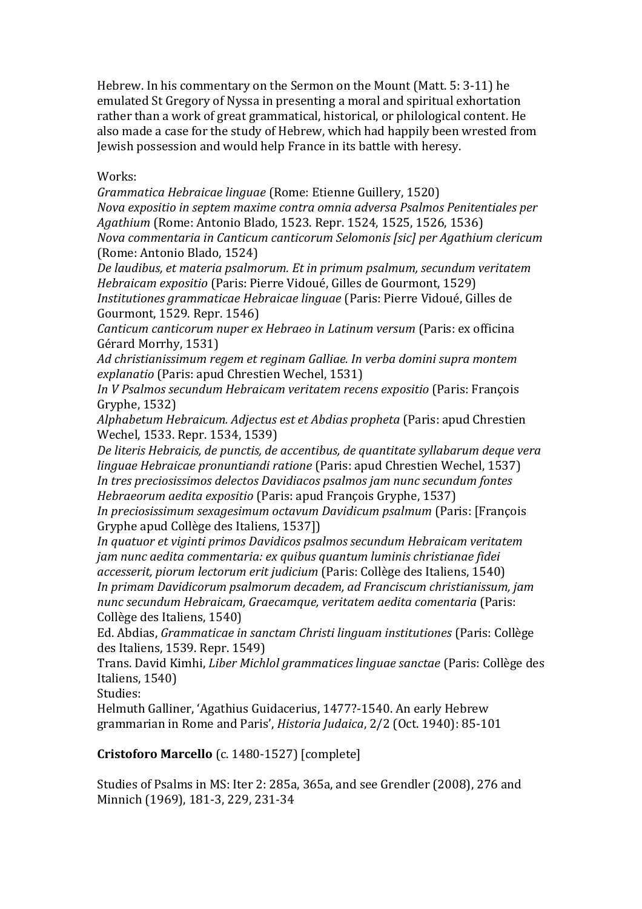Hebrew. In his commentary on the Sermon on the Mount (Matt. 5: 3-11) he emulated St Gregory of Nyssa in presenting a moral and spiritual exhortation rather than a work of great grammatical, historical, or philological content. He also made a case for the study of Hebrew, which had happily been wrested from Jewish possession and would help France in its battle with heresy.

Works:

*Grammatica Hebraicae linguae* (Rome: Etienne Guillery, 1520)

*Nova expositio in septem maxime contra omnia adversa Psalmos Penitentiales per Agathium* (Rome: Antonio Blado, 1523. Repr. 1524, 1525, 1526, 1536) *Nova commentaria in Canticum canticorum Selomonis [sic] per Agathium clericum* (Rome: Antonio Blado, 1524)

*De laudibus, et materia psalmorum. Et in primum psalmum, secundum veritatem Hebraicam expositio* (Paris: Pierre Vidoué, Gilles de Gourmont, 1529)

*Institutiones grammaticae Hebraicae linguae* (Paris: Pierre Vidoué, Gilles de Gourmont, 1529. Repr. 1546)

*Canticum canticorum nuper ex Hebraeo in Latinum versum* (Paris: ex officina Gérard Morrhy, 1531)

*Ad christianissimum regem et reginam Galliae. In verba domini supra montem explanatio* (Paris: apud Chrestien Wechel, 1531)

*In V Psalmos secundum Hebraicam veritatem recens expositio* (Paris: François Gryphe, 1532)

*Alphabetum Hebraicum. Adjectus est et Abdias propheta* (Paris: apud Chrestien Wechel, 1533. Repr. 1534, 1539)

*De literis Hebraicis, de punctis, de accentibus, de quantitate syllabarum deque vera linguae Hebraicae pronuntiandi ratione* (Paris: apud Chrestien Wechel, 1537) *In tres preciosissimos delectos Davidiacos psalmos jam nunc secundum fontes Hebraeorum aedita expositio* (Paris: apud François Gryphe, 1537)

*In preciosissimum sexagesimum octavum Davidicum psalmum* (Paris: [François Gryphe apud Collège des Italiens, 1537])

*In quatuor et viginti primos Davidicos psalmos secundum Hebraicam veritatem jam nunc aedita commentaria: ex quibus quantum luminis christianae fidei accesserit, piorum lectorum erit judicium* (Paris: Collège des Italiens, 1540) *In primam Davidicorum psalmorum decadem, ad Franciscum christianissum, jam nunc secundum Hebraicam, Graecamque, veritatem aedita comentaria* (Paris: Collège des Italiens, 1540)

Ed. Abdias, *Grammaticae in sanctam Christi linguam institutiones* (Paris: Collège des Italiens, 1539. Repr. 1549)

Trans. David Kimhi, *Liber Michlol grammatices linguae sanctae* (Paris: Collège des Italiens, 1540)

Studies:

Helmuth Galliner, 'Agathius Guidacerius, 1477?-1540. An early Hebrew grammarian in Rome and Paris', *Historia Judaica*, 2/2 (Oct. 1940): 85-101

**Cristoforo Marcello** (c. 1480-1527) [complete]

Studies of Psalms in MS: Iter 2: 285a, 365a, and see Grendler (2008), 276 and Minnich (1969), 181-3, 229, 231-34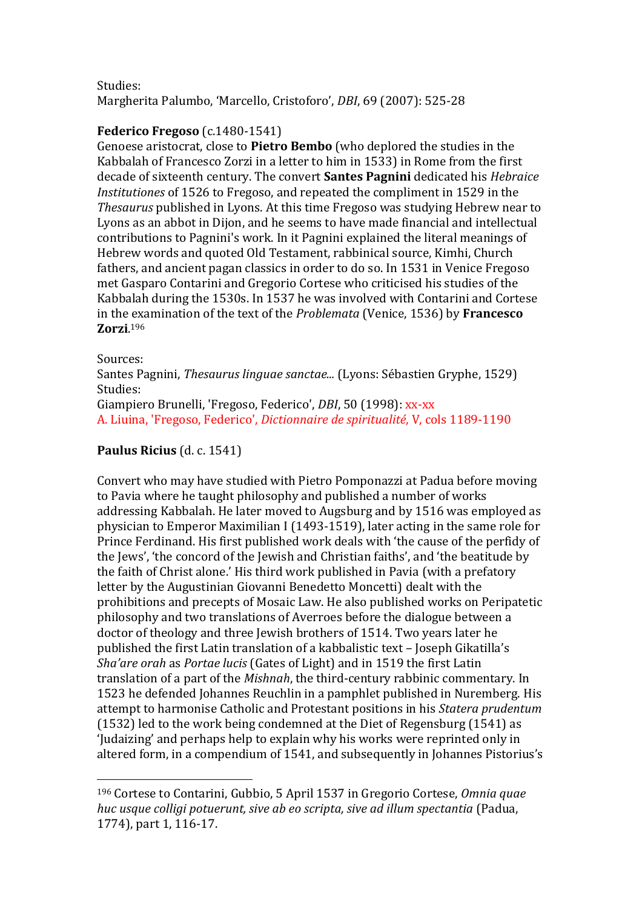Studies: Margherita Palumbo, 'Marcello, Cristoforo', *DBI*, 69 (2007): 525-28

### **Federico Fregoso** (c.1480-1541)

Genoese aristocrat, close to **Pietro Bembo** (who deplored the studies in the Kabbalah of Francesco Zorzi in a letter to him in 1533) in Rome from the first decade of sixteenth century. The convert **Santes Pagnini** dedicated his *Hebraice Institutiones* of 1526 to Fregoso, and repeated the compliment in 1529 in the *Thesaurus* published in Lyons. At this time Fregoso was studying Hebrew near to Lyons as an abbot in Dijon, and he seems to have made financial and intellectual contributions to Pagnini's work. In it Pagnini explained the literal meanings of Hebrew words and quoted Old Testament, rabbinical source, Kimhi, Church fathers, and ancient pagan classics in order to do so. In 1531 in Venice Fregoso met Gasparo Contarini and Gregorio Cortese who criticised his studies of the Kabbalah during the 1530s. In 1537 he was involved with Contarini and Cortese in the examination of the text of the *Problemata* (Venice, 1536) by **Francesco Zorzi**. 196

### Sources:

 $\overline{a}$ 

Santes Pagnini, *Thesaurus linguae sanctae...* (Lyons: Sébastien Gryphe, 1529) Studies:

Giampiero Brunelli, 'Fregoso, Federico', *DBI*, 50 (1998): xx-xx A. Liuina, 'Fregoso, Federico', *Dictionnaire de spiritualité*, V, cols 1189-1190

### **Paulus Ricius** (d. c. 1541)

Convert who may have studied with Pietro Pomponazzi at Padua before moving to Pavia where he taught philosophy and published a number of works addressing Kabbalah. He later moved to Augsburg and by 1516 was employed as physician to Emperor Maximilian I (1493-1519), later acting in the same role for Prince Ferdinand. His first published work deals with 'the cause of the perfidy of the Jews', 'the concord of the Jewish and Christian faiths', and 'the beatitude by the faith of Christ alone.' His third work published in Pavia (with a prefatory letter by the Augustinian Giovanni Benedetto Moncetti) dealt with the prohibitions and precepts of Mosaic Law. He also published works on Peripatetic philosophy and two translations of Averroes before the dialogue between a doctor of theology and three Jewish brothers of 1514. Two years later he published the first Latin translation of a kabbalistic text – Joseph Gikatilla's *Sha'are orah* as *Portae lucis* (Gates of Light) and in 1519 the first Latin translation of a part of the *Mishnah*, the third-century rabbinic commentary. In 1523 he defended Johannes Reuchlin in a pamphlet published in Nuremberg. His attempt to harmonise Catholic and Protestant positions in his *Statera prudentum* (1532) led to the work being condemned at the Diet of Regensburg (1541) as 'Judaizing' and perhaps help to explain why his works were reprinted only in altered form, in a compendium of 1541, and subsequently in Johannes Pistorius's

<sup>196</sup> Cortese to Contarini, Gubbio, 5 April 1537 in Gregorio Cortese, *Omnia quae huc usque colligi potuerunt, sive ab eo scripta, sive ad illum spectantia* (Padua, 1774), part 1, 116-17.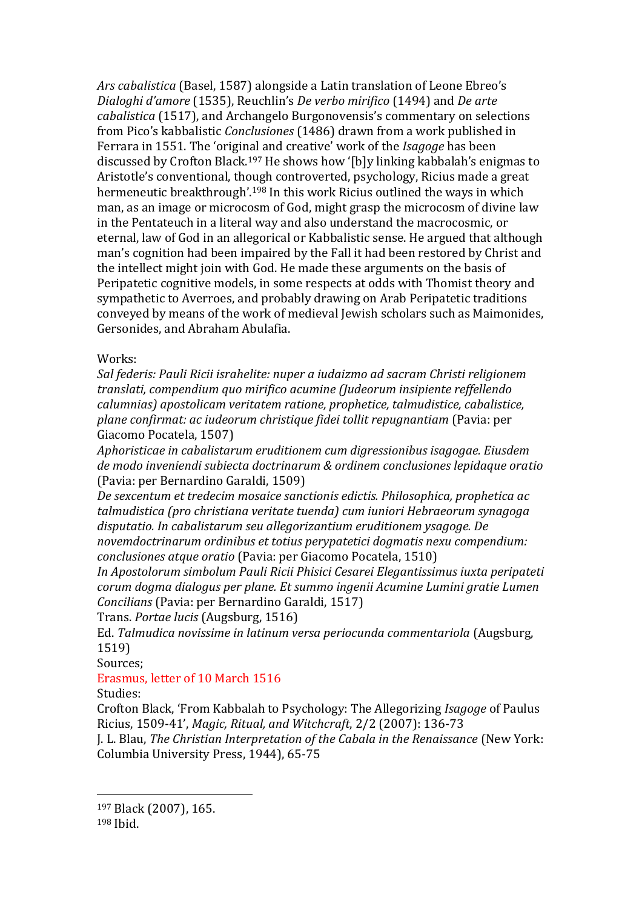*Ars cabalistica* (Basel, 1587) alongside a Latin translation of Leone Ebreo's *Dialoghi d'amore* (1535), Reuchlin's *De verbo mirifico* (1494) and *De arte cabalistica* (1517), and Archangelo Burgonovensis's commentary on selections from Pico's kabbalistic *Conclusiones* (1486) drawn from a work published in Ferrara in 1551. The 'original and creative' work of the *Isagoge* has been discussed by Crofton Black.<sup>197</sup> He shows how '[b]y linking kabbalah's enigmas to Aristotle's conventional, though controverted, psychology, Ricius made a great hermeneutic breakthrough'.<sup>198</sup> In this work Ricius outlined the ways in which man, as an image or microcosm of God, might grasp the microcosm of divine law in the Pentateuch in a literal way and also understand the macrocosmic, or eternal, law of God in an allegorical or Kabbalistic sense. He argued that although man's cognition had been impaired by the Fall it had been restored by Christ and the intellect might join with God. He made these arguments on the basis of Peripatetic cognitive models, in some respects at odds with Thomist theory and sympathetic to Averroes, and probably drawing on Arab Peripatetic traditions conveyed by means of the work of medieval Jewish scholars such as Maimonides, Gersonides, and Abraham Abulafia.

#### Works:

*Sal federis: Pauli Ricii israhelite: nuper a iudaizmo ad sacram Christi religionem translati, compendium quo mirifico acumine (Judeorum insipiente reffellendo calumnias) apostolicam veritatem ratione, prophetice, talmudistice, cabalistice, plane confirmat: ac iudeorum christique fidei tollit repugnantiam* (Pavia: per Giacomo Pocatela, 1507)

*Aphoristicae in cabalistarum eruditionem cum digressionibus isagogae. Eiusdem de modo inveniendi subiecta doctrinarum & ordinem conclusiones lepidaque oratio* (Pavia: per Bernardino Garaldi, 1509)

*De sexcentum et tredecim mosaice sanctionis edictis. Philosophica, prophetica ac talmudistica (pro christiana veritate tuenda) cum iuniori Hebraeorum synagoga disputatio. In cabalistarum seu allegorizantium eruditionem ysagoge. De novemdoctrinarum ordinibus et totius perypatetici dogmatis nexu compendium: conclusiones atque oratio* (Pavia: per Giacomo Pocatela, 1510)

*In Apostolorum simbolum Pauli Ricii Phisici Cesarei Elegantissimus iuxta peripateti corum dogma dialogus per plane. Et summo ingenii Acumine Lumini gratie Lumen Concilians* (Pavia: per Bernardino Garaldi, 1517)

Trans. *Portae lucis* (Augsburg, 1516)

Ed. *Talmudica novissime in latinum versa periocunda commentariola* (Augsburg, 1519)

Sources;

Erasmus, letter of 10 March 1516

Studies:

Crofton Black, 'From Kabbalah to Psychology: The Allegorizing *Isagoge* of Paulus Ricius, 1509-41', *Magic, Ritual, and Witchcraft*, 2/2 (2007): 136-73

J. L. Blau, *The Christian Interpretation of the Cabala in the Renaissance* (New York: Columbia University Press, 1944), 65-75

 $\overline{a}$ 

<sup>197</sup> Black (2007), 165.

<sup>198</sup> Ibid.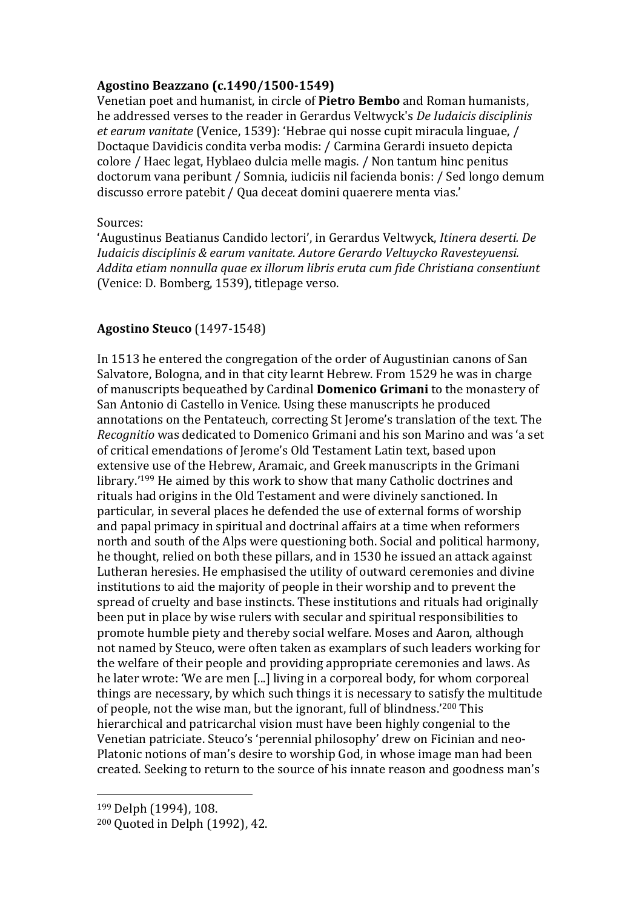#### **Agostino Beazzano (c.1490/1500-1549)**

Venetian poet and humanist, in circle of **Pietro Bembo** and Roman humanists, he addressed verses to the reader in Gerardus Veltwyck's *De Iudaicis disciplinis et earum vanitate* (Venice, 1539): 'Hebrae qui nosse cupit miracula linguae, / Doctaque Davidicis condita verba modis: / Carmina Gerardi insueto depicta colore / Haec legat, Hyblaeo dulcia melle magis. / Non tantum hinc penitus doctorum vana peribunt / Somnia, iudiciis nil facienda bonis: / Sed longo demum discusso errore patebit / Qua deceat domini quaerere menta vias.'

#### Sources:

'Augustinus Beatianus Candido lectori', in Gerardus Veltwyck, *Itinera deserti. De Iudaicis disciplinis & earum vanitate. Autore Gerardo Veltuycko Ravesteyuensi. Addita etiam nonnulla quae ex illorum libris eruta cum fide Christiana consentiunt* (Venice: D. Bomberg, 1539), titlepage verso.

### **Agostino Steuco** (1497-1548)

In 1513 he entered the congregation of the order of Augustinian canons of San Salvatore, Bologna, and in that city learnt Hebrew. From 1529 he was in charge of manuscripts bequeathed by Cardinal **Domenico Grimani** to the monastery of San Antonio di Castello in Venice. Using these manuscripts he produced annotations on the Pentateuch, correcting St Jerome's translation of the text. The *Recognitio* was dedicated to Domenico Grimani and his son Marino and was 'a set of critical emendations of Jerome's Old Testament Latin text, based upon extensive use of the Hebrew, Aramaic, and Greek manuscripts in the Grimani library.'<sup>199</sup> He aimed by this work to show that many Catholic doctrines and rituals had origins in the Old Testament and were divinely sanctioned. In particular, in several places he defended the use of external forms of worship and papal primacy in spiritual and doctrinal affairs at a time when reformers north and south of the Alps were questioning both. Social and political harmony, he thought, relied on both these pillars, and in 1530 he issued an attack against Lutheran heresies. He emphasised the utility of outward ceremonies and divine institutions to aid the majority of people in their worship and to prevent the spread of cruelty and base instincts. These institutions and rituals had originally been put in place by wise rulers with secular and spiritual responsibilities to promote humble piety and thereby social welfare. Moses and Aaron, although not named by Steuco, were often taken as examplars of such leaders working for the welfare of their people and providing appropriate ceremonies and laws. As he later wrote: 'We are men [...] living in a corporeal body, for whom corporeal things are necessary, by which such things it is necessary to satisfy the multitude of people, not the wise man, but the ignorant, full of blindness.'<sup>200</sup> This hierarchical and patricarchal vision must have been highly congenial to the Venetian patriciate. Steuco's 'perennial philosophy' drew on Ficinian and neo-Platonic notions of man's desire to worship God, in whose image man had been created. Seeking to return to the source of his innate reason and goodness man's

 $\overline{a}$ 

<sup>199</sup> Delph (1994), 108.

<sup>200</sup> Quoted in Delph (1992), 42.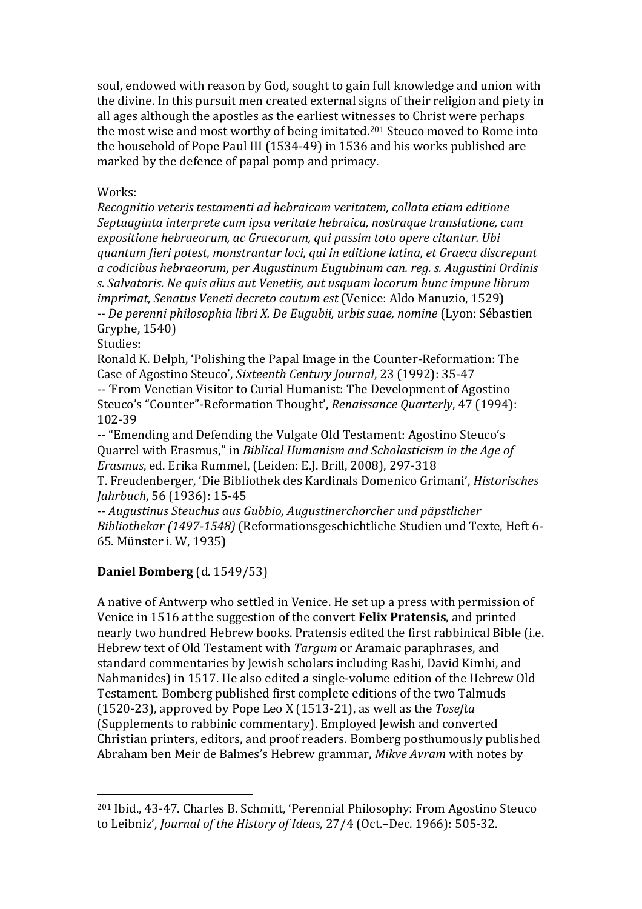soul, endowed with reason by God, sought to gain full knowledge and union with the divine. In this pursuit men created external signs of their religion and piety in all ages although the apostles as the earliest witnesses to Christ were perhaps the most wise and most worthy of being imitated.<sup>201</sup> Steuco moved to Rome into the household of Pope Paul III (1534-49) in 1536 and his works published are marked by the defence of papal pomp and primacy.

#### Works:

*Recognitio veteris testamenti ad hebraicam veritatem, collata etiam editione Septuaginta interprete cum ipsa veritate hebraica, nostraque translatione, cum expositione hebraeorum, ac Graecorum, qui passim toto opere citantur. Ubi quantum fieri potest, monstrantur loci, qui in editione latina, et Graeca discrepant a codicibus hebraeorum, per Augustinum Eugubinum can. reg. s. Augustini Ordinis s. Salvatoris. Ne quis alius aut Venetiis, aut usquam locorum hunc impune librum imprimat, Senatus Veneti decreto cautum est* (Venice: Aldo Manuzio, 1529) *-- De perenni philosophia libri X. De Eugubii, urbis suae, nomine* (Lyon: Sébastien Gryphe, 1540)

Studies:

 $\overline{a}$ 

Ronald K. Delph, 'Polishing the Papal Image in the Counter-Reformation: The Case of Agostino Steuco', *Sixteenth Century Journal*, 23 (1992): 35-47

-- 'From Venetian Visitor to Curial Humanist: The Development of Agostino Steuco's "Counter"-Reformation Thought', *Renaissance Quarterly*, 47 (1994): 102-39

-- "Emending and Defending the Vulgate Old Testament: Agostino Steuco's Quarrel with Erasmus," in *Biblical Humanism and Scholasticism in the Age of Erasmus*, ed. Erika Rummel, (Leiden: E.J. Brill, 2008), 297-318

T. Freudenberger, 'Die Bibliothek des Kardinals Domenico Grimani', *Historisches Jahrbuch*, 56 (1936): 15-45

-- *Augustinus Steuchus aus Gubbio, Augustinerchorcher und päpstlicher Bibliothekar (1497-1548)* (Reformationsgeschichtliche Studien und Texte, Heft 6- 65. Münster i. W, 1935)

# **Daniel Bomberg** (d. 1549/53)

A native of Antwerp who settled in Venice. He set up a press with permission of Venice in 1516 at the suggestion of the convert **Felix Pratensis**, and printed nearly two hundred Hebrew books. Pratensis edited the first rabbinical Bible (i.e. Hebrew text of Old Testament with *Targum* or Aramaic paraphrases, and standard commentaries by Jewish scholars including Rashi, David Kimhi, and Nahmanides) in 1517. He also edited a single-volume edition of the Hebrew Old Testament. Bomberg published first complete editions of the two Talmuds (1520-23), approved by Pope Leo X (1513-21), as well as the *Tosefta* (Supplements to rabbinic commentary). Employed Jewish and converted Christian printers, editors, and proof readers. Bomberg posthumously published Abraham ben Meir de Balmes's Hebrew grammar, *Mikve Avram* with notes by

<sup>201</sup> Ibid., 43-47. Charles B. Schmitt, 'Perennial Philosophy: From Agostino Steuco to Leibniz', *Journal of the History of Ideas*, 27/4 (Oct.–Dec. 1966): 505-32.